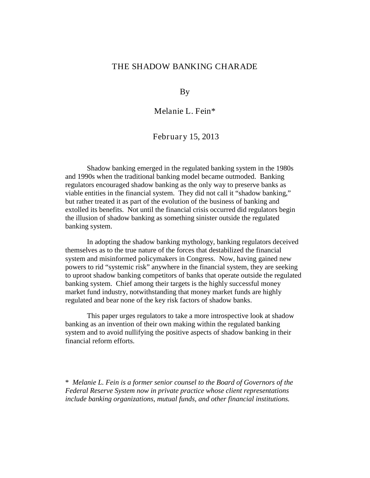### THE SHADOW BANKING CHARADE

By

Melanie L. Fein\*

February 15, 2013

Shadow banking emerged in the regulated banking system in the 1980s and 1990s when the traditional banking model became outmoded. Banking regulators encouraged shadow banking as the only way to preserve banks as viable entities in the financial system. They did not call it "shadow banking," but rather treated it as part of the evolution of the business of banking and extolled its benefits. Not until the financial crisis occurred did regulators begin the illusion of shadow banking as something sinister outside the regulated banking system.

In adopting the shadow banking mythology, banking regulators deceived themselves as to the true nature of the forces that destabilized the financial system and misinformed policymakers in Congress. Now, having gained new powers to rid "systemic risk" anywhere in the financial system, they are seeking to uproot shadow banking competitors of banks that operate outside the regulated banking system. Chief among their targets is the highly successful money market fund industry, notwithstanding that money market funds are highly regulated and bear none of the key risk factors of shadow banks.

This paper urges regulators to take a more introspective look at shadow banking as an invention of their own making within the regulated banking system and to avoid nullifying the positive aspects of shadow banking in their financial reform efforts.

\* *Melanie L. Fein is a former senior counsel to the Board of Governors of the Federal Reserve System now in private practice whose client representations include banking organizations, mutual funds, and other financial institutions.*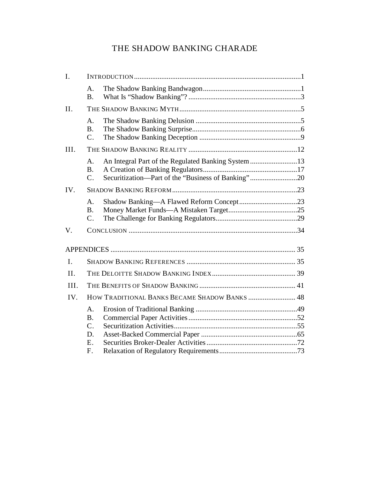# THE SHADOW BANKING CHARADE

| I.             |                                                |                                                                                                           |  |
|----------------|------------------------------------------------|-----------------------------------------------------------------------------------------------------------|--|
|                | A.<br><b>B.</b>                                |                                                                                                           |  |
| II.            |                                                |                                                                                                           |  |
|                | A <sub>1</sub><br><b>B.</b><br>$\mathcal{C}$ . |                                                                                                           |  |
| III.           |                                                |                                                                                                           |  |
|                | A.<br><b>B.</b><br>$C_{\cdot}$                 | An Integral Part of the Regulated Banking System 13<br>Securitization-Part of the "Business of Banking"20 |  |
| IV.            |                                                |                                                                                                           |  |
|                | A.<br><b>B.</b><br>$C_{\cdot}$                 | Shadow Banking-A Flawed Reform Concept23                                                                  |  |
| V.             |                                                |                                                                                                           |  |
|                |                                                |                                                                                                           |  |
| $\mathbf{I}$ . |                                                |                                                                                                           |  |
| II.            |                                                |                                                                                                           |  |
| III.           |                                                |                                                                                                           |  |
| IV.            | HOW TRADITIONAL BANKS BECAME SHADOW BANKS  48  |                                                                                                           |  |
|                | A.<br><b>B.</b><br>$\mathcal{C}$ .<br>D.       |                                                                                                           |  |
|                | E.<br>F.                                       |                                                                                                           |  |
|                |                                                |                                                                                                           |  |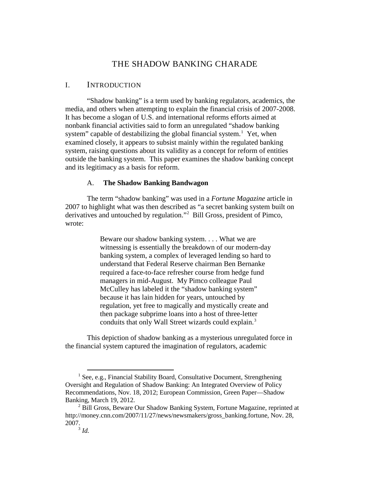## THE SHADOW BANKING CHARADE

### <span id="page-2-0"></span>I. INTRODUCTION

"Shadow banking" is a term used by banking regulators, academics, the media, and others when attempting to explain the financial crisis of 2007-2008. It has become a slogan of U.S. and international reforms efforts aimed at nonbank financial activities said to form an unregulated "shadow banking system" capable of destabilizing the global financial system.<sup>[1](#page-2-2)</sup> Yet, when examined closely, it appears to subsist mainly within the regulated banking system, raising questions about its validity as a concept for reform of entities outside the banking system. This paper examines the shadow banking concept and its legitimacy as a basis for reform.

### A. **The Shadow Banking Bandwagon**

<span id="page-2-1"></span>The term "shadow banking" was used in a *Fortune Magazine* article in 2007 to highlight what was then described as "a secret banking system built on derivatives and untouched by regulation."[2](#page-2-3) Bill Gross, president of Pimco, wrote:

> Beware our shadow banking system. . . . What we are witnessing is essentially the breakdown of our modern-day banking system, a complex of leveraged lending so hard to understand that Federal Reserve chairman Ben Bernanke required a face-to-face refresher course from hedge fund managers in mid-August. My Pimco colleague Paul McCulley has labeled it the "shadow banking system" because it has lain hidden for years, untouched by regulation, yet free to magically and mystically create and then package subprime loans into a host of three-letter conduits that only Wall Street wizards could explain.<sup>[3](#page-2-4)</sup>

This depiction of shadow banking as a mysterious unregulated force in the financial system captured the imagination of regulators, academic

<span id="page-2-2"></span> $1$  See, e.g., Financial Stability Board, Consultative Document, Strengthening Oversight and Regulation of Shadow Banking: An Integrated Overview of Policy Recommendations, Nov. 18, 2012; European Commission, Green Paper—Shadow Banking, March 19, 2012.

<span id="page-2-4"></span><span id="page-2-3"></span><sup>&</sup>lt;sup>2</sup> Bill Gross, Beware Our Shadow Banking System, Fortune Magazine, reprinted at [http://money.cnn.com/2007/11/27/news/newsmakers/gross\\_banking.fortune,](http://money.cnn.com/2007/11/27/news/newsmakers/gross_banking.fortune) Nov. 28, 2007.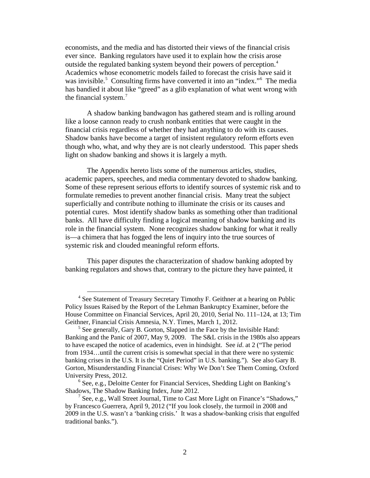economists, and the media and has distorted their views of the financial crisis ever since. Banking regulators have used it to explain how the crisis arose outside the regulated banking system beyond their powers of perception. [4](#page-3-0) Academics whose econometric models failed to forecast the crisis have said it was invisible.<sup>[5](#page-3-1)</sup> Consulting firms have converted it into an "index."<sup>6</sup> The media has bandied it about like "greed" as a glib explanation of what went wrong with the financial system.<sup>[7](#page-3-3)</sup>

A shadow banking bandwagon has gathered steam and is rolling around like a loose cannon ready to crush nonbank entities that were caught in the financial crisis regardless of whether they had anything to do with its causes. Shadow banks have become a target of insistent regulatory reform efforts even though who, what, and why they are is not clearly understood. This paper sheds light on shadow banking and shows it is largely a myth.

The Appendix hereto lists some of the numerous articles, studies, academic papers, speeches, and media commentary devoted to shadow banking. Some of these represent serious efforts to identify sources of systemic risk and to formulate remedies to prevent another financial crisis. Many treat the subject superficially and contribute nothing to illuminate the crisis or its causes and potential cures. Most identify shadow banks as something other than traditional banks. All have difficulty finding a logical meaning of shadow banking and its role in the financial system. None recognizes shadow banking for what it really is—a chimera that has fogged the lens of inquiry into the true sources of systemic risk and clouded meaningful reform efforts.

This paper disputes the characterization of shadow banking adopted by banking regulators and shows that, contrary to the picture they have painted, it

<span id="page-3-0"></span><sup>&</sup>lt;sup>4</sup> See Statement of Treasury Secretary Timothy F. Geithner at a hearing on Public Policy Issues Raised by the Report of the Lehman Bankruptcy Examiner, before the House Committee on Financial Services, April 20, 2010, Serial No. 111–124, at 13; Tim Geithner, Financial Crisis Amnesia, N.Y. Times, March 1, 2012.<br><sup>5</sup> See generally, Gary B. Gorton, Slapped in the Face by the Invisible Hand:

<span id="page-3-1"></span>Banking and the Panic of 2007, May 9, 2009. The S&L crisis in the 1980s also appears to have escaped the notice of academics, even in hindsight. See *id*. at 2 ("The period from 1934…until the current crisis is somewhat special in that there were no systemic banking crises in the U.S. It is the "Quiet Period" in U.S. banking."). See also Gary B. Gorton, Misunderstanding Financial Crises: Why We Don't See Them Coming, Oxford

<span id="page-3-2"></span> $<sup>6</sup>$  See, e.g., Deloitte Center for Financial Services, Shedding Light on Banking's</sup> Shadows, The Shadow Banking Index, June 2012.

<span id="page-3-3"></span><sup>&</sup>lt;sup>7</sup> See, e.g., Wall Street Journal, Time to Cast More Light on Finance's "Shadows," by Francesco Guerrera, April 9, 2012 ("If you look closely, the turmoil in 2008 and 2009 in the U.S. wasn't a 'banking crisis.' It was a shadow-banking crisis that engulfed traditional banks.").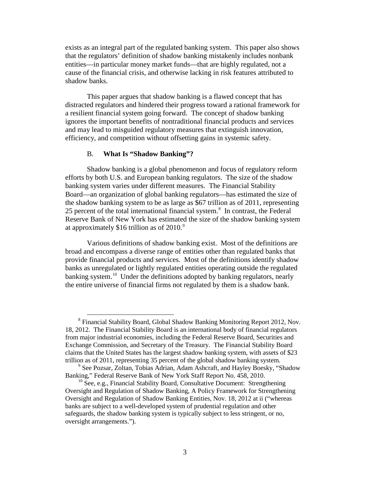exists as an integral part of the regulated banking system. This paper also shows that the regulators' definition of shadow banking mistakenly includes nonbank entities—in particular money market funds—that are highly regulated, not a cause of the financial crisis, and otherwise lacking in risk features attributed to shadow banks.

This paper argues that shadow banking is a flawed concept that has distracted regulators and hindered their progress toward a rational framework for a resilient financial system going forward. The concept of shadow banking ignores the important benefits of nontraditional financial products and services and may lead to misguided regulatory measures that extinguish innovation, efficiency, and competition without offsetting gains in systemic safety.

### <span id="page-4-0"></span>B. **What Is "Shadow Banking"?**

Shadow banking is a global phenomenon and focus of regulatory reform efforts by both U.S. and European banking regulators. The size of the shadow banking system varies under different measures. The Financial Stability Board—an organization of global banking regulators—has estimated the size of the shadow banking system to be as large as \$67 trillion as of 2011, representing 25 percent of the total international financial system.<sup>[8](#page-4-1)</sup> In contrast, the Federal Reserve Bank of New York has estimated the size of the shadow banking system at approximately \$16 trillion as of 2010. $9$ 

Various definitions of shadow banking exist. Most of the definitions are broad and encompass a diverse range of entities other than regulated banks that provide financial products and services. Most of the definitions identify shadow banks as unregulated or lightly regulated entities operating outside the regulated banking system.<sup>[10](#page-4-3)</sup> Under the definitions adopted by banking regulators, nearly the entire universe of financial firms not regulated by them is a shadow bank.

<span id="page-4-1"></span><sup>&</sup>lt;sup>8</sup> Financial Stability Board, Global Shadow Banking Monitoring Report 2012, Nov. 18, 2012. The Financial Stability Board is an international body of financial regulators from major industrial economies, including the Federal Reserve Board, Securities and Exchange Commission, and Secretary of the Treasury. The Financial Stability Board claims that the United States has the largest shadow banking system, with assets of \$23 trillion as of 2011, representing 35 percent of the global shadow banking system.

<span id="page-4-2"></span><sup>&</sup>lt;sup>9</sup> See Pozsar, Zoltan, Tobias Adrian, Adam Ashcraft, and Hayley Boesky, "Shadow Banking," Federal Reserve Bank of New York Staff Report No. 458, 2010.

<span id="page-4-3"></span> $^{10}$  See, e.g., Financial Stability Board, Consultative Document: Strengthening Oversight and Regulation of Shadow Banking, A Policy Framework for Strengthening Oversight and Regulation of Shadow Banking Entities, Nov. 18, 2012 at ii ("whereas banks are subject to a well-developed system of prudential regulation and other safeguards, the shadow banking system is typically subject to less stringent, or no, oversight arrangements.").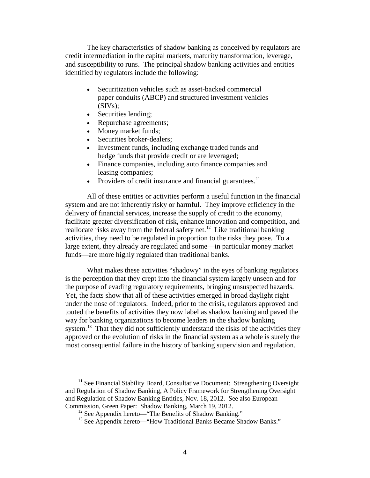The key characteristics of shadow banking as conceived by regulators are credit intermediation in the capital markets, maturity transformation, leverage, and susceptibility to runs. The principal shadow banking activities and entities identified by regulators include the following:

- Securitization vehicles such as asset-backed commercial paper conduits (ABCP) and structured investment vehicles  $(SIVs);$
- Securities lending;
- Repurchase agreements;
- Money market funds;
- Securities broker-dealers;
- Investment funds, including exchange traded funds and hedge funds that provide credit or are leveraged;
- Finance companies, including auto finance companies and leasing companies;
- Providers of credit insurance and financial guarantees.<sup>[11](#page-5-0)</sup>

All of these entities or activities perform a useful function in the financial system and are not inherently risky or harmful. They improve efficiency in the delivery of financial services, increase the supply of credit to the economy, facilitate greater diversification of risk, enhance innovation and competition, and reallocate risks away from the federal safety net.<sup>[12](#page-5-1)</sup> Like traditional banking activities, they need to be regulated in proportion to the risks they pose. To a large extent, they already are regulated and some—in particular money market funds—are more highly regulated than traditional banks.

What makes these activities "shadowy" in the eyes of banking regulators is the perception that they crept into the financial system largely unseen and for the purpose of evading regulatory requirements, bringing unsuspected hazards. Yet, the facts show that all of these activities emerged in broad daylight right under the nose of regulators. Indeed, prior to the crisis, regulators approved and touted the benefits of activities they now label as shadow banking and paved the way for banking organizations to become leaders in the shadow banking system.<sup>[13](#page-5-2)</sup> That they did not sufficiently understand the risks of the activities they approved or the evolution of risks in the financial system as a whole is surely the most consequential failure in the history of banking supervision and regulation.

<span id="page-5-2"></span><span id="page-5-1"></span><span id="page-5-0"></span> $11$  See Financial Stability Board, Consultative Document: Strengthening Oversight and Regulation of Shadow Banking, A Policy Framework for Strengthening Oversight and Regulation of Shadow Banking Entities, Nov. 18, 2012. See also European Commission, Green Paper: Shadow Banking, March 19, 2012.

<sup>&</sup>lt;sup>12</sup> See Appendix hereto—"The Benefits of Shadow Banking."

<sup>&</sup>lt;sup>13</sup> See Appendix hereto—"How Traditional Banks Became Shadow Banks."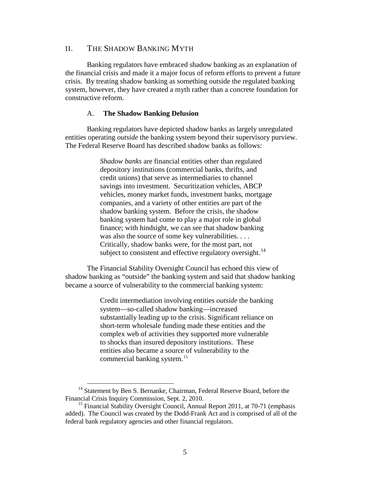### <span id="page-6-0"></span>II. THE SHADOW BANKING MYTH

Banking regulators have embraced shadow banking as an explanation of the financial crisis and made it a major focus of reform efforts to prevent a future crisis. By treating shadow banking as something outside the regulated banking system, however, they have created a myth rather than a concrete foundation for constructive reform.

#### <span id="page-6-1"></span>A. **The Shadow Banking Delusion**

Banking regulators have depicted shadow banks as largely unregulated entities operating *outside* the banking system beyond their supervisory purview. The Federal Reserve Board has described shadow banks as follows:

> *Shadow banks* are financial entities other than regulated depository institutions (commercial banks, thrifts, and credit unions) that serve as intermediaries to channel savings into investment. Securitization vehicles, ABCP vehicles, money market funds, investment banks, mortgage companies, and a variety of other entities are part of the shadow banking system. Before the crisis, the shadow banking system had come to play a major role in global finance; with hindsight, we can see that shadow banking was also the source of some key vulnerabilities. . . . Critically, shadow banks were, for the most part, not subject to consistent and effective regulatory oversight.<sup>[14](#page-6-2)</sup>

The Financial Stability Oversight Council has echoed this view of shadow banking as "outside" the banking system and said that shadow banking became a source of vulnerability to the commercial banking system:

> Credit intermediation involving entities *outside* the banking system—so-called shadow banking—increased substantially leading up to the crisis. Significant reliance on short-term wholesale funding made these entities and the complex web of activities they supported more vulnerable to shocks than insured depository institutions. These entities also became a source of vulnerability to the commercial banking system.<sup>[15](#page-6-3)</sup>

<span id="page-6-2"></span> $14$  Statement by Ben S. Bernanke, Chairman, Federal Reserve Board, before the Financial Crisis Inquiry Commission, Sept. 2, 2010.

<span id="page-6-3"></span><sup>&</sup>lt;sup>15</sup> Financial Stability Oversight Council, Annual Report 2011, at 70-71 (emphasis added). The Council was created by the Dodd-Frank Act and is comprised of all of the federal bank regulatory agencies and other financial regulators.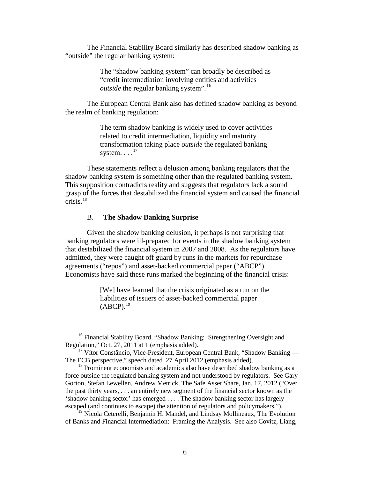The Financial Stability Board similarly has described shadow banking as "outside" the regular banking system:

> The "shadow banking system" can broadly be described as "credit intermediation involving entities and activities *outside* the regular banking system".<sup>[16](#page-7-1)</sup>

The European Central Bank also has defined shadow banking as beyond the realm of banking regulation:

> The term shadow banking is widely used to cover activities related to credit intermediation, liquidity and maturity transformation taking place *outside* the regulated banking system.  $\ldots$ <sup>[17](#page-7-2)</sup>

These statements reflect a delusion among banking regulators that the shadow banking system is something other than the regulated banking system. This supposition contradicts reality and suggests that regulators lack a sound grasp of the forces that destabilized the financial system and caused the financial crisis. [18](#page-7-3)

### B. **The Shadow Banking Surprise**

<span id="page-7-0"></span>Given the shadow banking delusion, it perhaps is not surprising that banking regulators were ill-prepared for events in the shadow banking system that destabilized the financial system in 2007 and 2008. As the regulators have admitted, they were caught off guard by runs in the markets for repurchase agreements ("repos") and asset-backed commercial paper ("ABCP"). Economists have said these runs marked the beginning of the financial crisis:

> [We] have learned that the crisis originated as a run on the liabilities of issuers of asset-backed commercial paper  $(ABCP).$ <sup>[19](#page-7-4)</sup>

<span id="page-7-1"></span><sup>&</sup>lt;sup>16</sup> Financial Stability Board, "Shadow Banking: Strengthening Oversight and Regulation," Oct. 27, 2011 at 1 (emphasis added).

<span id="page-7-2"></span> $17$  Vítor Constâncio, Vice-President, European Central Bank, "Shadow Banking — The ECB perspective," speech dated 27 April 2012 (emphasis added).

<span id="page-7-3"></span> $18$  Prominent economists and academics also have described shadow banking as a force outside the regulated banking system and not understood by regulators. See Gary Gorton, Stefan Lewellen, Andrew Metrick, The Safe Asset Share, Jan. 17, 2012 ("Over the past thirty years, . . . an entirely new segment of the financial sector known as the 'shadow banking sector' has emerged . . . . The shadow banking sector has largely

<span id="page-7-4"></span><sup>&</sup>lt;sup>19</sup> Nicola Ceterelli, Benjamin H. Mandel, and Lindsay Mollineaux, The Evolution of Banks and Financial Intermediation: Framing the Analysis. See also Covitz, Liang,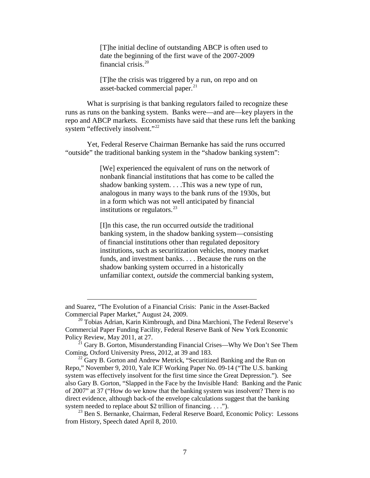[T]he initial decline of outstanding ABCP is often used to date the beginning of the first wave of the 2007-2009 financial crisis.<sup>[20](#page-8-0)</sup>

[T]he the crisis was triggered by a run, on repo and on asset-backed commercial paper.<sup>[21](#page-8-1)</sup>

What is surprising is that banking regulators failed to recognize these runs as runs on the banking system. Banks were—and are—key players in the repo and ABCP markets. Economists have said that these runs left the banking system "effectively insolvent."<sup>[22](#page-8-2)</sup>

Yet, Federal Reserve Chairman Bernanke has said the runs occurred "outside" the traditional banking system in the "shadow banking system":

> [We] experienced the equivalent of runs on the network of nonbank financial institutions that has come to be called the shadow banking system. . . .This was a new type of run, analogous in many ways to the bank runs of the 1930s, but in a form which was not well anticipated by financial institutions or regulators. $^{23}$  $^{23}$  $^{23}$

> [I]n this case, the run occurred *outside* the traditional banking system, in the shadow banking system—consisting of financial institutions other than regulated depository institutions, such as securitization vehicles, money market funds, and investment banks. . . . Because the runs on the shadow banking system occurred in a historically unfamiliar context, *outside* the commercial banking system,

 $\overline{a}$ 

<span id="page-8-2"></span> $22$  Gary B. Gorton and Andrew Metrick, "Securitized Banking and the Run on Repo," November 9, 2010, Yale ICF Working Paper No. 09-14 ("The U.S. banking system was effectively insolvent for the first time since the Great Depression."). See also Gary B. Gorton, "Slapped in the Face by the Invisible Hand: Banking and the Panic of 2007" at 37 ("How do we know that the banking system was insolvent? There is no direct evidence, although back-of the envelope calculations suggest that the banking system needed to replace about \$2 trillion of financing. . . .").

<span id="page-8-3"></span><sup>23</sup> Ben S. Bernanke, Chairman, Federal Reserve Board, Economic Policy: Lessons from History, Speech dated April 8, 2010.

and Suarez, "The Evolution of a Financial Crisis: Panic in the Asset-Backed Commercial Paper Market," August 24, 2009. 20 Tobias Adrian, Karin Kimbrough, and Dina Marchioni, The Federal Reserve's

<span id="page-8-0"></span>Commercial Paper Funding Facility, Federal Reserve Bank of New York Economic Policy Review, May 2011, at 27.

<span id="page-8-1"></span><sup>&</sup>lt;sup>21</sup> Gary B. Gorton, Misunderstanding Financial Crises—Why We Don't See Them Coming, Oxford University Press, 2012, at 39 and 183.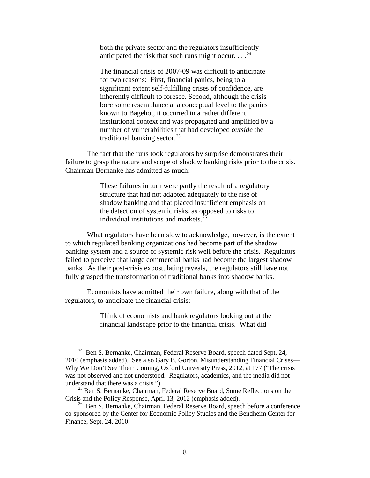both the private sector and the regulators insufficiently anticipated the risk that such runs might occur.  $\ldots$ <sup>[24](#page-9-0)</sup>

The financial crisis of 2007-09 was difficult to anticipate for two reasons: First, financial panics, being to a significant extent self-fulfilling crises of confidence, are inherently difficult to foresee. Second, although the crisis bore some resemblance at a conceptual level to the panics known to Bagehot, it occurred in a rather different institutional context and was propagated and amplified by a number of vulnerabilities that had developed *outside* the traditional banking sector. $^{25}$  $^{25}$  $^{25}$ 

The fact that the runs took regulators by surprise demonstrates their failure to grasp the nature and scope of shadow banking risks prior to the crisis. Chairman Bernanke has admitted as much:

> These failures in turn were partly the result of a regulatory structure that had not adapted adequately to the rise of shadow banking and that placed insufficient emphasis on the detection of systemic risks, as opposed to risks to individual institutions and markets.<sup>[26](#page-9-2)</sup>

What regulators have been slow to acknowledge, however, is the extent to which regulated banking organizations had become part of the shadow banking system and a source of systemic risk well before the crisis. Regulators failed to perceive that large commercial banks had become the largest shadow banks. As their post-crisis expostulating reveals, the regulators still have not fully grasped the transformation of traditional banks into shadow banks.

Economists have admitted their own failure, along with that of the regulators, to anticipate the financial crisis:

> Think of economists and bank regulators looking out at the financial landscape prior to the financial crisis. What did

<span id="page-9-0"></span><sup>&</sup>lt;sup>24</sup> Ben S. Bernanke, Chairman, Federal Reserve Board, speech dated Sept. 24, 2010 (emphasis added). See also Gary B. Gorton, Misunderstanding Financial Crises— Why We Don't See Them Coming, Oxford University Press, 2012, at 177 ("The crisis was not observed and not understood. Regulators, academics, and the media did not understand that there was a crisis.").

<span id="page-9-1"></span> $^{25}$  Ben S. Bernanke, Chairman, Federal Reserve Board, Some Reflections on the Crisis and the Policy Response, April 13, 2012 (emphasis added).

<span id="page-9-2"></span><sup>&</sup>lt;sup>26</sup> Ben S. Bernanke, Chairman, Federal Reserve Board, speech before a conference co-sponsored by the Center for Economic Policy Studies and the Bendheim Center for Finance, Sept. 24, 2010.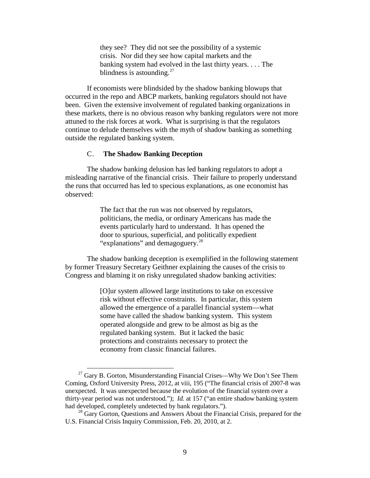they see? They did not see the possibility of a systemic crisis. Nor did they see how capital markets and the banking system had evolved in the last thirty years. . . . The blindness is astounding. $27$ 

If economists were blindsided by the shadow banking blowups that occurred in the repo and ABCP markets, banking regulators should not have been. Given the extensive involvement of regulated banking organizations in these markets, there is no obvious reason why banking regulators were not more attuned to the risk forces at work. What is surprising is that the regulators continue to delude themselves with the myth of shadow banking as something outside the regulated banking system.

### <span id="page-10-0"></span>C. **The Shadow Banking Deception**

The shadow banking delusion has led banking regulators to adopt a misleading narrative of the financial crisis. Their failure to properly understand the runs that occurred has led to specious explanations, as one economist has observed:

> The fact that the run was not observed by regulators, politicians, the media, or ordinary Americans has made the events particularly hard to understand. It has opened the door to spurious, superficial, and politically expedient "explanations" and demagoguery.<sup>[28](#page-10-2)</sup>

The shadow banking deception is exemplified in the following statement by former Treasury Secretary Geithner explaining the causes of the crisis to Congress and blaming it on risky unregulated shadow banking activities:

> [O]ur system allowed large institutions to take on excessive risk without effective constraints. In particular, this system allowed the emergence of a parallel financial system—what some have called the shadow banking system. This system operated alongside and grew to be almost as big as the regulated banking system. But it lacked the basic protections and constraints necessary to protect the economy from classic financial failures.

<span id="page-10-1"></span> $^{27}$  Gary B. Gorton, Misunderstanding Financial Crises—Why We Don't See Them Coming, Oxford University Press, 2012, at viii, 195 ("The financial crisis of 2007-8 was unexpected. It was unexpected because the evolution of the financial system over a thirty-year period was not understood."); *Id.* at 157 ("an entire shadow banking system had developed, completely undetected by bank regulators.").

<span id="page-10-2"></span><sup>&</sup>lt;sup>28</sup> Gary Gorton, Questions and Answers About the Financial Crisis, prepared for the U.S. Financial Crisis Inquiry Commission, Feb. 20, 2010, at 2.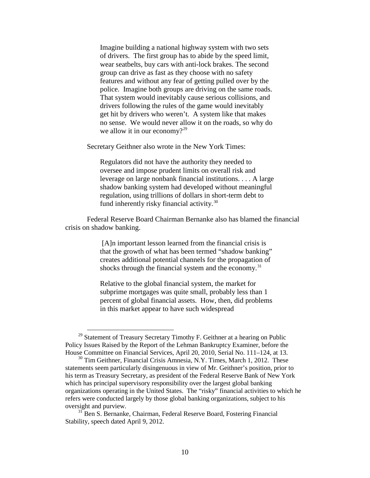Imagine building a national highway system with two sets of drivers. The first group has to abide by the speed limit, wear seatbelts, buy cars with anti-lock brakes. The second group can drive as fast as they choose with no safety features and without any fear of getting pulled over by the police. Imagine both groups are driving on the same roads. That system would inevitably cause serious collisions, and drivers following the rules of the game would inevitably get hit by drivers who weren't. A system like that makes no sense. We would never allow it on the roads, so why do we allow it in our economy?<sup>[29](#page-11-0)</sup>

Secretary Geithner also wrote in the New York Times:

Regulators did not have the authority they needed to oversee and impose prudent limits on overall risk and leverage on large nonbank financial institutions. . . . A large shadow banking system had developed without meaningful regulation, using trillions of dollars in short-term debt to fund inherently risky financial activity.[30](#page-11-1)

Federal Reserve Board Chairman Bernanke also has blamed the financial crisis on shadow banking.

> [A]n important lesson learned from the financial crisis is that the growth of what has been termed "shadow banking" creates additional potential channels for the propagation of shocks through the financial system and the economy.<sup>[31](#page-11-2)</sup>

> Relative to the global financial system, the market for subprime mortgages was quite small, probably less than 1 percent of global financial assets. How, then, did problems in this market appear to have such widespread

<span id="page-11-0"></span> $29$  Statement of Treasury Secretary Timothy F. Geithner at a hearing on Public Policy Issues Raised by the Report of the Lehman Bankruptcy Examiner, before the House Committee on Financial Services, April 20, 2010, Serial No. 111–124, at 13. 30 Tim Geithner, Financial Crisis Amnesia, N.Y. Times, March 1, 2012. These

<span id="page-11-1"></span>statements seem particularly disingenuous in view of Mr. Geithner's position, prior to his term as Treasury Secretary, as president of the Federal Reserve Bank of New York which has principal supervisory responsibility over the largest global banking organizations operating in the United States. The "risky" financial activities to which he refers were conducted largely by those global banking organizations, subject to his oversight and purview.

<span id="page-11-2"></span><sup>&</sup>lt;sup>31</sup> Ben S. Bernanke, Chairman, Federal Reserve Board, Fostering Financial Stability, speech dated April 9, 2012.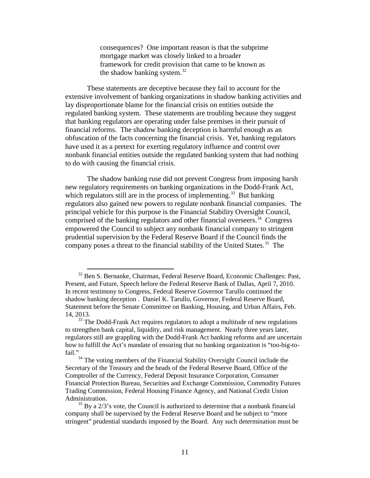consequences? One important reason is that the subprime mortgage market was closely linked to a broader framework for credit provision that came to be known as the shadow banking system. $32$ 

These statements are deceptive because they fail to account for the extensive involvement of banking organizations in shadow banking activities and lay disproportionate blame for the financial crisis on entities outside the regulated banking system. These statements are troubling because they suggest that banking regulators are operating under false premises in their pursuit of financial reforms. The shadow banking deception is harmful enough as an obfuscation of the facts concerning the financial crisis. Yet, banking regulators have used it as a pretext for exerting regulatory influence and control over nonbank financial entities outside the regulated banking system that had nothing to do with causing the financial crisis.

The shadow banking ruse did not prevent Congress from imposing harsh new regulatory requirements on banking organizations in the Dodd-Frank Act, which regulators still are in the process of implementing.<sup>[33](#page-12-1)</sup> But banking regulators also gained new powers to regulate nonbank financial companies. The principal vehicle for this purpose is the Financial Stability Oversight Council, comprised of the banking regulators and other financial overseers. [34](#page-12-2) Congress empowered the Council to subject any nonbank financial company to stringent prudential supervision by the Federal Reserve Board if the Council finds the company poses a threat to the financial stability of the United States.<sup>[35](#page-12-3)</sup> The

<span id="page-12-0"></span> <sup>32</sup> Ben S. Bernanke, Chairman, Federal Reserve Board, Economic Challenges: Past, Present, and Future, Speech before the Federal Reserve Bank of Dallas, April 7, 2010. In recent testimony to Congress, Federal Reserve Governor Tarullo continued the shadow banking deception . Daniel K. Tarullo, Governor, Federal Reserve Board, Statement before the Senate Committee on Banking, Housing, and Urban Affairs, Feb. 14, 2013.

<span id="page-12-1"></span> $33$  The Dodd-Frank Act requires regulators to adopt a multitude of new regulations to strengthen bank capital, liquidity, and risk management. Nearly three years later, regulators still are grappling with the Dodd-Frank Act banking reforms and are uncertain how to fulfill the Act's mandate of ensuring that no banking organization is "too-big-tofail."

<span id="page-12-2"></span><sup>&</sup>lt;sup>34</sup> The voting members of the Financial Stability Oversight Council include the Secretary of the Treasury and the heads of the Federal Reserve Board, Office of the Comptroller of the Currency, Federal Deposit Insurance Corporation, Consumer Financial Protection Bureau, Securities and Exchange Commission, Commodity Futures Trading Commission, Federal Housing Finance Agency, and National Credit Union Administration.

<span id="page-12-3"></span> $35$  By a  $2/3$ 's vote, the Council is authorized to determine that a nonbank financial company shall be supervised by the Federal Reserve Board and be subject to "more stringent" prudential standards imposed by the Board. Any such determination must be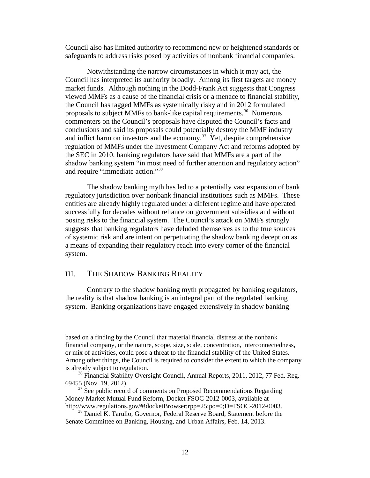Council also has limited authority to recommend new or heightened standards or safeguards to address risks posed by activities of nonbank financial companies.

Notwithstanding the narrow circumstances in which it may act, the Council has interpreted its authority broadly. Among its first targets are money market funds. Although nothing in the Dodd-Frank Act suggests that Congress viewed MMFs as a cause of the financial crisis or a menace to financial stability, the Council has tagged MMFs as systemically risky and in 2012 formulated proposals to subject MMFs to bank-like capital requirements.<sup>36</sup> Numerous commenters on the Council's proposals have disputed the Council's facts and conclusions and said its proposals could potentially destroy the MMF industry and inflict harm on investors and the economy.<sup>[37](#page-13-2)</sup> Yet, despite comprehensive regulation of MMFs under the Investment Company Act and reforms adopted by the SEC in 2010, banking regulators have said that MMFs are a part of the shadow banking system "in most need of further attention and regulatory action" and require "immediate action."[38](#page-13-3)

The shadow banking myth has led to a potentially vast expansion of bank regulatory jurisdiction over nonbank financial institutions such as MMFs. These entities are already highly regulated under a different regime and have operated successfully for decades without reliance on government subsidies and without posing risks to the financial system. The Council's attack on MMFs strongly suggests that banking regulators have deluded themselves as to the true sources of systemic risk and are intent on perpetuating the shadow banking deception as a means of expanding their regulatory reach into every corner of the financial system.

### <span id="page-13-0"></span>III. THE SHADOW BANKING REALITY

 $\overline{a}$ 

Contrary to the shadow banking myth propagated by banking regulators, the reality is that shadow banking is an integral part of the regulated banking system. Banking organizations have engaged extensively in shadow banking

based on a finding by the Council that material financial distress at the nonbank financial company, or the nature, scope, size, scale, concentration, interconnectedness, or mix of activities, could pose a threat to the financial stability of the United States. Among other things, the Council is required to consider the extent to which the company is already subject to regulation.<br><sup>36</sup> Financial Stability Oversight Council, Annual Reports, 2011, 2012, 77 Fed. Reg.

<span id="page-13-1"></span><sup>69455 (</sup>Nov. 19, 2012).

<span id="page-13-2"></span> $37$  See public record of comments on Proposed Recommendations Regarding Money Market Mutual Fund Reform, Docket FSOC-2012-0003, available at http://www.regulations.gov/#!docketBrowser;rpp=25;po=0;D=FSOC-2012-0003.

<span id="page-13-3"></span> $38$  Daniel K. Tarullo, Governor, Federal Reserve Board, Statement before the Senate Committee on Banking, Housing, and Urban Affairs, Feb. 14, 2013.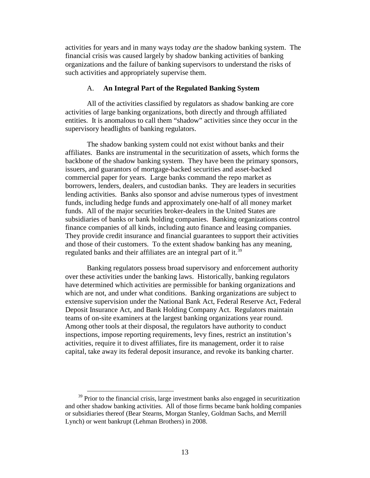activities for years and in many ways today *are* the shadow banking system. The financial crisis was caused largely by shadow banking activities of banking organizations and the failure of banking supervisors to understand the risks of such activities and appropriately supervise them.

### A. **An Integral Part of the Regulated Banking System**

<span id="page-14-0"></span>All of the activities classified by regulators as shadow banking are core activities of large banking organizations, both directly and through affiliated entities. It is anomalous to call them "shadow" activities since they occur in the supervisory headlights of banking regulators.

The shadow banking system could not exist without banks and their affiliates. Banks are instrumental in the securitization of assets, which forms the backbone of the shadow banking system. They have been the primary sponsors, issuers, and guarantors of mortgage-backed securities and asset-backed commercial paper for years. Large banks command the repo market as borrowers, lenders, dealers, and custodian banks. They are leaders in securities lending activities. Banks also sponsor and advise numerous types of investment funds, including hedge funds and approximately one-half of all money market funds. All of the major securities broker-dealers in the United States are subsidiaries of banks or bank holding companies. Banking organizations control finance companies of all kinds, including auto finance and leasing companies. They provide credit insurance and financial guarantees to support their activities and those of their customers. To the extent shadow banking has any meaning, regulated banks and their affiliates are an integral part of it.<sup>[39](#page-14-1)</sup>

Banking regulators possess broad supervisory and enforcement authority over these activities under the banking laws. Historically, banking regulators have determined which activities are permissible for banking organizations and which are not, and under what conditions. Banking organizations are subject to extensive supervision under the National Bank Act, Federal Reserve Act, Federal Deposit Insurance Act, and Bank Holding Company Act. Regulators maintain teams of on-site examiners at the largest banking organizations year round. Among other tools at their disposal, the regulators have authority to conduct inspections, impose reporting requirements, levy fines, restrict an institution's activities, require it to divest affiliates, fire its management, order it to raise capital, take away its federal deposit insurance, and revoke its banking charter.

<span id="page-14-1"></span> $39$  Prior to the financial crisis, large investment banks also engaged in securitization and other shadow banking activities. All of those firms became bank holding companies or subsidiaries thereof (Bear Stearns, Morgan Stanley, Goldman Sachs, and Merrill Lynch) or went bankrupt (Lehman Brothers) in 2008.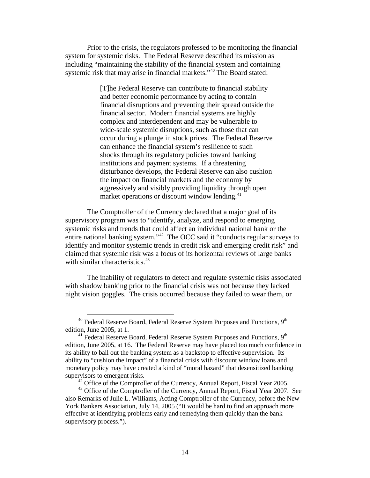Prior to the crisis, the regulators professed to be monitoring the financial system for systemic risks. The Federal Reserve described its mission as including "maintaining the stability of the financial system and containing systemic risk that may arise in financial markets."<sup>[40](#page-15-0)</sup> The Board stated:

> [T]he Federal Reserve can contribute to financial stability and better economic performance by acting to contain financial disruptions and preventing their spread outside the financial sector. Modern financial systems are highly complex and interdependent and may be vulnerable to wide-scale systemic disruptions, such as those that can occur during a plunge in stock prices. The Federal Reserve can enhance the financial system's resilience to such shocks through its regulatory policies toward banking institutions and payment systems. If a threatening disturbance develops, the Federal Reserve can also cushion the impact on financial markets and the economy by aggressively and visibly providing liquidity through open market operations or discount window lending.<sup>[41](#page-15-1)</sup>

The Comptroller of the Currency declared that a major goal of its supervisory program was to "identify, analyze, and respond to emerging systemic risks and trends that could affect an individual national bank or the entire national banking system."[42](#page-15-2) The OCC said it "conducts regular surveys to identify and monitor systemic trends in credit risk and emerging credit risk" and claimed that systemic risk was a focus of its horizontal reviews of large banks with similar characteristics.<sup>[43](#page-15-3)</sup>

The inability of regulators to detect and regulate systemic risks associated with shadow banking prior to the financial crisis was not because they lacked night vision goggles. The crisis occurred because they failed to wear them, or

 $42$  Office of the Comptroller of the Currency, Annual Report, Fiscal Year 2005.

<span id="page-15-0"></span> $40$  Federal Reserve Board, Federal Reserve System Purposes and Functions,  $9<sup>th</sup>$ edition, June 2005, at 1.

<span id="page-15-1"></span> $41$  Federal Reserve Board, Federal Reserve System Purposes and Functions,  $9<sup>th</sup>$ edition, June 2005, at 16. The Federal Reserve may have placed too much confidence in its ability to bail out the banking system as a backstop to effective supervision. Its ability to "cushion the impact" of a financial crisis with discount window loans and monetary policy may have created a kind of "moral hazard" that desensitized banking supervisors to emergent risks.

<span id="page-15-3"></span><span id="page-15-2"></span><sup>&</sup>lt;sup>43</sup> Office of the Comptroller of the Currency, Annual Report, Fiscal Year 2007. See also Remarks of Julie L. Williams, Acting Comptroller of the Currency, before the New York Bankers Association, July 14, 2005 ("It would be hard to find an approach more effective at identifying problems early and remedying them quickly than the bank supervisory process.").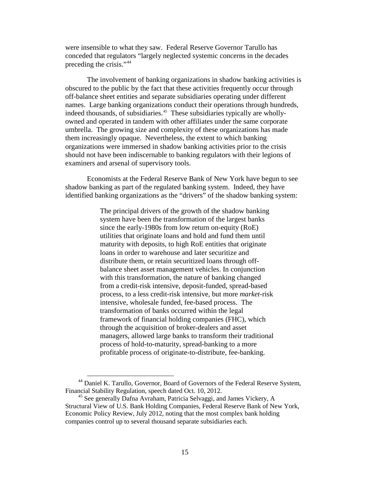were insensible to what they saw. Federal Reserve Governor Tarullo has conceded that regulators "largely neglected systemic concerns in the decades preceding the crisis."<sup>[44](#page-16-0)</sup>

The involvement of banking organizations in shadow banking activities is obscured to the public by the fact that these activities frequently occur through off-balance sheet entities and separate subsidiaries operating under different names. Large banking organizations conduct their operations through hundreds, indeed thousands, of subsidiaries. [45](#page-16-1) These subsidiaries typically are whollyowned and operated in tandem with other affiliates under the same corporate umbrella. The growing size and complexity of these organizations has made them increasingly opaque. Nevertheless, the extent to which banking organizations were immersed in shadow banking activities prior to the crisis should not have been indiscernable to banking regulators with their legions of examiners and arsenal of supervisory tools.

Economists at the Federal Reserve Bank of New York have begun to see shadow banking as part of the regulated banking system. Indeed, they have identified banking organizations as the "drivers" of the shadow banking system:

> The principal drivers of the growth of the shadow banking system have been the transformation of the largest banks since the early-1980s from low return on-equity (RoE) utilities that originate loans and hold and fund them until maturity with deposits, to high RoE entities that originate loans in order to warehouse and later securitize and distribute them, or retain securitized loans through offbalance sheet asset management vehicles. In conjunction with this transformation, the nature of banking changed from a credit-risk intensive, deposit-funded, spread-based process, to a less credit-risk intensive, but more *market*-risk intensive, wholesale funded, fee-based process. The transformation of banks occurred within the legal framework of financial holding companies (FHC), which through the acquisition of broker-dealers and asset managers, allowed large banks to transform their traditional process of hold-to-maturity, spread-banking to a more profitable process of originate-to-distribute, fee-banking.

<span id="page-16-0"></span><sup>&</sup>lt;sup>44</sup> Daniel K. Tarullo, Governor, Board of Governors of the Federal Reserve System, Financial Stability Regulation, speech dated Oct. 10, 2012.

<span id="page-16-1"></span><sup>45</sup> See generally Dafna Avraham, Patricia Selvaggi, and James Vickery, A Structural View of U.S. Bank Holding Companies, Federal Reserve Bank of New York, Economic Policy Review, July 2012, noting that the most complex bank holding companies control up to several thousand separate subsidiaries each.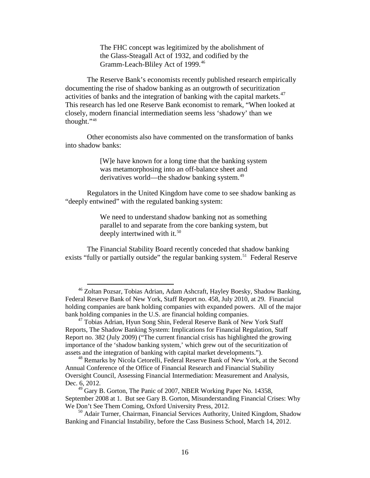The FHC concept was legitimized by the abolishment of the Glass-Steagall Act of 1932, and codified by the Gramm-Leach-Bliley Act of 1999.<sup>[46](#page-17-0)</sup>

The Reserve Bank's economists recently published research empirically documenting the rise of shadow banking as an outgrowth of securitization activities of banks and the integration of banking with the capital markets. [47](#page-17-1)  This research has led one Reserve Bank economist to remark, "When looked at closely, modern financial intermediation seems less 'shadowy' than we thought."[48](#page-17-2)

Other economists also have commented on the transformation of banks into shadow banks:

> [W]e have known for a long time that the banking system was metamorphosing into an off-balance sheet and derivatives world—the shadow banking system.<sup>[49](#page-17-3)</sup>

Regulators in the United Kingdom have come to see shadow banking as "deeply entwined" with the regulated banking system:

> We need to understand shadow banking not as something parallel to and separate from the core banking system, but deeply intertwined with it. $50$

The Financial Stability Board recently conceded that shadow banking exists "fully or partially outside" the regular banking system.<sup>[51](#page-17-5)</sup> Federal Reserve

<span id="page-17-0"></span> <sup>46</sup> Zoltan Pozsar, Tobias Adrian, Adam Ashcraft, Hayley Boesky, Shadow Banking, Federal Reserve Bank of New York, Staff Report no. 458, July 2010, at 29. Financial holding companies are bank holding companies with expanded powers. All of the major bank holding companies in the U.S. are financial holding companies.

<span id="page-17-5"></span><span id="page-17-1"></span><sup>&</sup>lt;sup>47</sup> Tobias Adrian, Hyun Song Shin, Federal Reserve Bank of New York Staff Reports, The Shadow Banking System: Implications for Financial Regulation, Staff Report no. 382 (July 2009) ("The current financial crisis has highlighted the growing importance of the 'shadow banking system,' which grew out of the securitization of assets and the integration of banking with capital market developments.").

<span id="page-17-2"></span><sup>48</sup> Remarks by Nicola Cetorelli, Federal Reserve Bank of New York, at the Second [Annual Conference of the Office of Financial Research and Financial Stability](http://treas.yorkcast.com/webcast/Viewer/?peid=58169c9f0bcf47beaaa832012af191e21d)  [Oversight Council, Assessing Financial Intermediation: Measurement and Analysis,](http://treas.yorkcast.com/webcast/Viewer/?peid=58169c9f0bcf47beaaa832012af191e21d)  [Dec. 6, 2012](http://treas.yorkcast.com/webcast/Viewer/?peid=58169c9f0bcf47beaaa832012af191e21d)*.* <sup>49</sup> Gary B. Gorton, The Panic of 2007, NBER Working Paper No. 14358,

<span id="page-17-3"></span>September 2008 at 1. But see Gary B. Gorton, Misunderstanding Financial Crises: Why We Don't See Them Coming, Oxford University Press, 2012.

<span id="page-17-4"></span><sup>&</sup>lt;sup>50</sup> Adair Turner, Chairman, Financial Services Authority, United Kingdom, Shadow Banking and Financial Instability, before the Cass Business School, March 14, 2012.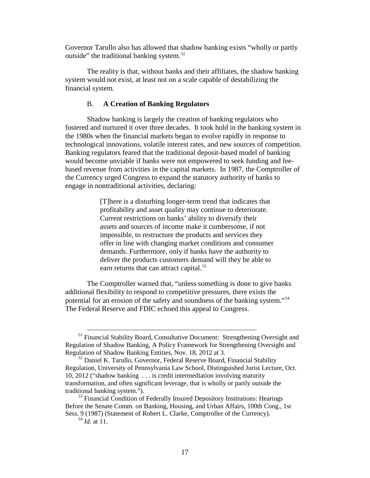Governor Tarullo also has allowed that shadow banking exists "wholly or partly outside" the traditional banking system. $52$ 

The reality is that, without banks and their affiliates, the shadow banking system would not exist, at least not on a scale capable of destabilizing the financial system.

### <span id="page-18-0"></span>B. **A Creation of Banking Regulators**

Shadow banking is largely the creation of banking regulators who fostered and nurtured it over three decades. It took hold in the banking system in the 1980s when the financial markets began to evolve rapidly in response to technological innovations, volatile interest rates, and new sources of competition. Banking regulators feared that the traditional deposit-based model of banking would become unviable if banks were not empowered to seek funding and feebased revenue from activities in the capital markets. In 1987, the Comptroller of the Currency urged Congress to expand the statutory authority of banks to engage in nontraditional activities, declaring:

> [T]here is a disturbing longer-term trend that indicates that profitability and asset quality may continue to deteriorate. Current restrictions on banks' ability to diversify their assets and sources of income make it cumbersome, if not impossible, to restructure the products and services they offer in line with changing market conditions and consumer demands. Furthermore, only if banks have the authority to deliver the products customers demand will they be able to earn returns that can attract capital.<sup>[53](#page-18-2)</sup>

The Comptroller warned that, "unless something is done to give banks additional flexibility to respond to competitive pressures, there exists the potential for an erosion of the safety and soundness of the banking system."[54](#page-18-3) The Federal Reserve and FDIC echoed this appeal to Congress.

<sup>&</sup>lt;sup>51</sup> Financial Stability Board, Consultative Document: Strengthening Oversight and Regulation of Shadow Banking, A Policy Framework for Strengthening Oversight and Regulation of Shadow Banking Entities, Nov. 18, 2012 at 3.

<span id="page-18-1"></span><sup>&</sup>lt;sup>52</sup> Daniel K. Tarullo, Governor, Federal Reserve Board, Financial Stability Regulation, University of Pennsylvania Law School, Distinguished Jurist Lecture, Oct. 10, 2012 ("shadow banking . . . is credit intermediation involving maturity transformation, and often significant leverage, that is wholly or partly outside the traditional banking system.").

<span id="page-18-3"></span><span id="page-18-2"></span><sup>&</sup>lt;sup>53</sup> Financial Condition of Federally Insured Depository Institutions: Hearings Before the Senate Comm. on Banking, Housing, and Urban Affairs, 100th Cong., 1st Sess. 9 (1987) (Statement of Robert L. Clarke, Comptroller of the Currency).

<sup>54</sup> *Id.* at 11.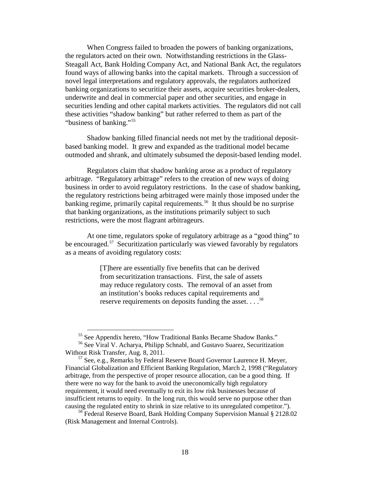When Congress failed to broaden the powers of banking organizations, the regulators acted on their own. Notwithstanding restrictions in the Glass-Steagall Act, Bank Holding Company Act, and National Bank Act, the regulators found ways of allowing banks into the capital markets. Through a succession of novel legal interpretations and regulatory approvals, the regulators authorized banking organizations to securitize their assets, acquire securities broker-dealers, underwrite and deal in commercial paper and other securities, and engage in securities lending and other capital markets activities. The regulators did not call these activities "shadow banking" but rather referred to them as part of the "business of banking."[55](#page-19-0)

Shadow banking filled financial needs not met by the traditional depositbased banking model. It grew and expanded as the traditional model became outmoded and shrank, and ultimately subsumed the deposit-based lending model.

Regulators claim that shadow banking arose as a product of regulatory arbitrage. "Regulatory arbitrage" refers to the creation of new ways of doing business in order to avoid regulatory restrictions. In the case of shadow banking, the regulatory restrictions being arbitraged were mainly those imposed under the banking regime, primarily capital requirements.<sup>[56](#page-19-1)</sup> It thus should be no surprise that banking organizations, as the institutions primarily subject to such restrictions, were the most flagrant arbitrageurs.

At one time, regulators spoke of regulatory arbitrage as a "good thing" to be encouraged.<sup>[57](#page-19-2)</sup> Securitization particularly was viewed favorably by regulators as a means of avoiding regulatory costs:

> [T]here are essentially five benefits that can be derived from securitization transactions. First, the sale of assets may reduce regulatory costs. The removal of an asset from an institution's books reduces capital requirements and reserve requirements on deposits funding the asset. . . . <sup>[58](#page-19-3)</sup>

<sup>&</sup>lt;sup>55</sup> See Appendix hereto, "How Traditional Banks Became Shadow Banks."

<span id="page-19-1"></span><span id="page-19-0"></span><sup>&</sup>lt;sup>56</sup> See Viral V. Acharya, Philipp Schnabl, and Gustavo Suarez, Securitization Without Risk Transfer, Aug. 8, 2011.

<span id="page-19-2"></span><sup>&</sup>lt;sup>57</sup> See, e.g., Remarks by Federal Reserve Board Governor Laurence H. Meyer, Financial Globalization and Efficient Banking Regulation, March 2, 1998 ("Regulatory arbitrage, from the perspective of proper resource allocation, can be a good thing. If there were no way for the bank to avoid the uneconomically high regulatory requirement, it would need eventually to exit its low risk businesses because of insufficient returns to equity. In the long run, this would serve no purpose other than causing the regulated entity to shrink in size relative to its unregulated competitor.").

<span id="page-19-3"></span><sup>&</sup>lt;sup>58</sup> Federal Reserve Board, Bank Holding Company Supervision Manual § 2128.02 (Risk Management and Internal Controls).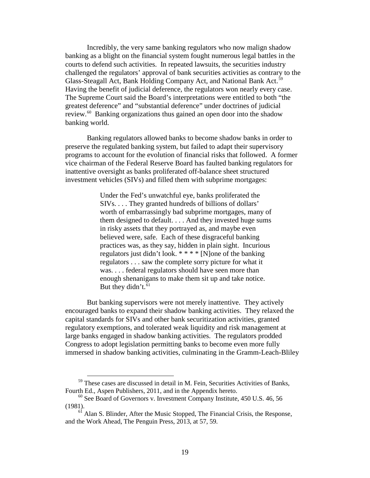Incredibly, the very same banking regulators who now malign shadow banking as a blight on the financial system fought numerous legal battles in the courts to defend such activities. In repeated lawsuits, the securities industry challenged the regulators' approval of bank securities activities as contrary to the Glass-Steagall Act, Bank Holding Company Act, and National Bank Act.<sup>[59](#page-20-0)</sup> Having the benefit of judicial deference, the regulators won nearly every case. The Supreme Court said the Board's interpretations were entitled to both "the greatest deference" and "substantial deference" under doctrines of judicial review.<sup>[60](#page-20-1)</sup> Banking organizations thus gained an open door into the shadow banking world.

Banking regulators allowed banks to become shadow banks in order to preserve the regulated banking system, but failed to adapt their supervisory programs to account for the evolution of financial risks that followed. A former vice chairman of the Federal Reserve Board has faulted banking regulators for inattentive oversight as banks proliferated off-balance sheet structured investment vehicles (SIVs) and filled them with subprime mortgages:

> Under the Fed's unwatchful eye, banks proliferated the SIVs. . . . They granted hundreds of billions of dollars' worth of embarrassingly bad subprime mortgages, many of them designed to default. . . . And they invested huge sums in risky assets that they portrayed as, and maybe even believed were, safe. Each of these disgraceful banking practices was, as they say, hidden in plain sight. Incurious regulators just didn't look. \* \* \* \* [N]one of the banking regulators . . . saw the complete sorry picture for what it was. . . . federal regulators should have seen more than enough shenanigans to make them sit up and take notice. But they didn't.<sup>[61](#page-20-2)</sup>

But banking supervisors were not merely inattentive. They actively encouraged banks to expand their shadow banking activities. They relaxed the capital standards for SIVs and other bank securitization activities, granted regulatory exemptions, and tolerated weak liquidity and risk management at large banks engaged in shadow banking activities. The regulators prodded Congress to adopt legislation permitting banks to become even more fully immersed in shadow banking activities, culminating in the Gramm-Leach-Bliley

<span id="page-20-0"></span><sup>&</sup>lt;sup>59</sup> These cases are discussed in detail in M. Fein, Securities Activities of Banks, Fourth Ed., Aspen Publishers, 2011, and in the Appendix hereto.

<span id="page-20-1"></span> $60$  See Board of Governors v. Investment Company Institute, 450 U.S. 46, 56 (1981).

<span id="page-20-2"></span> $6<sup>1</sup>$  Alan S. Blinder, After the Music Stopped, The Financial Crisis, the Response, and the Work Ahead, The Penguin Press, 2013, at 57, 59.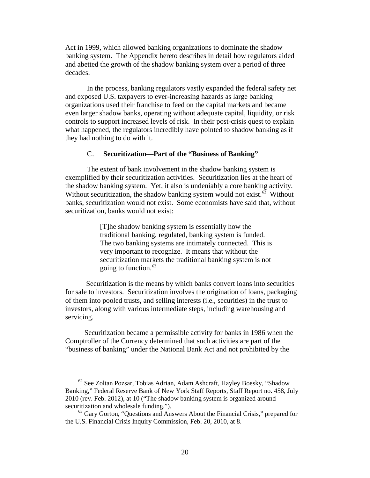Act in 1999, which allowed banking organizations to dominate the shadow banking system. The Appendix hereto describes in detail how regulators aided and abetted the growth of the shadow banking system over a period of three decades.

In the process, banking regulators vastly expanded the federal safety net and exposed U.S. taxpayers to ever-increasing hazards as large banking organizations used their franchise to feed on the capital markets and became even larger shadow banks, operating without adequate capital, liquidity, or risk controls to support increased levels of risk. In their post-crisis quest to explain what happened, the regulators incredibly have pointed to shadow banking as if they had nothing to do with it.

### <span id="page-21-0"></span>C. **Securitization—Part of the "Business of Banking"**

The extent of bank involvement in the shadow banking system is exemplified by their securitization activities. Securitization lies at the heart of the shadow banking system. Yet, it also is undeniably a core banking activity. Without securitization, the shadow banking system would not exist. $62$  Without banks, securitization would not exist. Some economists have said that, without securitization, banks would not exist:

> [T]he shadow banking system is essentially how the traditional banking, regulated, banking system is funded. The two banking systems are intimately connected. This is very important to recognize. It means that without the securitization markets the traditional banking system is not going to function. [63](#page-21-2)

Securitization is the means by which banks convert loans into securities for sale to investors. Securitization involves the origination of loans, packaging of them into pooled trusts, and selling interests (i.e., securities) in the trust to investors, along with various intermediate steps, including warehousing and servicing.

Securitization became a permissible activity for banks in 1986 when the Comptroller of the Currency determined that such activities are part of the "business of banking" under the National Bank Act and not prohibited by the

<span id="page-21-1"></span> $62$  See Zoltan Pozsar, Tobias Adrian, Adam Ashcraft, Hayley Boesky, "Shadow" Banking," Federal Reserve Bank of New York Staff Reports, Staff Report no. 458, July 2010 (rev. Feb. 2012), at 10 ("The shadow banking system is organized around securitization and wholesale funding.").

<span id="page-21-2"></span> $63$  Gary Gorton, "Questions and Answers About the Financial Crisis," prepared for the U.S. Financial Crisis Inquiry Commission, Feb. 20, 2010, at 8.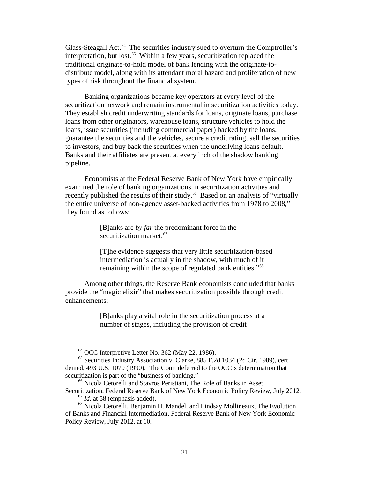Glass-Steagall Act.<sup>[64](#page-22-0)</sup> The securities industry sued to overturn the Comptroller's interpretation, but lost. [65](#page-22-1) Within a few years, securitization replaced the traditional originate-to-hold model of bank lending with the originate-todistribute model, along with its attendant moral hazard and proliferation of new types of risk throughout the financial system.

Banking organizations became key operators at every level of the securitization network and remain instrumental in securitization activities today. They establish credit underwriting standards for loans, originate loans, purchase loans from other originators, warehouse loans, structure vehicles to hold the loans, issue securities (including commercial paper) backed by the loans, guarantee the securities and the vehicles, secure a credit rating, sell the securities to investors, and buy back the securities when the underlying loans default. Banks and their affiliates are present at every inch of the shadow banking pipeline.

Economists at the Federal Reserve Bank of New York have empirically examined the role of banking organizations in securitization activities and recently published the results of their study.<sup>[66](#page-22-2)</sup> Based on an analysis of "virtually the entire universe of non-agency asset-backed activities from 1978 to 2008," they found as follows:

> [B]anks are *by far* the predominant force in the securitization market. [67](#page-22-3)

[T]he evidence suggests that very little securitization-based intermediation is actually in the shadow, with much of it remaining within the scope of regulated bank entities."<sup>[68](#page-22-4)</sup>

Among other things, the Reserve Bank economists concluded that banks provide the "magic elixir" that makes securitization possible through credit enhancements:

> [B]anks play a vital role in the securitization process at a number of stages, including the provision of credit

<sup>&</sup>lt;sup>64</sup> OCC Interpretive Letter No. 362 (May 22, 1986).

<span id="page-22-1"></span><span id="page-22-0"></span><sup>65</sup> Securities Industry Association v. Clarke, 885 F.2d 1034 (2d Cir. 1989), cert. denied, 493 U.S. 1070 (1990). The Court deferred to the OCC's determination that securitization is part of the "business of banking."

<span id="page-22-2"></span><sup>66</sup> Nicola Cetorelli and Stavros Peristiani, The Role of Banks in Asset Securitization, Federal Reserve Bank of New York Economic Policy Review, July 2012.

<sup>&</sup>lt;sup>67</sup> *Id.* at 58 (emphasis added).

<span id="page-22-4"></span><span id="page-22-3"></span><sup>68</sup> Nicola Cetorelli, Benjamin H. Mandel, and Lindsay Mollineaux, The Evolution of Banks and Financial Intermediation, Federal Reserve Bank of New York Economic Policy Review, July 2012, at 10.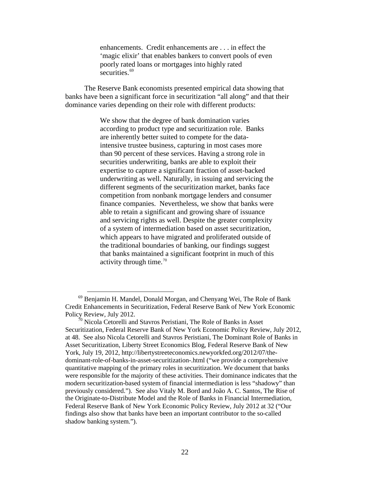enhancements. Credit enhancements are . . . in effect the 'magic elixir' that enables bankers to convert pools of even poorly rated loans or mortgages into highly rated securities.<sup>[69](#page-23-0)</sup>

The Reserve Bank economists presented empirical data showing that banks have been a significant force in securitization "all along" and that their dominance varies depending on their role with different products:

> We show that the degree of bank domination varies according to product type and securitization role. Banks are inherently better suited to compete for the dataintensive trustee business, capturing in most cases more than 90 percent of these services. Having a strong role in securities underwriting, banks are able to exploit their expertise to capture a significant fraction of asset-backed underwriting as well. Naturally, in issuing and servicing the different segments of the securitization market, banks face competition from nonbank mortgage lenders and consumer finance companies. Nevertheless, we show that banks were able to retain a significant and growing share of issuance and servicing rights as well. Despite the greater complexity of a system of intermediation based on asset securitization, which appears to have migrated and proliferated outside of the traditional boundaries of banking, our findings suggest that banks maintained a significant footprint in much of this activity through time. $70$

<span id="page-23-0"></span> <sup>69</sup> Benjamin H. Mandel, Donald Morgan, and Chenyang Wei, The Role of Bank Credit Enhancements in Securitization, Federal Reserve Bank of New York Economic Policy Review, July 2012.<br><sup>70</sup> Nicola Cetorelli and Stavros Peristiani, The Role of Banks in Asset

<span id="page-23-1"></span>Securitization, Federal Reserve Bank of New York Economic Policy Review, July 2012, at 48. See also Nicola Cetorelli and Stavros Peristiani, The Dominant Role of Banks in Asset Securitization, Liberty Street Economics Blog, Federal Reserve Bank of New York, July 19, 2012, [http://libertystreeteconomics.newyorkfed.org/2012/07/the](http://libertystreeteconomics.newyorkfed.org/2012/07/the-dominant-role-of-banks-in-asset-securitization-.html)[dominant-role-of-banks-in-asset-securitization-.html](http://libertystreeteconomics.newyorkfed.org/2012/07/the-dominant-role-of-banks-in-asset-securitization-.html) ("we provide a comprehensive quantitative mapping of the primary roles in securitization. We document that banks were responsible for the majority of these activities. Their dominance indicates that the modern securitization-based system of financial intermediation is less "shadowy" than previously considered."). See also Vitaly M. Bord and João A. C. Santos, The Rise of the Originate-to-Distribute Model and the Role of Banks in Financial Intermediation, Federal Reserve Bank of New York Economic Policy Review, July 2012 at 32 ("Our findings also show that banks have been an important contributor to the so-called shadow banking system.").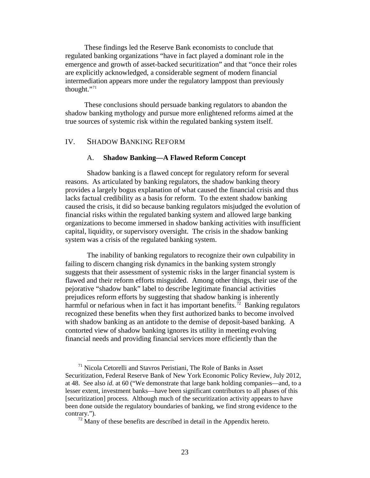These findings led the Reserve Bank economists to conclude that regulated banking organizations "have in fact played a dominant role in the emergence and growth of asset-backed securitization" and that "once their roles are explicitly acknowledged, a considerable segment of modern financial intermediation appears more under the regulatory lamppost than previously thought."[71](#page-24-2)

These conclusions should persuade banking regulators to abandon the shadow banking mythology and pursue more enlightened reforms aimed at the true sources of systemic risk within the regulated banking system itself.

### <span id="page-24-1"></span><span id="page-24-0"></span>IV. SHADOW BANKING REFORM

### A. **Shadow Banking—A Flawed Reform Concept**

Shadow banking is a flawed concept for regulatory reform for several reasons. As articulated by banking regulators, the shadow banking theory provides a largely bogus explanation of what caused the financial crisis and thus lacks factual credibility as a basis for reform. To the extent shadow banking caused the crisis, it did so because banking regulators misjudged the evolution of financial risks within the regulated banking system and allowed large banking organizations to become immersed in shadow banking activities with insufficient capital, liquidity, or supervisory oversight. The crisis in the shadow banking system was a crisis of the regulated banking system.

The inability of banking regulators to recognize their own culpability in failing to discern changing risk dynamics in the banking system strongly suggests that their assessment of systemic risks in the larger financial system is flawed and their reform efforts misguided. Among other things, their use of the pejorative "shadow bank" label to describe legitimate financial activities prejudices reform efforts by suggesting that shadow banking is inherently harmful or nefarious when in fact it has important benefits.<sup>[72](#page-24-3)</sup> Banking regulators recognized these benefits when they first authorized banks to become involved with shadow banking as an antidote to the demise of deposit-based banking. A contorted view of shadow banking ignores its utility in meeting evolving financial needs and providing financial services more efficiently than the

<span id="page-24-2"></span><sup>&</sup>lt;sup>71</sup> Nicola Cetorelli and Stavros Peristiani, The Role of Banks in Asset Securitization, Federal Reserve Bank of New York Economic Policy Review, July 2012, at 48. See also *id.* at 60 ("We demonstrate that large bank holding companies—and, to a lesser extent, investment banks—have been significant contributors to all phases of this [securitization] process. Although much of the securitization activity appears to have been done outside the regulatory boundaries of banking, we find strong evidence to the contrary.").

<span id="page-24-3"></span> $72$  Many of these benefits are described in detail in the Appendix hereto.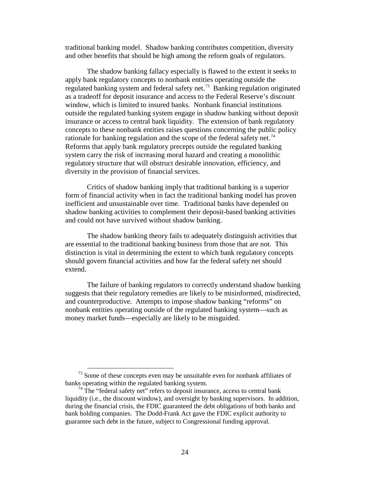traditional banking model. Shadow banking contributes competition, diversity and other benefits that should be high among the reform goals of regulators.

The shadow banking fallacy especially is flawed to the extent it seeks to apply bank regulatory concepts to nonbank entities operating outside the regulated banking system and federal safety net.<sup>[73](#page-25-0)</sup> Banking regulation originated as a tradeoff for deposit insurance and access to the Federal Reserve's discount window, which is limited to insured banks. Nonbank financial institutions outside the regulated banking system engage in shadow banking without deposit insurance or access to central bank liquidity. The extension of bank regulatory concepts to these nonbank entities raises questions concerning the public policy rationale for banking regulation and the scope of the federal safety net.<sup>[74](#page-25-1)</sup> Reforms that apply bank regulatory precepts outside the regulated banking system carry the risk of increasing moral hazard and creating a monolithic regulatory structure that will obstruct desirable innovation, efficiency, and diversity in the provision of financial services.

Critics of shadow banking imply that traditional banking is a superior form of financial activity when in fact the traditional banking model has proven inefficient and unsustainable over time. Traditional banks have depended on shadow banking activities to complement their deposit-based banking activities and could not have survived without shadow banking.

The shadow banking theory fails to adequately distinguish activities that are essential to the traditional banking business from those that are not. This distinction is vital in determining the extent to which bank regulatory concepts should govern financial activities and how far the federal safety net should extend.

The failure of banking regulators to correctly understand shadow banking suggests that their regulatory remedies are likely to be misinformed, misdirected, and counterproductive. Attempts to impose shadow banking "reforms" on nonbank entities operating outside of the regulated banking system—such as money market funds—especially are likely to be misguided.

<span id="page-25-0"></span> $73$  Some of these concepts even may be unsuitable even for nonbank affiliates of banks operating within the regulated banking system.

<span id="page-25-1"></span> $74$  The "federal safety net" refers to deposit insurance, access to central bank liquidity (i.e., the discount window), and oversight by banking supervisors. In addition, during the financial crisis, the FDIC guaranteed the debt obligations of both banks and bank holding companies. The Dodd-Frank Act gave the FDIC explicit authority to guarantee such debt in the future, subject to Congressional funding approval.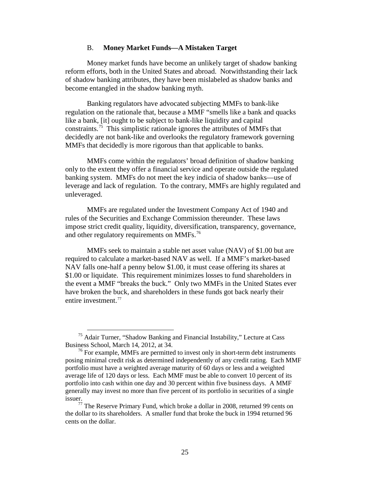#### B. **Money Market Funds—A Mistaken Target**

<span id="page-26-0"></span>Money market funds have become an unlikely target of shadow banking reform efforts, both in the United States and abroad. Notwithstanding their lack of shadow banking attributes, they have been mislabeled as shadow banks and become entangled in the shadow banking myth.

Banking regulators have advocated subjecting MMFs to bank-like regulation on the rationale that, because a MMF "smells like a bank and quacks like a bank, [it] ought to be subject to bank-like liquidity and capital constraints.<sup>[75](#page-26-1)</sup> This simplistic rationale ignores the attributes of MMFs that decidedly are not bank-like and overlooks the regulatory framework governing MMFs that decidedly is more rigorous than that applicable to banks.

MMFs come within the regulators' broad definition of shadow banking only to the extent they offer a financial service and operate outside the regulated banking system. MMFs do not meet the key indicia of shadow banks—use of leverage and lack of regulation. To the contrary, MMFs are highly regulated and unleveraged.

MMFs are regulated under the Investment Company Act of 1940 and rules of the Securities and Exchange Commission thereunder. These laws impose strict credit quality, liquidity, diversification, transparency, governance, and other regulatory requirements on MMFs.<sup>[76](#page-26-2)</sup>

MMFs seek to maintain a stable net asset value (NAV) of \$1.00 but are required to calculate a market-based NAV as well. If a MMF's market-based NAV falls one-half a penny below \$1.00, it must cease offering its shares at \$1.00 or liquidate. This requirement minimizes losses to fund shareholders in the event a MMF "breaks the buck." Only two MMFs in the United States ever have broken the buck, and shareholders in these funds got back nearly their entire investment.<sup>[77](#page-26-3)</sup>

<span id="page-26-1"></span> $75$  Adair Turner, "Shadow Banking and Financial Instability," Lecture at Cass Business School, March 14, 2012, at 34.

<span id="page-26-2"></span> $76$  For example, MMFs are permitted to invest only in short-term debt instruments posing minimal credit risk as determined independently of any credit rating. Each MMF portfolio must have a weighted average maturity of 60 days or less and a weighted average life of 120 days or less. Each MMF must be able to convert 10 percent of its portfolio into cash within one day and 30 percent within five business days. A MMF generally may invest no more than five percent of its portfolio in securities of a single issuer.

<span id="page-26-3"></span> $77$  The Reserve Primary Fund, which broke a dollar in 2008, returned 99 cents on the dollar to its shareholders. A smaller fund that broke the buck in 1994 returned 96 cents on the dollar.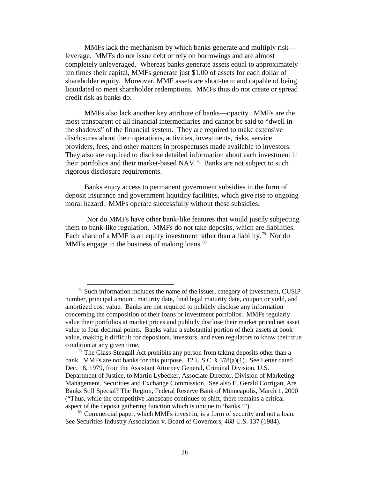MMFs lack the mechanism by which banks generate and multiply risk leverage. MMFs do not issue debt or rely on borrowings and are almost completely unleveraged. Whereas banks generate assets equal to approximately ten times their capital, MMFs generate just \$1.00 of assets for each dollar of shareholder equity. Moreover, MMF assets are short-term and capable of being liquidated to meet shareholder redemptions. MMFs thus do not create or spread credit risk as banks do.

MMFs also lack another key attribute of banks—opacity. MMFs are the most transparent of all financial intermediaries and cannot be said to "dwell in the shadows" of the financial system. They are required to make extensive disclosures about their operations, activities, investments, risks, service providers, fees, and other matters in prospectuses made available to investors. They also are required to disclose detailed information about each investment in their portfolios and their market-based NAV.<sup>[78](#page-27-0)</sup> Banks are not subject to such rigorous disclosure requirements.

Banks enjoy access to permanent government subsidies in the form of deposit insurance and government liquidity facilities, which give rise to ongoing moral hazard. MMFs operate successfully without these subsidies.

Nor do MMFs have other bank-like features that would justify subjecting them to bank-like regulation. MMFs do not take deposits, which are liabilities. Each share of a MMF is an equity investment rather than a liability.<sup>79</sup> Nor do MMFs engage in the business of making loans.<sup>[80](#page-27-2)</sup>

<span id="page-27-0"></span> $78$  Such information includes the name of the issuer, category of investment, CUSIP number, principal amount, maturity date, final legal maturity date, coupon or yield, and amortized cost value. Banks are not required to publicly disclose any information concerning the composition of their loans or investment portfolios. MMFs regularly value their portfolios at market prices and publicly disclose their market priced net asset value to four decimal points. Banks value a substantial portion of their assets at book value, making it difficult for depositors, investors, and even regulators to know their true condition at any given time.

<span id="page-27-1"></span> $79$  The Glass-Steagall Act prohibits any person from taking deposits other than a bank. MMFs are not banks for this purpose. 12 U.S.C.  $\S 378(a)(1)$ . See Letter dated Dec. 18, 1979, from the Assistant Attorney General, Criminal Division, U.S. Department of Justice, to Martin Lybecker, Associate Director, Division of Marketing Management, Securities and Exchange Commission. See also E. Gerald Corrigan, Are Banks Still Special? The Region, Federal Reserve Bank of Minneapolis, March 1, 2000 ("Thus, while the competitive landscape continues to shift, there remains a critical aspect of the deposit gathering function which is unique to 'banks.'").

<span id="page-27-2"></span> $80$  Commercial paper, which MMFs invest in, is a form of security and not a loan. See Securities Industry Association v. Board of Governors, 468 U.S. 137 (1984).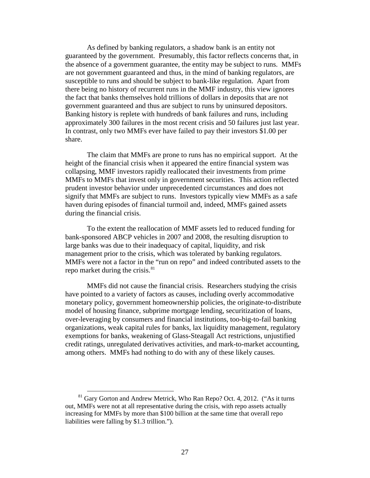As defined by banking regulators, a shadow bank is an entity not guaranteed by the government. Presumably, this factor reflects concerns that, in the absence of a government guarantee, the entity may be subject to runs. MMFs are not government guaranteed and thus, in the mind of banking regulators, are susceptible to runs and should be subject to bank-like regulation. Apart from there being no history of recurrent runs in the MMF industry, this view ignores the fact that banks themselves hold trillions of dollars in deposits that are not government guaranteed and thus are subject to runs by uninsured depositors. Banking history is replete with hundreds of bank failures and runs, including approximately 300 failures in the most recent crisis and 50 failures just last year. In contrast, only two MMFs ever have failed to pay their investors \$1.00 per share.

The claim that MMFs are prone to runs has no empirical support. At the height of the financial crisis when it appeared the entire financial system was collapsing, MMF investors rapidly reallocated their investments from prime MMFs to MMFs that invest only in government securities. This action reflected prudent investor behavior under unprecedented circumstances and does not signify that MMFs are subject to runs. Investors typically view MMFs as a safe haven during episodes of financial turmoil and, indeed, MMFs gained assets during the financial crisis.

To the extent the reallocation of MMF assets led to reduced funding for bank-sponsored ABCP vehicles in 2007 and 2008, the resulting disruption to large banks was due to their inadequacy of capital, liquidity, and risk management prior to the crisis, which was tolerated by banking regulators. MMFs were not a factor in the "run on repo" and indeed contributed assets to the repo market during the crisis.<sup>[81](#page-28-0)</sup>

MMFs did not cause the financial crisis. Researchers studying the crisis have pointed to a variety of factors as causes, including overly accommodative monetary policy, government homeownership policies, the originate-to-distribute model of housing finance, subprime mortgage lending, securitization of loans, over-leveraging by consumers and financial institutions, too-big-to-fail banking organizations, weak capital rules for banks, lax liquidity management, regulatory exemptions for banks, weakening of Glass-Steagall Act restrictions, unjustified credit ratings, unregulated derivatives activities, and mark-to-market accounting, among others. MMFs had nothing to do with any of these likely causes.

<span id="page-28-0"></span> $81$  Gary Gorton and Andrew Metrick, Who Ran Repo? Oct. 4, 2012. ("As it turns out, MMFs were not at all representative during the crisis, with repo assets actually increasing for MMFs by more than \$100 billion at the same time that overall repo liabilities were falling by \$1.3 trillion.").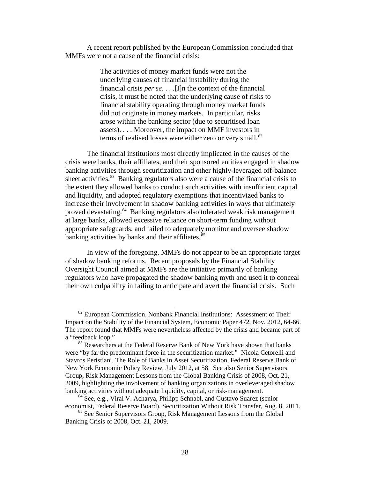A recent report published by the European Commission concluded that MMFs were not a cause of the financial crisis:

> The activities of money market funds were not the underlying causes of financial instability during the financial crisis *per se*. . . .[I]n the context of the financial crisis, it must be noted that the underlying cause of risks to financial stability operating through money market funds did not originate in money markets. In particular, risks arose within the banking sector (due to securitised loan assets). . . . Moreover, the impact on MMF investors in terms of realised losses were either zero or very small.<sup>[82](#page-29-0)</sup>

The financial institutions most directly implicated in the causes of the crisis were banks, their affiliates, and their sponsored entities engaged in shadow banking activities through securitization and other highly-leveraged off-balance sheet activities.<sup>[83](#page-29-1)</sup> Banking regulators also were a cause of the financial crisis to the extent they allowed banks to conduct such activities with insufficient capital and liquidity, and adopted regulatory exemptions that incentivized banks to increase their involvement in shadow banking activities in ways that ultimately proved devastating.<sup>[84](#page-29-2)</sup> Banking regulators also tolerated weak risk management at large banks, allowed excessive reliance on short-term funding without appropriate safeguards, and failed to adequately monitor and oversee shadow banking activities by banks and their affiliates.<sup>[85](#page-29-3)</sup>

In view of the foregoing, MMFs do not appear to be an appropriate target of shadow banking reforms. Recent proposals by the Financial Stability Oversight Council aimed at MMFs are the initiative primarily of banking regulators who have propagated the shadow banking myth and used it to conceal their own culpability in failing to anticipate and avert the financial crisis. Such

<span id="page-29-0"></span> $82$  European Commission, Nonbank Financial Institutions: Assessment of Their Impact on the Stability of the Financial System, Economic Paper 472, Nov. 2012, 64-66. The report found that MMFs were nevertheless affected by the crisis and became part of a "feedback loop."

<span id="page-29-1"></span><sup>&</sup>lt;sup>83</sup> Researchers at the Federal Reserve Bank of New York have shown that banks were "by far the predominant force in the securitization market." Nicola Cetorelli and Stavros Peristiani, The Role of Banks in Asset Securitization, Federal Reserve Bank of New York Economic Policy Review, July 2012, at 58. See also Senior Supervisors Group, Risk Management Lessons from the Global Banking Crisis of 2008, Oct. 21, 2009, highlighting the involvement of banking organizations in overleveraged shadow banking activities without adequate liquidity, capital, or risk-management. 84 See, e.g., Viral V. Acharya, Philipp Schnabl, and Gustavo Suarez (senior

<span id="page-29-2"></span>economist, Federal Reserve Board), Securitization Without Risk Transfer, Aug. 8, 2011.

<span id="page-29-3"></span><sup>&</sup>lt;sup>85</sup> See Senior Supervisors Group, Risk Management Lessons from the Global Banking Crisis of 2008, Oct. 21, 2009.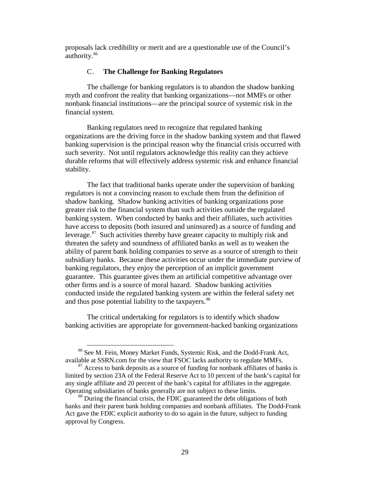<span id="page-30-0"></span>proposals lack credibility or merit and are a questionable use of the Council's authority.<sup>[86](#page-30-1)</sup>

#### C. **The Challenge for Banking Regulators**

The challenge for banking regulators is to abandon the shadow banking myth and confront the reality that banking organizations—not MMFs or other nonbank financial institutions—are the principal source of systemic risk in the financial system.

Banking regulators need to recognize that regulated banking organizations are the driving force in the shadow banking system and that flawed banking supervision is the principal reason why the financial crisis occurred with such severity. Not until regulators acknowledge this reality can they achieve durable reforms that will effectively address systemic risk and enhance financial stability.

The fact that traditional banks operate under the supervision of banking regulators is not a convincing reason to exclude them from the definition of shadow banking. Shadow banking activities of banking organizations pose greater risk to the financial system than such activities outside the regulated banking system. When conducted by banks and their affiliates, such activities have access to deposits (both insured and uninsured) as a source of funding and leverage.[87](#page-30-2) Such activities thereby have greater capacity to multiply risk and threaten the safety and soundness of affiliated banks as well as to weaken the ability of parent bank holding companies to serve as a source of strength to their subsidiary banks. Because these activities occur under the immediate purview of banking regulators, they enjoy the perception of an implicit government guarantee. This guarantee gives them an artificial competitive advantage over other firms and is a source of moral hazard. Shadow banking activities conducted inside the regulated banking system are within the federal safety net and thus pose potential liability to the taxpayers.<sup>[88](#page-30-3)</sup>

The critical undertaking for regulators is to identify which shadow banking activities are appropriate for government-backed banking organizations

<span id="page-30-1"></span> <sup>86</sup> See M. Fein, Money Market Funds, Systemic Risk, and the Dodd-Frank Act, available at SSRN.com for the view that FSOC lacks authority to regulate MMFs.

<span id="page-30-2"></span> $87$  Access to bank deposits as a source of funding for nonbank affiliates of banks is limited by section 23A of the Federal Reserve Act to 10 percent of the bank's capital for any single affiliate and 20 percent of the bank's capital for affiliates in the aggregate. Operating subsidiaries of banks generally are not subject to these limits.

<span id="page-30-3"></span><sup>&</sup>lt;sup>88</sup> During the financial crisis, the FDIC guaranteed the debt obligations of both banks and their parent bank holding companies and nonbank affiliates. The Dodd-Frank Act gave the FDIC explicit authority to do so again in the future, subject to funding approval by Congress.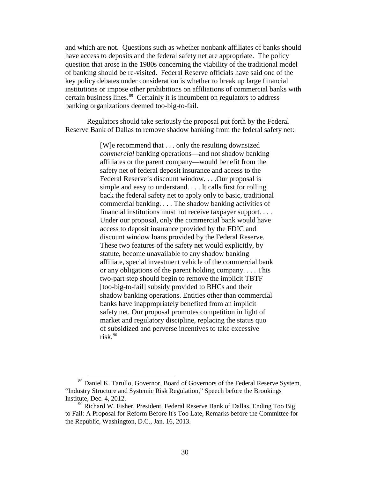and which are not. Questions such as whether nonbank affiliates of banks should have access to deposits and the federal safety net are appropriate. The policy question that arose in the 1980s concerning the viability of the traditional model of banking should be re-visited. Federal Reserve officials have said one of the key policy debates under consideration is whether to break up large financial institutions or impose other prohibitions on affiliations of commercial banks with certain business lines.<sup>[89](#page-31-0)</sup> Certainly it is incumbent on regulators to address banking organizations deemed too-big-to-fail.

Regulators should take seriously the proposal put forth by the Federal Reserve Bank of Dallas to remove shadow banking from the federal safety net:

> [W]e recommend that . . . only the resulting downsized *commercial* banking operations—and not shadow banking affiliates or the parent company—would benefit from the safety net of federal deposit insurance and access to the Federal Reserve's discount window. . . .Our proposal is simple and easy to understand. . . . It calls first for rolling back the federal safety net to apply only to basic, traditional commercial banking. . . . The shadow banking activities of financial institutions must not receive taxpayer support. . . . Under our proposal, only the commercial bank would have access to deposit insurance provided by the FDIC and discount window loans provided by the Federal Reserve. These two features of the safety net would explicitly, by statute, become unavailable to any shadow banking affiliate, special investment vehicle of the commercial bank or any obligations of the parent holding company. . . . This two-part step should begin to remove the implicit TBTF [too-big-to-fail] subsidy provided to BHCs and their shadow banking operations. Entities other than commercial banks have inappropriately benefited from an implicit safety net. Our proposal promotes competition in light of market and regulatory discipline, replacing the status quo of subsidized and perverse incentives to take excessive risk. $90$

<span id="page-31-0"></span> <sup>89</sup> Daniel K. Tarullo, Governor, Board of Governors of the Federal Reserve System, "Industry Structure and Systemic Risk Regulation," Speech before the Brookings Institute, Dec. 4, 2012.

<span id="page-31-1"></span> $90$  Richard W. Fisher, President, Federal Reserve Bank of Dallas, Ending Too Big to Fail: A Proposal for Reform Before It's Too Late, Remarks before the Committee for the Republic, Washington, D.C., Jan. 16, 2013.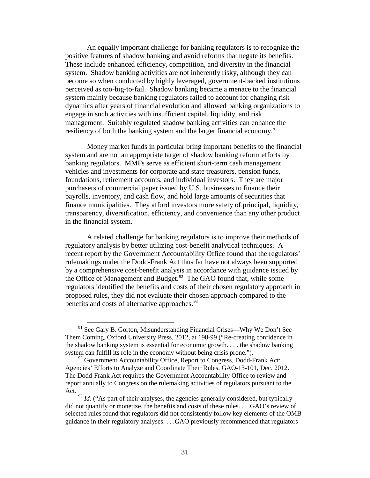An equally important challenge for banking regulators is to recognize the positive features of shadow banking and avoid reforms that negate its benefits. These include enhanced efficiency, competition, and diversity in the financial system. Shadow banking activities are not inherently risky, although they can become so when conducted by highly leveraged, government-backed institutions perceived as too-big-to-fail. Shadow banking became a menace to the financial system mainly because banking regulators failed to account for changing risk dynamics after years of financial evolution and allowed banking organizations to engage in such activities with insufficient capital, liquidity, and risk management. Suitably regulated shadow banking activities can enhance the resiliency of both the banking system and the larger financial economy.<sup>[91](#page-32-0)</sup>

Money market funds in particular bring important benefits to the financial system and are not an appropriate target of shadow banking reform efforts by banking regulators. MMFs serve as efficient short-term cash management vehicles and investments for corporate and state treasurers, pension funds, foundations, retirement accounts, and individual investors. They are major purchasers of commercial paper issued by U.S. businesses to finance their payrolls, inventory, and cash flow, and hold large amounts of securities that finance municipalities. They afford investors more safety of principal, liquidity, transparency, diversification, efficiency, and convenience than any other product in the financial system.

A related challenge for banking regulators is to improve their methods of regulatory analysis by better utilizing cost-benefit analytical techniques. A recent report by the Government Accountability Office found that the regulators' rulemakings under the Dodd-Frank Act thus far have not always been supported by a comprehensive cost-benefit analysis in accordance with guidance issued by the Office of Management and Budget. $92$  The GAO found that, while some regulators identified the benefits and costs of their chosen regulatory approach in proposed rules, they did not evaluate their chosen approach compared to the benefits and costs of alternative approaches.<sup>[93](#page-32-2)</sup>

<span id="page-32-0"></span> $91$  See Gary B. Gorton, Misunderstanding Financial Crises—Why We Don't See Them Coming, Oxford University Press, 2012, at 198-99 ("Re-creating confidence in the shadow banking system is essential for economic growth. . . . the shadow banking system can fulfill its role in the economy without being crisis prone.").

<span id="page-32-1"></span> $92$  Government Accountability Office, Report to Congress, Dodd-Frank Act: Agencies' Efforts to Analyze and Coordinate Their Rules, GAO-13-101, Dec. 2012. The Dodd-Frank Act requires the Government Accountability Office to review and report annually to Congress on the rulemaking activities of regulators pursuant to the Act.

<span id="page-32-2"></span><sup>&</sup>lt;sup>93</sup> *Id.* ("As part of their analyses, the agencies generally considered, but typically did not quantify or monetize, the benefits and costs of these rules. . . .GAO's review of selected rules found that regulators did not consistently follow key elements of the OMB guidance in their regulatory analyses. . . .GAO previously recommended that regulators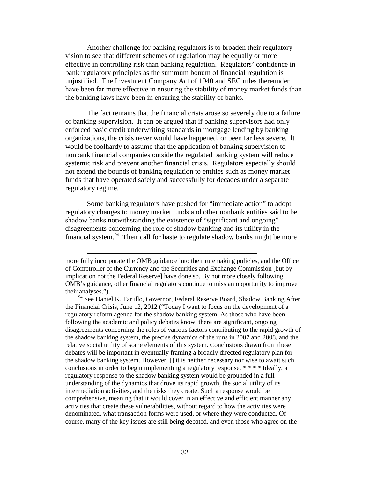Another challenge for banking regulators is to broaden their regulatory vision to see that different schemes of regulation may be equally or more effective in controlling risk than banking regulation. Regulators' confidence in bank regulatory principles as the summum bonum of financial regulation is unjustified. The Investment Company Act of 1940 and SEC rules thereunder have been far more effective in ensuring the stability of money market funds than the banking laws have been in ensuring the stability of banks.

The fact remains that the financial crisis arose so severely due to a failure of banking supervision. It can be argued that if banking supervisors had only enforced basic credit underwriting standards in mortgage lending by banking organizations, the crisis never would have happened, or been far less severe. It would be foolhardy to assume that the application of banking supervision to nonbank financial companies outside the regulated banking system will reduce systemic risk and prevent another financial crisis. Regulators especially should not extend the bounds of banking regulation to entities such as money market funds that have operated safely and successfully for decades under a separate regulatory regime.

Some banking regulators have pushed for "immediate action" to adopt regulatory changes to money market funds and other nonbank entities said to be shadow banks notwithstanding the existence of "significant and ongoing" disagreements concerning the role of shadow banking and its utility in the financial system.<sup>[94](#page-33-0)</sup> Their call for haste to regulate shadow banks might be more

 $\overline{a}$ 

more fully incorporate the OMB guidance into their rulemaking policies, and the Office of Comptroller of the Currency and the Securities and Exchange Commission [but by implication not the Federal Reserve] have done so. By not more closely following OMB's guidance, other financial regulators continue to miss an opportunity to improve their analyses.").

<span id="page-33-0"></span><sup>&</sup>lt;sup>94</sup> See Daniel K. Tarullo, Governor, Federal Reserve Board, Shadow Banking After the Financial Crisis, June 12, 2012 ("Today I want to focus on the development of a regulatory reform agenda for the shadow banking system. As those who have been following the academic and policy debates know, there are significant, ongoing disagreements concerning the roles of various factors contributing to the rapid growth of the shadow banking system, the precise dynamics of the runs in 2007 and 2008, and the relative social utility of some elements of this system. Conclusions drawn from these debates will be important in eventually framing a broadly directed regulatory plan for the shadow banking system. However, [] it is neither necessary nor wise to await such conclusions in order to begin implementing a regulatory response. \* \* \* \* Ideally, a regulatory response to the shadow banking system would be grounded in a full understanding of the dynamics that drove its rapid growth, the social utility of its intermediation activities, and the risks they create. Such a response would be comprehensive, meaning that it would cover in an effective and efficient manner any activities that create these vulnerabilities, without regard to how the activities were denominated, what transaction forms were used, or where they were conducted. Of course, many of the key issues are still being debated, and even those who agree on the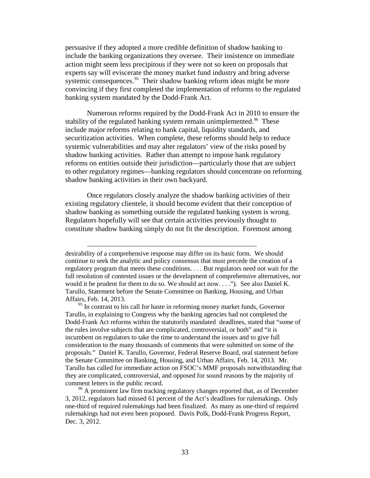persuasive if they adopted a more credible definition of shadow banking to include the banking organizations they oversee. Their insistence on immediate action might seem less precipitous if they were not so keen on proposals that experts say will eviscerate the money market fund industry and bring adverse systemic consequences.<sup>[95](#page-34-0)</sup> Their shadow banking reform ideas might be more convincing if they first completed the implementation of reforms to the regulated banking system mandated by the Dodd-Frank Act.

Numerous reforms required by the Dodd-Frank Act in 2010 to ensure the stability of the regulated banking system remain unimplemented.<sup>[96](#page-34-1)</sup> These include major reforms relating to bank capital, liquidity standards, and securitization activities. When complete, these reforms should help to reduce systemic vulnerabilities and may alter regulators' view of the risks posed by shadow banking activities. Rather than attempt to impose bank regulatory reforms on entities outside their jurisdiction—particularly those that are subject to other regulatory regimes—banking regulators should concentrate on reforming shadow banking activities in their own backyard.

Once regulators closely analyze the shadow banking activities of their existing regulatory clientele, it should become evident that their conception of shadow banking as something outside the regulated banking system is wrong. Regulators hopefully will see that certain activities previously thought to constitute shadow banking simply do not fit the description. Foremost among

 $\overline{a}$ 

<span id="page-34-1"></span><sup>96</sup> A prominent law firm tracking regulatory changes reported that, as of December 3, 2012, regulators had missed 61 percent of the Act's deadlines for rulemakings. Only one-third of required rulemakings had been finalized. As many as one-third of required rulemakings had not even been proposed. Davis Polk, Dodd-Frank Progress Report, Dec. 3, 2012.

desirability of a comprehensive response may differ on its basic form. We should continue to seek the analytic and policy consensus that must precede the creation of a regulatory program that meets these conditions. . . . But regulators need not wait for the full resolution of contested issues or the development of comprehensive alternatives, nor would it be prudent for them to do so. We should act now. . . ."). See also Daniel K. Tarullo, Statement before the Senate Committee on Banking, Housing, and Urban Affairs, Feb. 14, 2013.

<span id="page-34-0"></span> $95$  In contrast to his call for haste in reforming money market funds, Governor Tarullo, in explaining to Congress why the banking agencies had not completed the Dodd-Frank Act reforms within the statutorily mandated deadlines, stated that "some of the rules involve subjects that are complicated, controversial, or both" and "it is incumbent on regulators to take the time to understand the issues and to give full consideration to the many thousands of comments that were submitted on some of the proposals." Daniel K. Tarullo, Governor, Federal Reserve Board, oral statement before the Senate Committee on Banking, Housing, and Urban Affairs, Feb. 14, 2013. Mr. Tarullo has called for immediate action on FSOC's MMF proposals notwithstanding that they are complicated, controversial, and opposed for sound reasons by the majority of comment letters in the public record.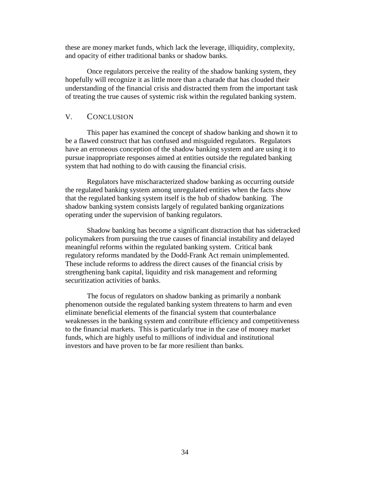these are money market funds, which lack the leverage, illiquidity, complexity, and opacity of either traditional banks or shadow banks.

Once regulators perceive the reality of the shadow banking system, they hopefully will recognize it as little more than a charade that has clouded their understanding of the financial crisis and distracted them from the important task of treating the true causes of systemic risk within the regulated banking system.

### <span id="page-35-0"></span>V. CONCLUSION

This paper has examined the concept of shadow banking and shown it to be a flawed construct that has confused and misguided regulators. Regulators have an erroneous conception of the shadow banking system and are using it to pursue inappropriate responses aimed at entities outside the regulated banking system that had nothing to do with causing the financial crisis.

Regulators have mischaracterized shadow banking as occurring *outside* the regulated banking system among unregulated entities when the facts show that the regulated banking system itself is the hub of shadow banking. The shadow banking system consists largely of regulated banking organizations operating under the supervision of banking regulators.

Shadow banking has become a significant distraction that has sidetracked policymakers from pursuing the true causes of financial instability and delayed meaningful reforms within the regulated banking system. Critical bank regulatory reforms mandated by the Dodd-Frank Act remain unimplemented. These include reforms to address the direct causes of the financial crisis by strengthening bank capital, liquidity and risk management and reforming securitization activities of banks.

The focus of regulators on shadow banking as primarily a nonbank phenomenon outside the regulated banking system threatens to harm and even eliminate beneficial elements of the financial system that counterbalance weaknesses in the banking system and contribute efficiency and competitiveness to the financial markets. This is particularly true in the case of money market funds, which are highly useful to millions of individual and institutional investors and have proven to be far more resilient than banks.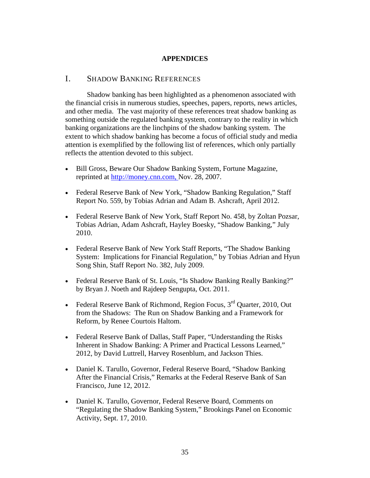### **APPENDICES**

## I. SHADOW BANKING REFERENCES

Shadow banking has been highlighted as a phenomenon associated with the financial crisis in numerous studies, speeches, papers, reports, news articles, and other media. The vast majority of these references treat shadow banking as something outside the regulated banking system, contrary to the reality in which banking organizations are the linchpins of the shadow banking system. The extent to which shadow banking has become a focus of official study and media attention is exemplified by the following list of references, which only partially reflects the attention devoted to this subject.

- Bill Gross, Beware Our Shadow Banking System, Fortune Magazine, reprinted at [http://money.cnn.com, N](http://money.cnn.com,/)ov. 28, 2007.
- Federal Reserve Bank of New York, "Shadow Banking Regulation," Staff Report No. 559, by Tobias Adrian and Adam B. Ashcraft, April 2012.
- Federal Reserve Bank of New York, Staff Report No. 458, by Zoltan Pozsar, Tobias Adrian, Adam Ashcraft, Hayley Boesky, "Shadow Banking," July 2010.
- Federal Reserve Bank of New York Staff Reports, "The Shadow Banking System: Implications for Financial Regulation," by Tobias Adrian and Hyun Song Shin, Staff Report No. 382, July 2009.
- Federal Reserve Bank of St. Louis, "Is Shadow Banking Really Banking?" by Bryan J. Noeth and Rajdeep Sengupta, Oct. 2011.
- Federal Reserve Bank of Richmond, Region Focus,  $3<sup>rd</sup>$  Quarter, 2010, Out from the Shadows: The Run on Shadow Banking and a Framework for Reform, by Renee Courtois Haltom.
- Federal Reserve Bank of Dallas, Staff Paper, "Understanding the Risks Inherent in Shadow Banking: A Primer and Practical Lessons Learned," 2012, by David Luttrell, Harvey Rosenblum, and Jackson Thies.
- Daniel K. Tarullo, Governor, Federal Reserve Board, "Shadow Banking After the Financial Crisis," Remarks at the Federal Reserve Bank of San Francisco, June 12, 2012.
- Daniel K. Tarullo, Governor, Federal Reserve Board, Comments on "Regulating the Shadow Banking System," Brookings Panel on Economic Activity, Sept. 17, 2010.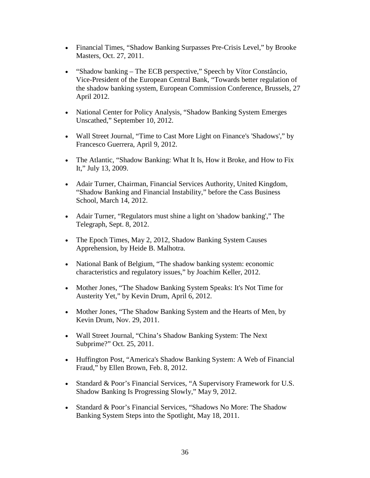- Financial Times, "Shadow Banking Surpasses Pre-Crisis Level," by Brooke Masters, Oct. 27, 2011.
- "Shadow banking The ECB perspective," Speech by Vítor Constâncio, Vice-President of the European Central Bank, "Towards better regulation of the shadow banking system, European Commission Conference, Brussels, 27 April 2012.
- National Center for Policy Analysis, "Shadow Banking System Emerges Unscathed," September 10, 2012.
- Wall Street Journal, "Time to Cast More Light on Finance's 'Shadows'," by Francesco Guerrera, April 9, 2012.
- The Atlantic, "Shadow Banking: What It Is, How it Broke, and How to Fix It," July 13, 2009.
- Adair Turner, Chairman, Financial Services Authority, United Kingdom, "Shadow Banking and Financial Instability," before the Cass Business School, March 14, 2012.
- Adair Turner, "Regulators must shine a light on 'shadow banking'," The Telegraph, Sept. 8, 2012.
- The Epoch Times, May 2, 2012, Shadow Banking System Causes Apprehension, by Heide B. Malhotra.
- National Bank of Belgium, "The shadow banking system: economic characteristics and regulatory issues," by Joachim Keller, 2012.
- Mother Jones, "The Shadow Banking System Speaks: It's Not Time for Austerity Yet," by Kevin Drum, April 6, 2012.
- Mother Jones, "The Shadow Banking System and the Hearts of Men, by Kevin Drum, Nov. 29, 2011.
- Wall Street Journal, "China's Shadow Banking System: The Next Subprime?" Oct. 25, 2011.
- Huffington Post, "America's Shadow Banking System: A Web of Financial Fraud," by Ellen Brown, Feb. 8, 2012.
- Standard & Poor's Financial Services, "A Supervisory Framework for U.S. Shadow Banking Is Progressing Slowly," May 9, 2012.
- Standard & Poor's Financial Services, "Shadows No More: The Shadow [Banking System Steps into the Spotlight,](http://www.standardandpoors.com/fgr_article/en/us?object_id=6656729&rev_id=9) May 18, 2011.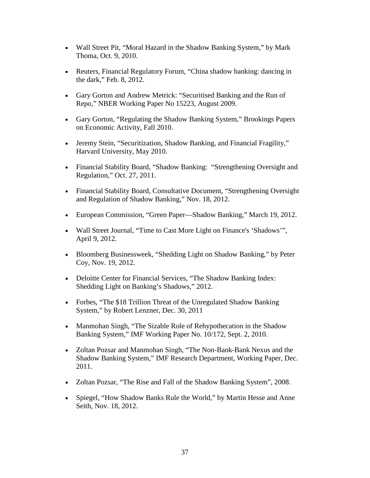- Wall Street Pit, "Moral Hazard in the Shadow Banking System," by Mark Thoma, Oct. 9, 2010.
- Reuters, Financial Regulatory Forum, "China shadow banking: dancing in the dark," Feb. 8, 2012.
- Gary Gorton and Andrew Metrick: "Securitised Banking and the Run of Repo," NBER Working Paper No 15223, August 2009.
- Gary Gorton, "Regulating the Shadow Banking System," Brookings Papers on Economic Activity, Fall 2010.
- Jeremy Stein, "Securitization, Shadow Banking, and Financial Fragility," Harvard University, May 2010.
- Financial Stability Board, "Shadow Banking:"Strengthening Oversight and Regulation," Oct. 27, 2011.
- Financial Stability Board, Consultative Document, "Strengthening Oversight and Regulation of Shadow Banking," Nov. 18, 2012.
- European Commission, "Green Paper—Shadow Banking," March 19, 2012.
- Wall Street Journal, "Time to Cast More Light on Finance's 'Shadows'", April 9, 2012.
- Bloomberg Businessweek, "Shedding Light on Shadow Banking," by Peter Coy, Nov. 19, 2012.
- Deloitte Center for Financial Services, "The Shadow Banking Index: Shedding Light on Banking's Shadows," 2012.
- Forbes, "The \$18 Trillion Threat of the Unregulated Shadow Banking System," by Robert Lenzner, Dec. 30, 2011
- Manmohan Singh, "The Sizable Role of Rehypothecation in the Shadow Banking System," IMF Working Paper No. 10/172, Sept. 2, 2010.
- Zoltan Pozsar and Manmohan Singh, "The Non-Bank-Bank Nexus and the Shadow Banking System," IMF Research Department, Working Paper, Dec. 2011.
- Zoltan Pozsar, "The Rise and Fall of the Shadow Banking System", 2008.
- Spiegel, "How Shadow Banks Rule the World," by Martin Hesse and Anne Seith, Nov. 18, 2012.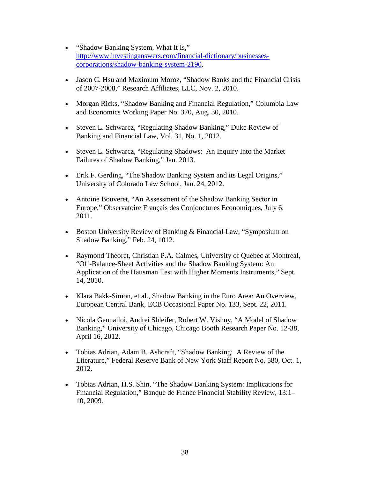- "Shadow Banking System, What It Is," [http://www.investinganswers.com/financial-dictionary/businesses](http://www.investinganswers.com/financial-dictionary/businesses-corporations/shadow-banking-system-2190)[corporations/shadow-banking-system-2190.](http://www.investinganswers.com/financial-dictionary/businesses-corporations/shadow-banking-system-2190)
- Jason C. Hsu and Maximum Moroz, "Shadow Banks and the Financial Crisis of 2007-2008," Research Affiliates, LLC, Nov. 2, 2010.
- Morgan Ricks, "Shadow Banking and Financial Regulation," Columbia Law and Economics Working Paper No. 370, Aug. 30, 2010.
- Steven L. Schwarcz, "Regulating Shadow Banking," Duke Review of Banking and Financial Law, Vol. 31, No. 1, 2012.
- Steven L. Schwarcz, "Regulating Shadows: An Inquiry Into the Market Failures of Shadow Banking," Jan. 2013.
- Erik F. Gerding, "The Shadow Banking System and its Legal Origins," University of Colorado Law School, Jan. 24, 2012.
- Antoine Bouveret, "An Assessment of the Shadow Banking Sector in Europe," Observatoire Français des Conjonctures Economiques, July 6, 2011.
- Boston University Review of Banking & Financial Law, "Symposium on Shadow Banking," Feb. 24, 1012.
- Raymond Theoret, Christian P.A. Calmes, University of Quebec at Montreal, "Off-Balance-Sheet Activities and the Shadow Banking System: An Application of the Hausman Test with Higher Moments Instruments," Sept. 14, 2010.
- Klara Bakk-Simon, et al., Shadow Banking in the Euro Area: An Overview, European Central Bank, ECB Occasional Paper No. 133, Sept. 22, 2011.
- Nicola Gennailoi, Andrei Shleifer, Robert W. Vishny, "A Model of Shadow Banking," University of Chicago, Chicago Booth Research Paper No. 12-38, April 16, 2012.
- Tobias Adrian, Adam B. Ashcraft, "Shadow Banking: A Review of the Literature," Federal Reserve Bank of New York Staff Report No. 580, Oct. 1, 2012.
- Tobias Adrian, H.S. Shin, "The Shadow Banking System: Implications for Financial Regulation," Banque de France Financial Stability Review, 13:1– 10, 2009.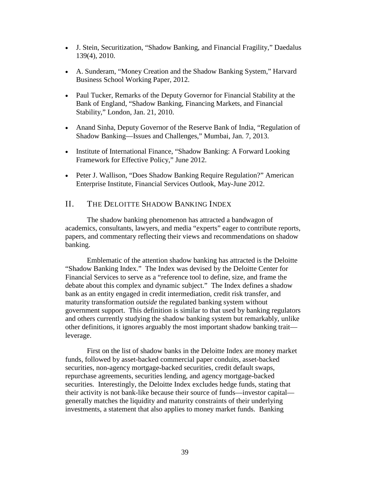- J. Stein, Securitization, "Shadow Banking, and Financial Fragility," Daedalus 139(4), 2010.
- A. Sunderam, "Money Creation and the Shadow Banking System," Harvard Business School Working Paper, 2012.
- Paul Tucker, Remarks of the Deputy Governor for Financial Stability at the Bank of England, "Shadow Banking, Financing Markets, and Financial Stability," London, Jan. 21, 2010.
- Anand Sinha, Deputy Governor of the Reserve Bank of India, "Regulation of Shadow Banking—Issues and Challenges," Mumbai, Jan. 7, 2013.
- Institute of International Finance, "Shadow Banking: A Forward Looking Framework for Effective Policy," June 2012.
- Peter J. Wallison, "Does Shadow Banking Require Regulation?" American Enterprise Institute, Financial Services Outlook, May-June 2012.

# II. THE DELOITTE SHADOW BANKING INDEX

The shadow banking phenomenon has attracted a bandwagon of academics, consultants, lawyers, and media "experts" eager to contribute reports, papers, and commentary reflecting their views and recommendations on shadow banking.

Emblematic of the attention shadow banking has attracted is the Deloitte "Shadow Banking Index." The Index was devised by the Deloitte Center for Financial Services to serve as a "reference tool to define, size, and frame the debate about this complex and dynamic subject." The Index defines a shadow bank as an entity engaged in credit intermediation, credit risk transfer, and maturity transformation *outside* the regulated banking system without government support. This definition is similar to that used by banking regulators and others currently studying the shadow banking system but remarkably, unlike other definitions, it ignores arguably the most important shadow banking trait leverage.

First on the list of shadow banks in the Deloitte Index are money market funds, followed by asset-backed commercial paper conduits, asset-backed securities, non-agency mortgage-backed securities, credit default swaps, repurchase agreements, securities lending, and agency mortgage-backed securities. Interestingly, the Deloitte Index excludes hedge funds, stating that their activity is not bank-like because their source of funds—investor capital generally matches the liquidity and maturity constraints of their underlying investments, a statement that also applies to money market funds. Banking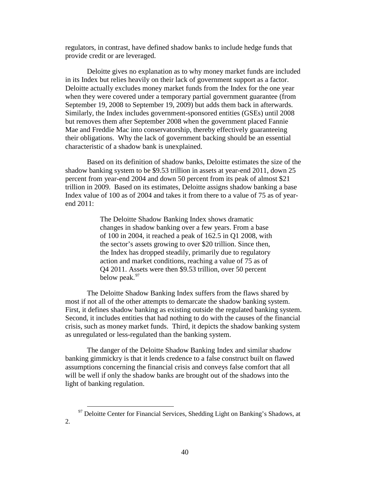regulators, in contrast, have defined shadow banks to include hedge funds that provide credit or are leveraged.

Deloitte gives no explanation as to why money market funds are included in its Index but relies heavily on their lack of government support as a factor. Deloitte actually excludes money market funds from the Index for the one year when they were covered under a temporary partial government guarantee (from September 19, 2008 to September 19, 2009) but adds them back in afterwards. Similarly, the Index includes government-sponsored entities (GSEs) until 2008 but removes them after September 2008 when the government placed Fannie Mae and Freddie Mac into conservatorship, thereby effectively guaranteeing their obligations. Why the lack of government backing should be an essential characteristic of a shadow bank is unexplained.

Based on its definition of shadow banks, Deloitte estimates the size of the shadow banking system to be \$9.53 trillion in assets at year-end 2011, down 25 percent from year-end 2004 and down 50 percent from its peak of almost \$21 trillion in 2009. Based on its estimates, Deloitte assigns shadow banking a base Index value of 100 as of 2004 and takes it from there to a value of 75 as of yearend 2011:

> The Deloitte Shadow Banking Index shows dramatic changes in shadow banking over a few years. From a base of 100 in 2004, it reached a peak of 162.5 in Q1 2008, with the sector's assets growing to over \$20 trillion. Since then, the Index has dropped steadily, primarily due to regulatory action and market conditions, reaching a value of 75 as of Q4 2011. Assets were then \$9.53 trillion, over 50 percent below peak.<sup>[97](#page-41-0)</sup>

The Deloitte Shadow Banking Index suffers from the flaws shared by most if not all of the other attempts to demarcate the shadow banking system. First, it defines shadow banking as existing outside the regulated banking system. Second, it includes entities that had nothing to do with the causes of the financial crisis, such as money market funds. Third, it depicts the shadow banking system as unregulated or less-regulated than the banking system.

The danger of the Deloitte Shadow Banking Index and similar shadow banking gimmickry is that it lends credence to a false construct built on flawed assumptions concerning the financial crisis and conveys false comfort that all will be well if only the shadow banks are brought out of the shadows into the light of banking regulation.

<span id="page-41-0"></span> <sup>97</sup> Deloitte Center for Financial Services, Shedding Light on Banking's Shadows, at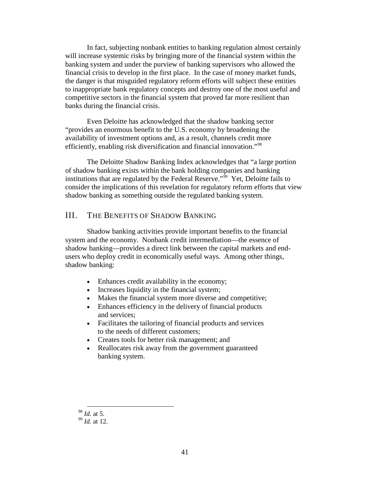In fact, subjecting nonbank entities to banking regulation almost certainly will increase systemic risks by bringing more of the financial system within the banking system and under the purview of banking supervisors who allowed the financial crisis to develop in the first place. In the case of money market funds, the danger is that misguided regulatory reform efforts will subject these entities to inappropriate bank regulatory concepts and destroy one of the most useful and competitive sectors in the financial system that proved far more resilient than banks during the financial crisis.

Even Deloitte has acknowledged that the shadow banking sector "provides an enormous benefit to the U.S. economy by broadening the availability of investment options and, as a result, channels credit more efficiently, enabling risk diversification and financial innovation."<sup>[98](#page-42-0)</sup>

The Deloitte Shadow Banking Index acknowledges that "a large portion of shadow banking exists within the bank holding companies and banking institutions that are regulated by the Federal Reserve."<sup>[99](#page-42-1)</sup> Yet, Deloitte fails to consider the implications of this revelation for regulatory reform efforts that view shadow banking as something outside the regulated banking system.

## III. THE BENEFITS OF SHADOW BANKING

Shadow banking activities provide important benefits to the financial system and the economy. Nonbank credit intermediation—the essence of shadow banking—provides a direct link between the capital markets and endusers who deploy credit in economically useful ways. Among other things, shadow banking:

- Enhances credit availability in the economy;
- Increases liquidity in the financial system;
- Makes the financial system more diverse and competitive;
- Enhances efficiency in the delivery of financial products and services;
- Facilitates the tailoring of financial products and services to the needs of different customers;
- Creates tools for better risk management; and
- Reallocates risk away from the government guaranteed banking system.

<span id="page-42-0"></span>98 *Id.* at 5.

<span id="page-42-1"></span><sup>99</sup> *Id.* at 12.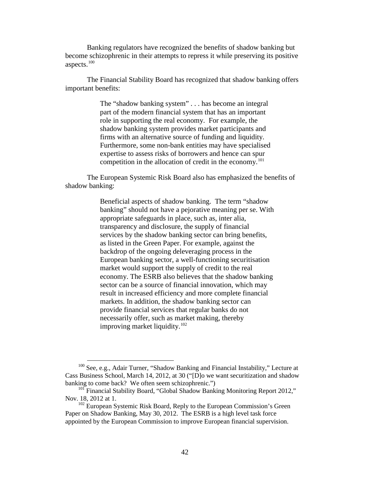Banking regulators have recognized the benefits of shadow banking but become schizophrenic in their attempts to repress it while preserving its positive aspects. [100](#page-43-0)

The Financial Stability Board has recognized that shadow banking offers important benefits:

> The "shadow banking system" . . . has become an integral part of the modern financial system that has an important role in supporting the real economy. For example, the shadow banking system provides market participants and firms with an alternative source of funding and liquidity. Furthermore, some non-bank entities may have specialised expertise to assess risks of borrowers and hence can spur competition in the allocation of credit in the economy.<sup>[101](#page-43-1)</sup>

The European Systemic Risk Board also has emphasized the benefits of shadow banking:

> Beneficial aspects of shadow banking. The term "shadow banking" should not have a pejorative meaning per se. With appropriate safeguards in place, such as, inter alia, transparency and disclosure, the supply of financial services by the shadow banking sector can bring benefits, as listed in the Green Paper. For example, against the backdrop of the ongoing deleveraging process in the European banking sector, a well-functioning securitisation market would support the supply of credit to the real economy. The ESRB also believes that the shadow banking sector can be a source of financial innovation, which may result in increased efficiency and more complete financial markets. In addition, the shadow banking sector can provide financial services that regular banks do not necessarily offer, such as market making, thereby improving market liquidity.<sup>[102](#page-43-2)</sup>

<span id="page-43-0"></span> <sup>100</sup> See, e.g., Adair Turner, "Shadow Banking and Financial Instability," Lecture at Cass Business School, March 14, 2012, at 30 ("[D]o we want securitization and shadow banking to come back? We often seem schizophrenic.")

<span id="page-43-1"></span><sup>&</sup>lt;sup>101</sup> Financial Stability Board, "Global Shadow Banking Monitoring Report 2012," Nov. 18, 2012 at 1.

<span id="page-43-2"></span> $102$  European Systemic Risk Board, Reply to the European Commission's Green Paper on Shadow Banking, May 30, 2012. The ESRB is a high level task force appointed by the European Commission to improve European financial supervision.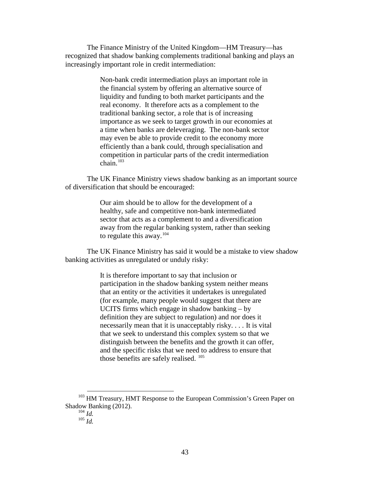The Finance Ministry of the United Kingdom—HM Treasury—has recognized that shadow banking complements traditional banking and plays an increasingly important role in credit intermediation:

> Non-bank credit intermediation plays an important role in the financial system by offering an alternative source of liquidity and funding to both market participants and the real economy. It therefore acts as a complement to the traditional banking sector, a role that is of increasing importance as we seek to target growth in our economies at a time when banks are deleveraging. The non-bank sector may even be able to provide credit to the economy more efficiently than a bank could, through specialisation and competition in particular parts of the credit intermediation chain. $103$

The UK Finance Ministry views shadow banking as an important source of diversification that should be encouraged:

> Our aim should be to allow for the development of a healthy, safe and competitive non-bank intermediated sector that acts as a complement to and a diversification away from the regular banking system, rather than seeking to regulate this away.  $104$

The UK Finance Ministry has said it would be a mistake to view shadow banking activities as unregulated or unduly risky:

> It is therefore important to say that inclusion or participation in the shadow banking system neither means that an entity or the activities it undertakes is unregulated (for example, many people would suggest that there are UCITS firms which engage in shadow banking – by definition they are subject to regulation) and nor does it necessarily mean that it is unacceptably risky. . . . It is vital that we seek to understand this complex system so that we distinguish between the benefits and the growth it can offer, and the specific risks that we need to address to ensure that those benefits are safely realised.  $^{105}$  $^{105}$  $^{105}$

<span id="page-44-2"></span><span id="page-44-1"></span><span id="page-44-0"></span><sup>103</sup> HM Treasury, HMT Response to the European Commission's Green Paper on Shadow Banking (2012).

<sup>104</sup> *Id.*

<sup>105</sup> *Id.*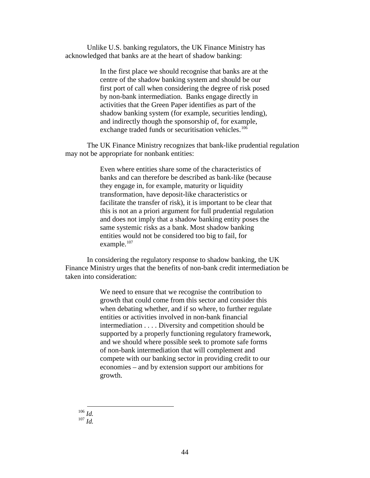Unlike U.S. banking regulators, the UK Finance Ministry has acknowledged that banks are at the heart of shadow banking:

> In the first place we should recognise that banks are at the centre of the shadow banking system and should be our first port of call when considering the degree of risk posed by non-bank intermediation. Banks engage directly in activities that the Green Paper identifies as part of the shadow banking system (for example, securities lending), and indirectly though the sponsorship of, for example, exchange traded funds or securitisation vehicles.<sup>[106](#page-45-0)</sup>

The UK Finance Ministry recognizes that bank-like prudential regulation may not be appropriate for nonbank entities:

> Even where entities share some of the characteristics of banks and can therefore be described as bank-like (because they engage in, for example, maturity or liquidity transformation, have deposit-like characteristics or facilitate the transfer of risk), it is important to be clear that this is not an a priori argument for full prudential regulation and does not imply that a shadow banking entity poses the same systemic risks as a bank. Most shadow banking entities would not be considered too big to fail, for example.<sup>[107](#page-45-1)</sup>

In considering the regulatory response to shadow banking, the UK Finance Ministry urges that the benefits of non-bank credit intermediation be taken into consideration:

> We need to ensure that we recognise the contribution to growth that could come from this sector and consider this when debating whether, and if so where, to further regulate entities or activities involved in non-bank financial intermediation . . . . Diversity and competition should be supported by a properly functioning regulatory framework, and we should where possible seek to promote safe forms of non-bank intermediation that will complement and compete with our banking sector in providing credit to our economies – and by extension support our ambitions for growth.

<span id="page-45-1"></span><span id="page-45-0"></span> 106 *Id.* <sup>107</sup> *Id.*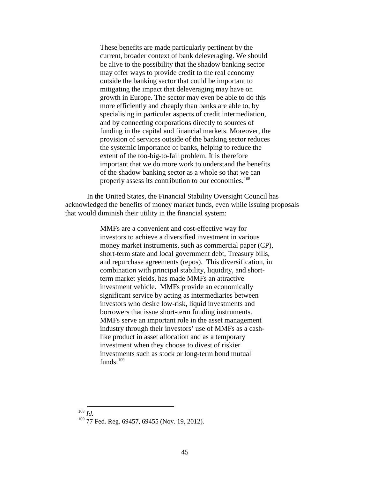These benefits are made particularly pertinent by the current, broader context of bank deleveraging. We should be alive to the possibility that the shadow banking sector may offer ways to provide credit to the real economy outside the banking sector that could be important to mitigating the impact that deleveraging may have on growth in Europe. The sector may even be able to do this more efficiently and cheaply than banks are able to, by specialising in particular aspects of credit intermediation, and by connecting corporations directly to sources of funding in the capital and financial markets. Moreover, the provision of services outside of the banking sector reduces the systemic importance of banks, helping to reduce the extent of the too-big-to-fail problem. It is therefore important that we do more work to understand the benefits of the shadow banking sector as a whole so that we can properly assess its contribution to our economies.<sup>[108](#page-46-0)</sup>

In the United States, the Financial Stability Oversight Council has acknowledged the benefits of money market funds, even while issuing proposals that would diminish their utility in the financial system:

> MMFs are a convenient and cost-effective way for investors to achieve a diversified investment in various money market instruments, such as commercial paper (CP), short-term state and local government debt, Treasury bills, and repurchase agreements (repos). This diversification, in combination with principal stability, liquidity, and shortterm market yields, has made MMFs an attractive investment vehicle. MMFs provide an economically significant service by acting as intermediaries between investors who desire low-risk, liquid investments and borrowers that issue short-term funding instruments. MMFs serve an important role in the asset management industry through their investors' use of MMFs as a cashlike product in asset allocation and as a temporary investment when they choose to divest of riskier investments such as stock or long-term bond mutual funds. $109$

<span id="page-46-1"></span><span id="page-46-0"></span> <sup>108</sup> *Id.*

 $109$  77 Fed. Reg. 69457, 69455 (Nov. 19, 2012).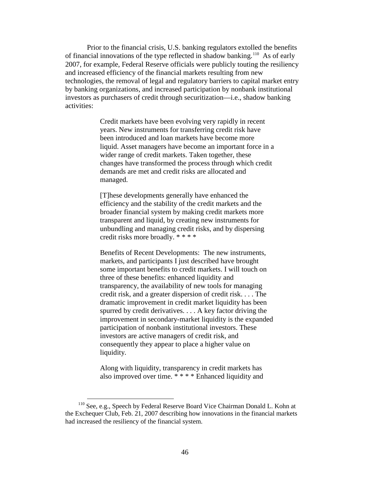Prior to the financial crisis, U.S. banking regulators extolled the benefits of financial innovations of the type reflected in shadow banking.<sup>[110](#page-47-0)</sup> As of early 2007, for example, Federal Reserve officials were publicly touting the resiliency and increased efficiency of the financial markets resulting from new technologies, the removal of legal and regulatory barriers to capital market entry by banking organizations, and increased participation by nonbank institutional investors as purchasers of credit through securitization—i.e., shadow banking activities:

> Credit markets have been evolving very rapidly in recent years. New instruments for transferring credit risk have been introduced and loan markets have become more liquid. Asset managers have become an important force in a wider range of credit markets. Taken together, these changes have transformed the process through which credit demands are met and credit risks are allocated and managed.

[T]hese developments generally have enhanced the efficiency and the stability of the credit markets and the broader financial system by making credit markets more transparent and liquid, by creating new instruments for unbundling and managing credit risks, and by dispersing credit risks more broadly. \* \* \* \*

Benefits of Recent Developments: The new instruments, markets, and participants I just described have brought some important benefits to credit markets. I will touch on three of these benefits: enhanced liquidity and transparency, the availability of new tools for managing credit risk, and a greater dispersion of credit risk. . . . The dramatic improvement in credit market liquidity has been spurred by credit derivatives. . . . A key factor driving the improvement in secondary-market liquidity is the expanded participation of nonbank institutional investors. These investors are active managers of credit risk, and consequently they appear to place a higher value on liquidity.

Along with liquidity, transparency in credit markets has also improved over time. \* \* \* \* Enhanced liquidity and

<span id="page-47-0"></span> <sup>110</sup> See, e.g., Speech by Federal Reserve Board Vice Chairman Donald L. Kohn at the Exchequer Club, Feb. 21, 2007 describing how innovations in the financial markets had increased the resiliency of the financial system.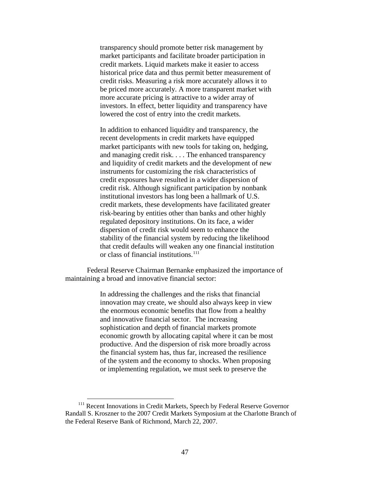transparency should promote better risk management by market participants and facilitate broader participation in credit markets. Liquid markets make it easier to access historical price data and thus permit better measurement of credit risks. Measuring a risk more accurately allows it to be priced more accurately. A more transparent market with more accurate pricing is attractive to a wider array of investors. In effect, better liquidity and transparency have lowered the cost of entry into the credit markets.

In addition to enhanced liquidity and transparency, the recent developments in credit markets have equipped market participants with new tools for taking on, hedging, and managing credit risk. . . . The enhanced transparency and liquidity of credit markets and the development of new instruments for customizing the risk characteristics of credit exposures have resulted in a wider dispersion of credit risk. Although significant participation by nonbank institutional investors has long been a hallmark of U.S. credit markets, these developments have facilitated greater risk-bearing by entities other than banks and other highly regulated depository institutions. On its face, a wider dispersion of credit risk would seem to enhance the stability of the financial system by reducing the likelihood that credit defaults will weaken any one financial institution or class of financial institutions.<sup>[111](#page-48-0)</sup>

Federal Reserve Chairman Bernanke emphasized the importance of maintaining a broad and innovative financial sector:

> In addressing the challenges and the risks that financial innovation may create, we should also always keep in view the enormous economic benefits that flow from a healthy and innovative financial sector. The increasing sophistication and depth of financial markets promote economic growth by allocating capital where it can be most productive. And the dispersion of risk more broadly across the financial system has, thus far, increased the resilience of the system and the economy to shocks. When proposing or implementing regulation, we must seek to preserve the

<span id="page-48-0"></span><sup>&</sup>lt;sup>111</sup> Recent Innovations in Credit Markets, Speech by Federal Reserve Governor Randall S. Kroszner to the 2007 Credit Markets Symposium at the Charlotte Branch of the Federal Reserve Bank of Richmond, March 22, 2007.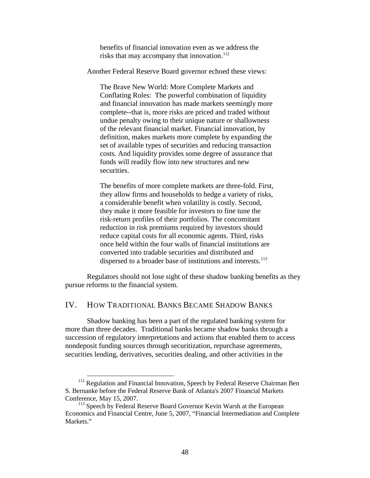benefits of financial innovation even as we address the risks that may accompany that innovation.<sup>[112](#page-49-0)</sup>

Another Federal Reserve Board governor echoed these views:

The Brave New World: More Complete Markets and Conflating Roles: The powerful combination of liquidity and financial innovation has made markets seemingly more complete--that is, more risks are priced and traded without undue penalty owing to their unique nature or shallowness of the relevant financial market. Financial innovation, by definition, makes markets more complete by expanding the set of available types of securities and reducing transaction costs. And liquidity provides some degree of assurance that funds will readily flow into new structures and new securities.

The benefits of more complete markets are three-fold. First, they allow firms and households to hedge a variety of risks, a considerable benefit when volatility is costly. Second, they make it more feasible for investors to fine tune the risk-return profiles of their portfolios. The concomitant reduction in risk premiums required by investors should reduce capital costs for all economic agents. Third, risks once held within the four walls of financial institutions are converted into tradable securities and distributed and dispersed to a broader base of institutions and interests.<sup>[113](#page-49-1)</sup>

Regulators should not lose sight of these shadow banking benefits as they pursue reforms to the financial system.

### IV. HOW TRADITIONAL BANKS BECAME SHADOW BANKS

Shadow banking has been a part of the regulated banking system for more than three decades. Traditional banks became shadow banks through a succession of regulatory interpretations and actions that enabled them to access nondeposit funding sources through securitization, repurchase agreements, securities lending, derivatives, securities dealing, and other activities in the

<span id="page-49-0"></span><sup>&</sup>lt;sup>112</sup> Regulation and Financial Innovation, Speech by Federal Reserve Chairman Ben S. Bernanke before the Federal Reserve Bank of Atlanta's 2007 Financial Markets Conference, May 15, 2007.<br><sup>113</sup> Speech by Federal Reserve Board Governor Kevin Warsh at the European

<span id="page-49-1"></span>Economics and Financial Centre, June 5, 2007, "Financial Intermediation and Complete Markets."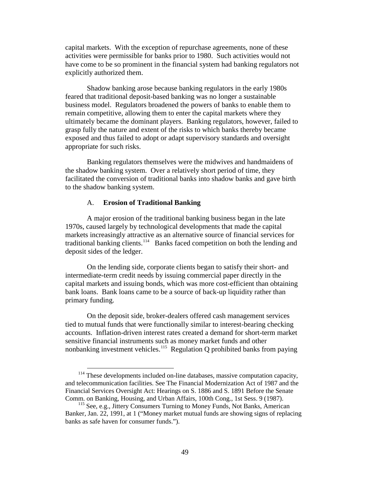capital markets. With the exception of repurchase agreements, none of these activities were permissible for banks prior to 1980. Such activities would not have come to be so prominent in the financial system had banking regulators not explicitly authorized them.

Shadow banking arose because banking regulators in the early 1980s feared that traditional deposit-based banking was no longer a sustainable business model. Regulators broadened the powers of banks to enable them to remain competitive, allowing them to enter the capital markets where they ultimately became the dominant players. Banking regulators, however, failed to grasp fully the nature and extent of the risks to which banks thereby became exposed and thus failed to adopt or adapt supervisory standards and oversight appropriate for such risks.

Banking regulators themselves were the midwives and handmaidens of the shadow banking system. Over a relatively short period of time, they facilitated the conversion of traditional banks into shadow banks and gave birth to the shadow banking system.

### A. **Erosion of Traditional Banking**

A major erosion of the traditional banking business began in the late 1970s, caused largely by technological developments that made the capital markets increasingly attractive as an alternative source of financial services for traditional banking clients.<sup>[114](#page-50-0)</sup> Banks faced competition on both the lending and deposit sides of the ledger.

On the lending side, corporate clients began to satisfy their short- and intermediate-term credit needs by issuing commercial paper directly in the capital markets and issuing bonds, which was more cost-efficient than obtaining bank loans. Bank loans came to be a source of back-up liquidity rather than primary funding.

On the deposit side, broker-dealers offered cash management services tied to mutual funds that were functionally similar to interest-bearing checking accounts. Inflation-driven interest rates created a demand for short-term market sensitive financial instruments such as money market funds and other nonbanking investment vehicles.<sup>[115](#page-50-1)</sup> Regulation Q prohibited banks from paying

<span id="page-50-0"></span> $114$  These developments included on-line databases, massive computation capacity, and telecommunication facilities. See The Financial Modernization Act of 1987 and the Financial Services Oversight Act: Hearings on S. 1886 and S. 1891 Before the Senate Comm. on Banking, Housing, and Urban Affairs, 100th Cong., 1st Sess. 9 (1987).

<span id="page-50-1"></span><sup>&</sup>lt;sup>115</sup> See, e.g., Jittery Consumers Turning to Money Funds, Not Banks, American Banker, Jan. 22, 1991, at 1 ("Money market mutual funds are showing signs of replacing banks as safe haven for consumer funds.").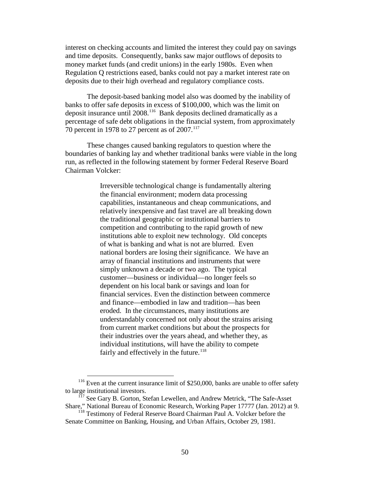interest on checking accounts and limited the interest they could pay on savings and time deposits. Consequently, banks saw major outflows of deposits to money market funds (and credit unions) in the early 1980s. Even when Regulation Q restrictions eased, banks could not pay a market interest rate on deposits due to their high overhead and regulatory compliance costs.

The deposit-based banking model also was doomed by the inability of banks to offer safe deposits in excess of \$100,000, which was the limit on deposit insurance until 2008.<sup>[116](#page-51-0)</sup> Bank deposits declined dramatically as a percentage of safe debt obligations in the financial system, from approximately 70 percent in 1978 to 27 percent as of  $2007$ .<sup>[117](#page-51-1)</sup>

These changes caused banking regulators to question where the boundaries of banking lay and whether traditional banks were viable in the long run, as reflected in the following statement by former Federal Reserve Board Chairman Volcker:

> Irreversible technological change is fundamentally altering the financial environment; modern data processing capabilities, instantaneous and cheap communications, and relatively inexpensive and fast travel are all breaking down the traditional geographic or institutional barriers to competition and contributing to the rapid growth of new institutions able to exploit new technology. Old concepts of what is banking and what is not are blurred. Even national borders are losing their significance. We have an array of financial institutions and instruments that were simply unknown a decade or two ago. The typical customer—business or individual—no longer feels so dependent on his local bank or savings and loan for financial services. Even the distinction between commerce and finance—embodied in law and tradition—has been eroded. In the circumstances, many institutions are understandably concerned not only about the strains arising from current market conditions but about the prospects for their industries over the years ahead, and whether they, as individual institutions, will have the ability to compete fairly and effectively in the future. $118$

<span id="page-51-0"></span><sup>&</sup>lt;sup>116</sup> Even at the current insurance limit of \$250,000, banks are unable to offer safety to large institutional investors.

<span id="page-51-1"></span><sup>&</sup>lt;sup>117</sup> See Gary B. Gorton, Stefan Lewellen, and Andrew Metrick, "The Safe-Asset Share," National Bureau of Economic Research, Working Paper 17777 (Jan. 2012) at 9.

<span id="page-51-2"></span><sup>&</sup>lt;sup>118</sup> Testimony of Federal Reserve Board Chairman Paul A. Volcker before the Senate Committee on Banking, Housing, and Urban Affairs, October 29, 1981.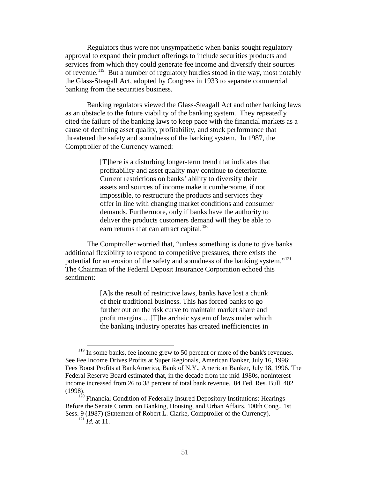Regulators thus were not unsympathetic when banks sought regulatory approval to expand their product offerings to include securities products and services from which they could generate fee income and diversify their sources of revenue.<sup>[119](#page-52-0)</sup> But a number of regulatory hurdles stood in the way, most notably the Glass-Steagall Act, adopted by Congress in 1933 to separate commercial banking from the securities business.

Banking regulators viewed the Glass-Steagall Act and other banking laws as an obstacle to the future viability of the banking system. They repeatedly cited the failure of the banking laws to keep pace with the financial markets as a cause of declining asset quality, profitability, and stock performance that threatened the safety and soundness of the banking system. In 1987, the Comptroller of the Currency warned:

> [T]here is a disturbing longer-term trend that indicates that profitability and asset quality may continue to deteriorate. Current restrictions on banks' ability to diversify their assets and sources of income make it cumbersome, if not impossible, to restructure the products and services they offer in line with changing market conditions and consumer demands. Furthermore, only if banks have the authority to deliver the products customers demand will they be able to earn returns that can attract capital.<sup>[120](#page-52-1)</sup>

The Comptroller worried that, "unless something is done to give banks additional flexibility to respond to competitive pressures, there exists the potential for an erosion of the safety and soundness of the banking system."[121](#page-52-2) The Chairman of the Federal Deposit Insurance Corporation echoed this sentiment:

> [A]s the result of restrictive laws, banks have lost a chunk of their traditional business. This has forced banks to go further out on the risk curve to maintain market share and profit margins.…[T]he archaic system of laws under which the banking industry operates has created inefficiencies in

<span id="page-52-0"></span><sup>&</sup>lt;sup>119</sup> In some banks, fee income grew to 50 percent or more of the bank's revenues. See Fee Income Drives Profits at Super Regionals, American Banker, July 16, 1996; Fees Boost Profits at BankAmerica, Bank of N.Y., American Banker, July 18, 1996. The Federal Reserve Board estimated that, in the decade from the mid-1980s, noninterest income increased from 26 to 38 percent of total bank revenue. 84 Fed. Res. Bull. 402 (1998).

<span id="page-52-2"></span><span id="page-52-1"></span><sup>&</sup>lt;sup>120</sup> Financial Condition of Federally Insured Depository Institutions: Hearings Before the Senate Comm. on Banking, Housing, and Urban Affairs, 100th Cong., 1st Sess. 9 (1987) (Statement of Robert L. Clarke, Comptroller of the Currency).

<sup>121</sup> *Id.* at 11.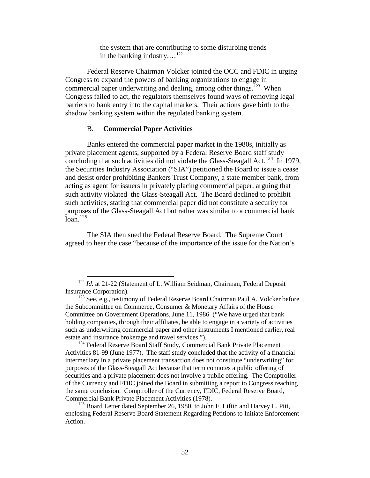the system that are contributing to some disturbing trends in the banking industry....<sup>[122](#page-53-0)</sup>

Federal Reserve Chairman Volcker jointed the OCC and FDIC in urging Congress to expand the powers of banking organizations to engage in commercial paper underwriting and dealing, among other things.<sup>[123](#page-53-1)</sup> When Congress failed to act, the regulators themselves found ways of removing legal barriers to bank entry into the capital markets. Their actions gave birth to the shadow banking system within the regulated banking system.

#### B. **Commercial Paper Activities**

Banks entered the commercial paper market in the 1980s, initially as private placement agents, supported by a Federal Reserve Board staff study concluding that such activities did not violate the Glass-Steagall Act.<sup>[124](#page-53-2)</sup> In 1979, the Securities Industry Association ("SIA") petitioned the Board to issue a cease and desist order prohibiting Bankers Trust Company, a state member bank, from acting as agent for issuers in privately placing commercial paper, arguing that such activity violated the Glass-Steagall Act. The Board declined to prohibit such activities, stating that commercial paper did not constitute a security for purposes of the Glass-Steagall Act but rather was similar to a commercial bank  $\int$ loan.<sup>[125](#page-53-3)</sup>

The SIA then sued the Federal Reserve Board. The Supreme Court agreed to hear the case "because of the importance of the issue for the Nation's

<span id="page-53-0"></span><sup>&</sup>lt;sup>122</sup> *Id.* at 21-22 (Statement of L. William Seidman, Chairman, Federal Deposit Insurance Corporation).

<span id="page-53-1"></span><sup>&</sup>lt;sup>123</sup> See, e.g., testimony of Federal Reserve Board Chairman Paul A. Volcker before the Subcommittee on Commerce, Consumer & Monetary Affairs of the House Committee on Government Operations, June 11, 1986 ("We have urged that bank holding companies, through their affiliates, be able to engage in a variety of activities such as underwriting commercial paper and other instruments I mentioned earlier, real estate and insurance brokerage and travel services.").

<span id="page-53-2"></span><sup>&</sup>lt;sup>124</sup> Federal Reserve Board Staff Study, Commercial Bank Private Placement Activities 81-99 (June 1977). The staff study concluded that the activity of a financial intermediary in a private placement transaction does not constitute "underwriting" for purposes of the Glass-Steagall Act because that term connotes a public offering of securities and a private placement does not involve a public offering. The Comptroller of the Currency and FDIC joined the Board in submitting a report to Congress reaching the same conclusion. Comptroller of the Currency, FDIC, Federal Reserve Board, Commercial Bank Private Placement Activities (1978).

<span id="page-53-3"></span> $^{125}$  Board Letter dated September 26, 1980, to John F. Liftin and Harvey L. Pitt, enclosing Federal Reserve Board Statement Regarding Petitions to Initiate Enforcement Action.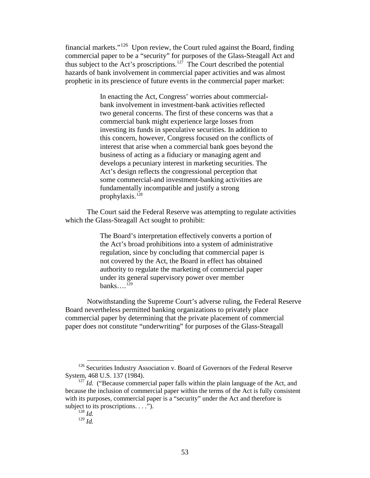financial markets."<sup>[126](#page-54-0)</sup> Upon review, the Court ruled against the Board, finding commercial paper to be a "security" for purposes of the Glass-Steagall Act and thus subject to the Act's proscriptions. [127](#page-54-1) The Court described the potential hazards of bank involvement in commercial paper activities and was almost prophetic in its prescience of future events in the commercial paper market:

> In enacting the Act, Congress' worries about commercialbank involvement in investment-bank activities reflected two general concerns. The first of these concerns was that a commercial bank might experience large losses from investing its funds in speculative securities. In addition to this concern, however, Congress focused on the conflicts of interest that arise when a commercial bank goes beyond the business of acting as a fiduciary or managing agent and develops a pecuniary interest in marketing securities. The Act's design reflects the congressional perception that some commercial-and investment-banking activities are fundamentally incompatible and justify a strong prophylaxis. [128](#page-54-2)

The Court said the Federal Reserve was attempting to regulate activities which the Glass-Steagall Act sought to prohibit:

> The Board's interpretation effectively converts a portion of the Act's broad prohibitions into a system of administrative regulation, since by concluding that commercial paper is not covered by the Act, the Board in effect has obtained authority to regulate the marketing of commercial paper under its general supervisory power over member banks... $^{129}$  $^{129}$  $^{129}$

Notwithstanding the Supreme Court's adverse ruling, the Federal Reserve Board nevertheless permitted banking organizations to privately place commercial paper by determining that the private placement of commercial paper does not constitute "underwriting" for purposes of the Glass-Steagall

<sup>129</sup> *Id.*

<span id="page-54-0"></span><sup>&</sup>lt;sup>126</sup> Securities Industry Association v. Board of Governors of the Federal Reserve System, 468 U.S. 137 (1984).

<span id="page-54-3"></span><span id="page-54-2"></span><span id="page-54-1"></span> $127$  *Id.* ("Because commercial paper falls within the plain language of the Act, and because the inclusion of commercial paper within the terms of the Act is fully consistent with its purposes, commercial paper is a "security" under the Act and therefore is subject to its proscriptions. . . .").

 $\frac{128}{128}$  *Id.*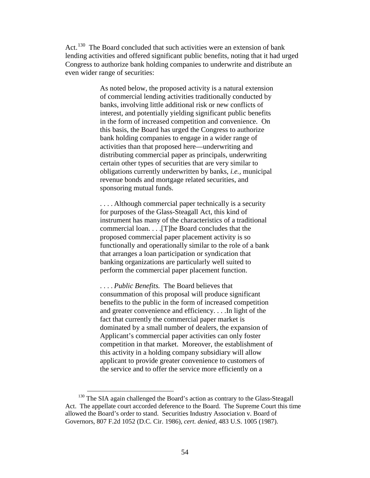Act.<sup>[130](#page-55-0)</sup> The Board concluded that such activities were an extension of bank lending activities and offered significant public benefits, noting that it had urged Congress to authorize bank holding companies to underwrite and distribute an even wider range of securities:

> As noted below, the proposed activity is a natural extension of commercial lending activities traditionally conducted by banks, involving little additional risk or new conflicts of interest, and potentially yielding significant public benefits in the form of increased competition and convenience. On this basis, the Board has urged the Congress to authorize bank holding companies to engage in a wider range of activities than that proposed here—underwriting and distributing commercial paper as principals, underwriting certain other types of securities that are very similar to obligations currently underwritten by banks, *i.e.,* municipal revenue bonds and mortgage related securities, and sponsoring mutual funds.

.... Although commercial paper technically is a security for purposes of the Glass-Steagall Act, this kind of instrument has many of the characteristics of a traditional commercial loan. . . .[T]he Board concludes that the proposed commercial paper placement activity is so functionally and operationally similar to the role of a bank that arranges a loan participation or syndication that banking organizations are particularly well suited to perform the commercial paper placement function.

. . . . *Public Benefits.* The Board believes that consummation of this proposal will produce significant benefits to the public in the form of increased competition and greater convenience and efficiency. . . .In light of the fact that currently the commercial paper market is dominated by a small number of dealers, the expansion of Applicant's commercial paper activities can only foster competition in that market. Moreover, the establishment of this activity in a holding company subsidiary will allow applicant to provide greater convenience to customers of the service and to offer the service more efficiently on a

<span id="page-55-0"></span><sup>&</sup>lt;sup>130</sup> The SIA again challenged the Board's action as contrary to the Glass-Steagall Act. The appellate court accorded deference to the Board. The Supreme Court this time allowed the Board's order to stand. Securities Industry Association v. Board of Governors, 807 F.2d 1052 (D.C. Cir. 1986), *cert. denied,* 483 U.S. 1005 (1987).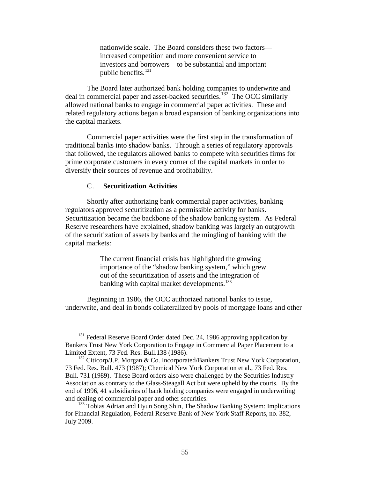nationwide scale. The Board considers these two factors increased competition and more convenient service to investors and borrowers—to be substantial and important public benefits.<sup>[131](#page-56-0)</sup>

The Board later authorized bank holding companies to underwrite and deal in commercial paper and asset-backed securities.<sup>[132](#page-56-1)</sup> The OCC similarly allowed national banks to engage in commercial paper activities. These and related regulatory actions began a broad expansion of banking organizations into the capital markets.

Commercial paper activities were the first step in the transformation of traditional banks into shadow banks. Through a series of regulatory approvals that followed, the regulators allowed banks to compete with securities firms for prime corporate customers in every corner of the capital markets in order to diversify their sources of revenue and profitability.

### C. **Securitization Activities**

Shortly after authorizing bank commercial paper activities, banking regulators approved securitization as a permissible activity for banks. Securitization became the backbone of the shadow banking system. As Federal Reserve researchers have explained, shadow banking was largely an outgrowth of the securitization of assets by banks and the mingling of banking with the capital markets:

> The current financial crisis has highlighted the growing importance of the "shadow banking system," which grew out of the securitization of assets and the integration of banking with capital market developments.<sup>[133](#page-56-2)</sup>

Beginning in 1986, the OCC authorized national banks to issue, underwrite, and deal in bonds collateralized by pools of mortgage loans and other

<span id="page-56-0"></span><sup>&</sup>lt;sup>131</sup> Federal Reserve Board Order dated Dec. 24, 1986 approving application by Bankers Trust New York Corporation to Engage in Commercial Paper Placement to a Limited Extent, 73 Fed. Res. Bull.138 (1986).

<span id="page-56-1"></span><sup>&</sup>lt;sup>132</sup> Citicorp/J.P. Morgan & Co. Incorporated/Bankers Trust New York Corporation, 73 Fed. Res. Bull. 473 (1987); Chemical New York Corporation et al., 73 Fed. Res. Bull. 731 (1989). These Board orders also were challenged by the Securities Industry Association as contrary to the Glass-Steagall Act but were upheld by the courts. By the end of 1996, 41 subsidiaries of bank holding companies were engaged in underwriting and dealing of commercial paper and other securities.

<span id="page-56-2"></span><sup>&</sup>lt;sup>133</sup> Tobias Adrian and Hyun Song Shin, The Shadow Banking System: Implications for Financial Regulation, Federal Reserve Bank of New York Staff Reports, no. 382, July 2009.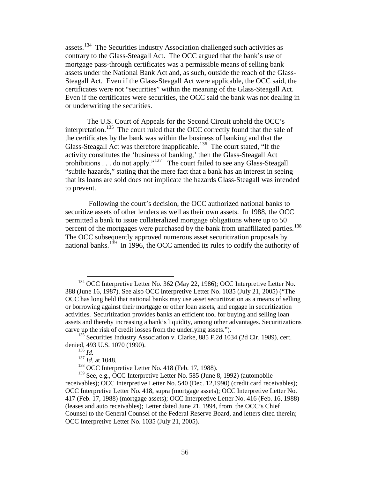assets.<sup>[134](#page-57-0)</sup> The Securities Industry Association challenged such activities as contrary to the Glass-Steagall Act. The OCC argued that the bank's use of mortgage pass-through certificates was a permissible means of selling bank assets under the National Bank Act and, as such, outside the reach of the Glass-Steagall Act. Even if the Glass-Steagall Act were applicable, the OCC said, the certificates were not "securities" within the meaning of the Glass-Steagall Act. Even if the certificates were securities, the OCC said the bank was not dealing in or underwriting the securities.

The U.S. Court of Appeals for the Second Circuit upheld the OCC's interpretation.<sup>[135](#page-57-1)</sup> The court ruled that the OCC correctly found that the sale of the certificates by the bank was within the business of banking and that the Glass-Steagall Act was therefore inapplicable.<sup>136</sup> The court stated, "If the activity constitutes the 'business of banking,' then the Glass-Steagall Act prohibitions . . . do not apply."<sup>[137](#page-57-3)</sup> The court failed to see any Glass-Steagall "subtle hazards," stating that the mere fact that a bank has an interest in seeing that its loans are sold does not implicate the hazards Glass-Steagall was intended to prevent.

Following the court's decision, the OCC authorized national banks to securitize assets of other lenders as well as their own assets. In 1988, the OCC permitted a bank to issue collateralized mortgage obligations where up to 50 percent of the mortgages were purchased by the bank from unaffiliated parties.<sup>[138](#page-57-4)</sup> The OCC subsequently approved numerous asset securitization proposals by national banks.<sup>[139](#page-57-5)</sup> In 1996, the OCC amended its rules to codify the authority of

<span id="page-57-0"></span><sup>&</sup>lt;sup>134</sup> OCC Interpretive Letter No. 362 (May 22, 1986); OCC Interpretive Letter No. 388 (June 16, 1987). See also OCC Interpretive Letter No. 1035 (July 21, 2005) ("The OCC has long held that national banks may use asset securitization as a means of selling or borrowing against their mortgage or other loan assets, and engage in securitization activities. Securitization provides banks an efficient tool for buying and selling loan assets and thereby increasing a bank's liquidity, among other advantages. Securitizations carve up the risk of credit losses from the underlying assets.").

<span id="page-57-2"></span><span id="page-57-1"></span> $135$  Securities Industry Association v. Clarke, 885 F.2d 1034 (2d Cir. 1989), cert. denied, 493 U.S. 1070 (1990).

<sup>136</sup> *Id.*

<sup>137</sup> *Id.* at 1048.

<sup>&</sup>lt;sup>138</sup> OCC Interpretive Letter No. 418 (Feb. 17, 1988).

<span id="page-57-5"></span><span id="page-57-4"></span><span id="page-57-3"></span> $139$  See, e.g., OCC Interpretive Letter No. 585 (June 8, 1992) (automobile receivables); OCC Interpretive Letter No. 540 (Dec. 12,1990) (credit card receivables); OCC Interpretive Letter No. 418, supra (mortgage assets); OCC Interpretive Letter No. 417 (Feb. 17, 1988) (mortgage assets); OCC Interpretive Letter No. 416 (Feb. 16, 1988) (leases and auto receivables); Letter dated June 21, 1994, from the OCC's Chief Counsel to the General Counsel of the Federal Reserve Board, and letters cited therein; OCC Interpretive Letter No. 1035 (July 21, 2005).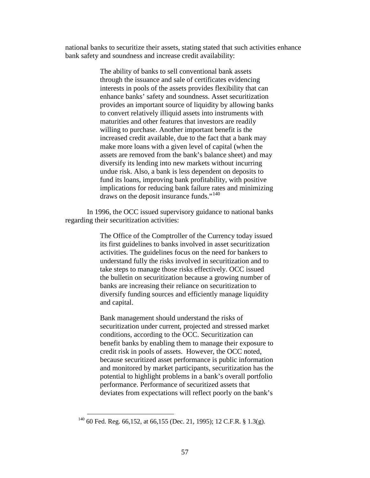national banks to securitize their assets, stating stated that such activities enhance bank safety and soundness and increase credit availability:

> The ability of banks to sell conventional bank assets through the issuance and sale of certificates evidencing interests in pools of the assets provides flexibility that can enhance banks' safety and soundness. Asset securitization provides an important source of liquidity by allowing banks to convert relatively illiquid assets into instruments with maturities and other features that investors are readily willing to purchase. Another important benefit is the increased credit available, due to the fact that a bank may make more loans with a given level of capital (when the assets are removed from the bank's balance sheet) and may diversify its lending into new markets without incurring undue risk. Also, a bank is less dependent on deposits to fund its loans, improving bank profitability, with positive implications for reducing bank failure rates and minimizing draws on the deposit insurance funds."[140](#page-58-0)

In 1996, the OCC issued supervisory guidance to national banks regarding their securitization activities:

> The Office of the Comptroller of the Currency today issued its first guidelines to banks involved in asset securitization activities. The guidelines focus on the need for bankers to understand fully the risks involved in securitization and to take steps to manage those risks effectively. OCC issued the bulletin on securitization because a growing number of banks are increasing their reliance on securitization to diversify funding sources and efficiently manage liquidity and capital.

> Bank management should understand the risks of securitization under current, projected and stressed market conditions, according to the OCC. Securitization can benefit banks by enabling them to manage their exposure to credit risk in pools of assets. However, the OCC noted, because securitized asset performance is public information and monitored by market participants, securitization has the potential to highlight problems in a bank's overall portfolio performance. Performance of securitized assets that deviates from expectations will reflect poorly on the bank's

<span id="page-58-0"></span> <sup>140</sup> 60 Fed. Reg. 66,152, at 66,155 (Dec. 21, 1995); 12 C.F.R. § 1.3(g).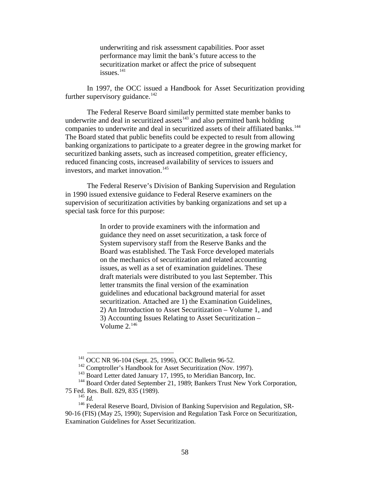underwriting and risk assessment capabilities. Poor asset performance may limit the bank's future access to the securitization market or affect the price of subsequent issues.<sup>[141](#page-59-0)</sup>

In 1997, the OCC issued a Handbook for Asset Securitization providing further supervisory guidance.<sup>[142](#page-59-1)</sup>

The Federal Reserve Board similarly permitted state member banks to underwrite and deal in securitized assets<sup>[143](#page-59-2)</sup> and also permitted bank holding companies to underwrite and deal in securitized assets of their affiliated banks.<sup>144</sup> The Board stated that public benefits could be expected to result from allowing banking organizations to participate to a greater degree in the growing market for securitized banking assets, such as increased competition, greater efficiency, reduced financing costs, increased availability of services to issuers and investors, and market innovation.<sup>[145](#page-59-4)</sup>

The Federal Reserve's Division of Banking Supervision and Regulation in 1990 issued extensive guidance to Federal Reserve examiners on the supervision of securitization activities by banking organizations and set up a special task force for this purpose:

> In order to provide examiners with the information and guidance they need on asset securitization, a task force of System supervisory staff from the Reserve Banks and the Board was established. The Task Force developed materials on the mechanics of securitization and related accounting issues, as well as a set of examination guidelines. These draft materials were distributed to you last September. This letter transmits the final version of the examination guidelines and educational background material for asset securitization. Attached are 1) the Examination Guidelines, 2) An Introduction to Asset Securitization – Volume 1, and 3) Accounting Issues Relating to Asset Securitization – Volume  $2.^{146}$  $2.^{146}$  $2.^{146}$

 <sup>141</sup> OCC NR 96-104 (Sept. 25, 1996), OCC Bulletin 96-52.

<sup>&</sup>lt;sup>142</sup> Comptroller's Handbook for Asset Securitization (Nov. 1997).

<sup>&</sup>lt;sup>143</sup> Board Letter dated January 17, 1995, to Meridian Bancorp, Inc.

<span id="page-59-3"></span><span id="page-59-2"></span><span id="page-59-1"></span><span id="page-59-0"></span><sup>&</sup>lt;sup>144</sup> Board Order dated September 21, 1989; Bankers Trust New York Corporation, 75 Fed. Res. Bull. 829, 835 (1989).

<sup>145</sup> *Id.*

<span id="page-59-5"></span><span id="page-59-4"></span><sup>&</sup>lt;sup>146</sup> Federal Reserve Board, Division of Banking Supervision and Regulation, SR-90-16 (FIS) (May 25, 1990); Supervision and Regulation Task Force on Securitization, Examination Guidelines for Asset Securitization.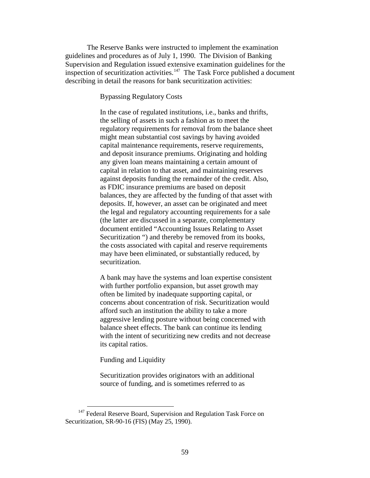The Reserve Banks were instructed to implement the examination guidelines and procedures as of July 1, 1990. The Division of Banking Supervision and Regulation issued extensive examination guidelines for the inspection of securitization activities. $147$  The Task Force published a document describing in detail the reasons for bank securitization activities:

Bypassing Regulatory Costs

In the case of regulated institutions, i.e., banks and thrifts, the selling of assets in such a fashion as to meet the regulatory requirements for removal from the balance sheet might mean substantial cost savings by having avoided capital maintenance requirements, reserve requirements, and deposit insurance premiums. Originating and holding any given loan means maintaining a certain amount of capital in relation to that asset, and maintaining reserves against deposits funding the remainder of the credit. Also, as FDIC insurance premiums are based on deposit balances, they are affected by the funding of that asset with deposits. If, however, an asset can be originated and meet the legal and regulatory accounting requirements for a sale (the latter are discussed in a separate, complementary document entitled "Accounting Issues Relating to Asset Securitization ") and thereby be removed from its books, the costs associated with capital and reserve requirements may have been eliminated, or substantially reduced, by securitization.

A bank may have the systems and loan expertise consistent with further portfolio expansion, but asset growth may often be limited by inadequate supporting capital, or concerns about concentration of risk. Securitization would afford such an institution the ability to take a more aggressive lending posture without being concerned with balance sheet effects. The bank can continue its lending with the intent of securitizing new credits and not decrease its capital ratios.

Funding and Liquidity

Securitization provides originators with an additional source of funding, and is sometimes referred to as

<span id="page-60-0"></span><sup>&</sup>lt;sup>147</sup> Federal Reserve Board, Supervision and Regulation Task Force on Securitization, SR-90-16 (FIS) (May 25, 1990).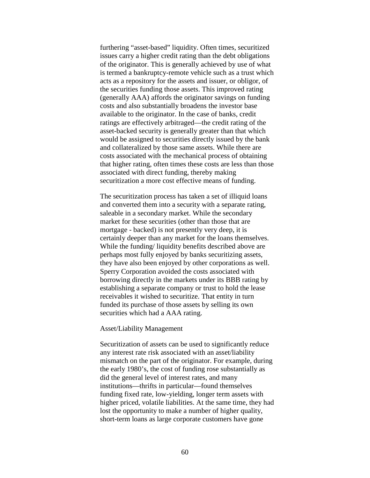furthering "asset-based" liquidity. Often times, securitized issues carry a higher credit rating than the debt obligations of the originator. This is generally achieved by use of what is termed a bankruptcy-remote vehicle such as a trust which acts as a repository for the assets and issuer, or obligor, of the securities funding those assets. This improved rating (generally AAA) affords the originator savings on funding costs and also substantially broadens the investor base available to the originator. In the case of banks, credit ratings are effectively arbitraged—the credit rating of the asset-backed security is generally greater than that which would be assigned to securities directly issued by the bank and collateralized by those same assets. While there are costs associated with the mechanical process of obtaining that higher rating, often times these costs are less than those associated with direct funding, thereby making securitization a more cost effective means of funding.

The securitization process has taken a set of illiquid loans and converted them into a security with a separate rating, saleable in a secondary market. While the secondary market for these securities (other than those that are mortgage - backed) is not presently very deep, it is certainly deeper than any market for the loans themselves. While the funding/ liquidity benefits described above are perhaps most fully enjoyed by banks securitizing assets, they have also been enjoyed by other corporations as well. Sperry Corporation avoided the costs associated with borrowing directly in the markets under its BBB rating by establishing a separate company or trust to hold the lease receivables it wished to securitize. That entity in turn funded its purchase of those assets by selling its own securities which had a AAA rating.

#### Asset/Liability Management

Securitization of assets can be used to significantly reduce any interest rate risk associated with an asset/liability mismatch on the part of the originator. For example, during the early 1980's, the cost of funding rose substantially as did the general level of interest rates, and many institutions—thrifts in particular—found themselves funding fixed rate, low-yielding, longer term assets with higher priced, volatile liabilities. At the same time, they had lost the opportunity to make a number of higher quality, short-term loans as large corporate customers have gone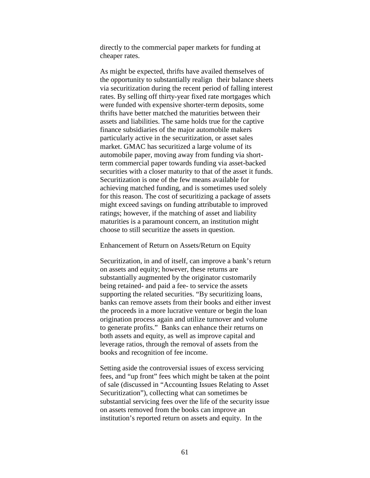directly to the commercial paper markets for funding at cheaper rates.

As might be expected, thrifts have availed themselves of the opportunity to substantially realign their balance sheets via securitization during the recent period of falling interest rates. By selling off thirty-year fixed rate mortgages which were funded with expensive shorter-term deposits, some thrifts have better matched the maturities between their assets and liabilities. The same holds true for the captive finance subsidiaries of the major automobile makers particularly active in the securitization, or asset sales market. GMAC has securitized a large volume of its automobile paper, moving away from funding via shortterm commercial paper towards funding via asset-backed securities with a closer maturity to that of the asset it funds. Securitization is one of the few means available for achieving matched funding, and is sometimes used solely for this reason. The cost of securitizing a package of assets might exceed savings on funding attributable to improved ratings; however, if the matching of asset and liability maturities is a paramount concern, an institution might choose to still securitize the assets in question.

### Enhancement of Return on Assets/Return on Equity

Securitization, in and of itself, can improve a bank's return on assets and equity; however, these returns are substantially augmented by the originator customarily being retained- and paid a fee- to service the assets supporting the related securities. "By securitizing loans, banks can remove assets from their books and either invest the proceeds in a more lucrative venture or begin the loan origination process again and utilize turnover and volume to generate profits." Banks can enhance their returns on both assets and equity, as well as improve capital and leverage ratios, through the removal of assets from the books and recognition of fee income.

Setting aside the controversial issues of excess servicing fees, and "up front" fees which might be taken at the point of sale (discussed in "Accounting Issues Relating to Asset Securitization"), collecting what can sometimes be substantial servicing fees over the life of the security issue on assets removed from the books can improve an institution's reported return on assets and equity. In the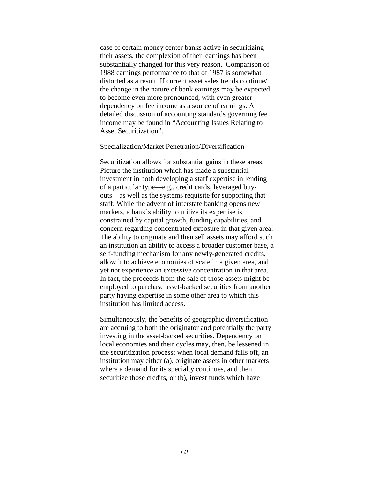case of certain money center banks active in securitizing their assets, the complexion of their earnings has been substantially changed for this very reason. Comparison of 1988 earnings performance to that of 1987 is somewhat distorted as a result. If current asset sales trends continue/ the change in the nature of bank earnings may be expected to become even more pronounced, with even greater dependency on fee income as a source of earnings. A detailed discussion of accounting standards governing fee income may be found in "Accounting Issues Relating to Asset Securitization".

#### Specialization/Market Penetration/Diversification

Securitization allows for substantial gains in these areas. Picture the institution which has made a substantial investment in both developing a staff expertise in lending of a particular type—e.g., credit cards, leveraged buyouts—as well as the systems requisite for supporting that staff. While the advent of interstate banking opens new markets, a bank's ability to utilize its expertise is constrained by capital growth, funding capabilities, and concern regarding concentrated exposure in that given area. The ability to originate and then sell assets may afford such an institution an ability to access a broader customer base, a self-funding mechanism for any newly-generated credits, allow it to achieve economies of scale in a given area, and yet not experience an excessive concentration in that area. In fact, the proceeds from the sale of those assets might be employed to purchase asset-backed securities from another party having expertise in some other area to which this institution has limited access.

Simultaneously, the benefits of geographic diversification are accruing to both the originator and potentially the party investing in the asset-backed securities. Dependency on local economies and their cycles may, then, be lessened in the securitization process; when local demand falls off, an institution may either (a), originate assets in other markets where a demand for its specialty continues, and then securitize those credits, or (b), invest funds which have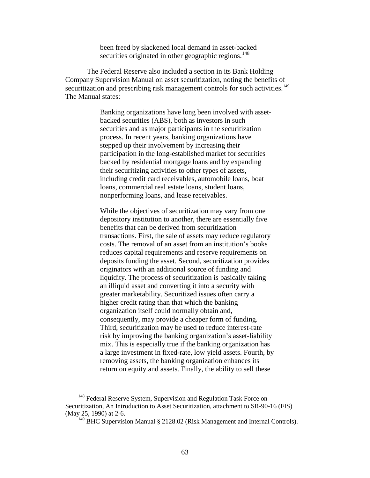been freed by slackened local demand in asset-backed securities originated in other geographic regions.<sup>[148](#page-64-0)</sup>

The Federal Reserve also included a section in its Bank Holding Company Supervision Manual on asset securitization, noting the benefits of securitization and prescribing risk management controls for such activities.<sup>[149](#page-64-1)</sup> The Manual states:

> Banking organizations have long been involved with assetbacked securities (ABS), both as investors in such securities and as major participants in the securitization process. In recent years, banking organizations have stepped up their involvement by increasing their participation in the long-established market for securities backed by residential mortgage loans and by expanding their securitizing activities to other types of assets, including credit card receivables, automobile loans, boat loans, commercial real estate loans, student loans, nonperforming loans, and lease receivables.

While the objectives of securitization may vary from one depository institution to another, there are essentially five benefits that can be derived from securitization transactions. First, the sale of assets may reduce regulatory costs. The removal of an asset from an institution's books reduces capital requirements and reserve requirements on deposits funding the asset. Second, securitization provides originators with an additional source of funding and liquidity. The process of securitization is basically taking an illiquid asset and converting it into a security with greater marketability. Securitized issues often carry a higher credit rating than that which the banking organization itself could normally obtain and, consequently, may provide a cheaper form of funding. Third, securitization may be used to reduce interest-rate risk by improving the banking organization's asset-liability mix. This is especially true if the banking organization has a large investment in fixed-rate, low yield assets. Fourth, by removing assets, the banking organization enhances its return on equity and assets. Finally, the ability to sell these

<span id="page-64-1"></span><span id="page-64-0"></span><sup>&</sup>lt;sup>148</sup> Federal Reserve System, Supervision and Regulation Task Force on Securitization, An Introduction to Asset Securitization, attachment to SR-90-16 (FIS) (May 25, 1990) at 2-6.

 $149$  BHC Supervision Manual § 2128.02 (Risk Management and Internal Controls).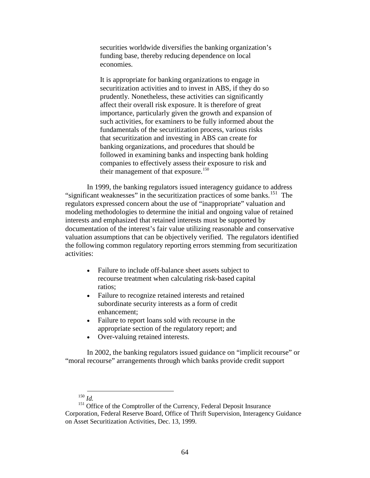securities worldwide diversifies the banking organization's funding base, thereby reducing dependence on local economies.

It is appropriate for banking organizations to engage in securitization activities and to invest in ABS, if they do so prudently. Nonetheless, these activities can significantly affect their overall risk exposure. It is therefore of great importance, particularly given the growth and expansion of such activities, for examiners to be fully informed about the fundamentals of the securitization process, various risks that securitization and investing in ABS can create for banking organizations, and procedures that should be followed in examining banks and inspecting bank holding companies to effectively assess their exposure to risk and their management of that exposure.<sup>[150](#page-65-0)</sup>

In 1999, the banking regulators issued interagency guidance to address "significant weaknesses" in the securitization practices of some banks.<sup>151</sup> The regulators expressed concern about the use of "inappropriate" valuation and modeling methodologies to determine the initial and ongoing value of retained interests and emphasized that retained interests must be supported by documentation of the interest's fair value utilizing reasonable and conservative valuation assumptions that can be objectively verified. The regulators identified the following common regulatory reporting errors stemming from securitization activities:

- Failure to include off-balance sheet assets subject to recourse treatment when calculating risk-based capital ratios;
- Failure to recognize retained interests and retained subordinate security interests as a form of credit enhancement;
- Failure to report loans sold with recourse in the appropriate section of the regulatory report; and
- Over-valuing retained interests.

In 2002, the banking regulators issued guidance on "implicit recourse" or "moral recourse" arrangements through which banks provide credit support

## 150 *Id.*

<span id="page-65-1"></span><span id="page-65-0"></span><sup>151</sup> Office of the Comptroller of the Currency, Federal Deposit Insurance Corporation, Federal Reserve Board, Office of Thrift Supervision, Interagency Guidance on Asset Securitization Activities, Dec. 13, 1999.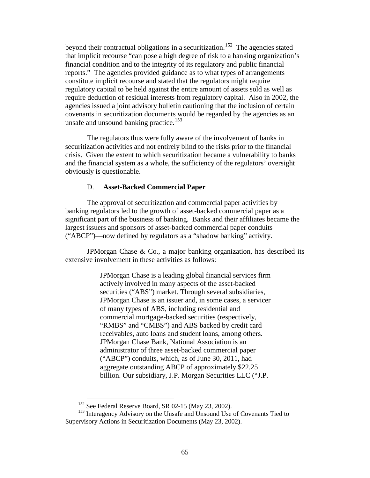beyond their contractual obligations in a securitization.<sup>152</sup> The agencies stated that implicit recourse "can pose a high degree of risk to a banking organization's financial condition and to the integrity of its regulatory and public financial reports." The agencies provided guidance as to what types of arrangements constitute implicit recourse and stated that the regulators might require regulatory capital to be held against the entire amount of assets sold as well as require deduction of residual interests from regulatory capital. Also in 2002, the agencies issued a joint advisory bulletin cautioning that the inclusion of certain covenants in securitization documents would be regarded by the agencies as an unsafe and unsound banking practice.<sup>[153](#page-66-1)</sup>

The regulators thus were fully aware of the involvement of banks in securitization activities and not entirely blind to the risks prior to the financial crisis. Given the extent to which securitization became a vulnerability to banks and the financial system as a whole, the sufficiency of the regulators' oversight obviously is questionable.

### D. **Asset-Backed Commercial Paper**

The approval of securitization and commercial paper activities by banking regulators led to the growth of asset-backed commercial paper as a significant part of the business of banking. Banks and their affiliates became the largest issuers and sponsors of asset-backed commercial paper conduits ("ABCP")—now defined by regulators as a "shadow banking" activity.

JPMorgan Chase & Co., a major banking organization, has described its extensive involvement in these activities as follows:

> JPMorgan Chase is a leading global financial services firm actively involved in many aspects of the asset-backed securities ("ABS") market. Through several subsidiaries, JPMorgan Chase is an issuer and, in some cases, a servicer of many types of ABS, including residential and commercial mortgage-backed securities (respectively, "RMBS" and "CMBS") and ABS backed by credit card receivables, auto loans and student loans, among others. JPMorgan Chase Bank, National Association is an administrator of three asset-backed commercial paper ("ABCP") conduits, which, as of June 30, 2011, had aggregate outstanding ABCP of approximately \$22.25 billion. Our subsidiary, J.P. Morgan Securities LLC ("J.P.

<sup>&</sup>lt;sup>152</sup> See Federal Reserve Board, SR 02-15 (May 23, 2002).

<span id="page-66-1"></span><span id="page-66-0"></span><sup>&</sup>lt;sup>153</sup> Interagency Advisory on the Unsafe and Unsound Use of Covenants Tied to Supervisory Actions in Securitization Documents (May 23, 2002).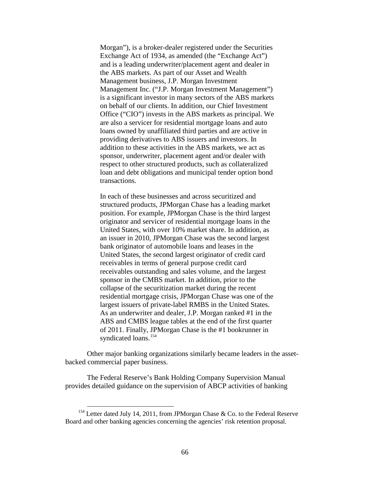Morgan"), is a broker-dealer registered under the Securities Exchange Act of 1934, as amended (the "Exchange Act") and is a leading underwriter/placement agent and dealer in the ABS markets. As part of our Asset and Wealth Management business, J.P. Morgan Investment Management Inc. ("J.P. Morgan Investment Management") is a significant investor in many sectors of the ABS markets on behalf of our clients. In addition, our Chief Investment Office ("CIO") invests in the ABS markets as principal. We are also a servicer for residential mortgage loans and auto loans owned by unaffiliated third parties and are active in providing derivatives to ABS issuers and investors. In addition to these activities in the ABS markets, we act as sponsor, underwriter, placement agent and/or dealer with respect to other structured products, such as collateralized loan and debt obligations and municipal tender option bond transactions.

In each of these businesses and across securitized and structured products, JPMorgan Chase has a leading market position. For example, JPMorgan Chase is the third largest originator and servicer of residential mortgage loans in the United States, with over 10% market share. In addition, as an issuer in 2010, JPMorgan Chase was the second largest bank originator of automobile loans and leases in the United States, the second largest originator of credit card receivables in terms of general purpose credit card receivables outstanding and sales volume, and the largest sponsor in the CMBS market. In addition, prior to the collapse of the securitization market during the recent residential mortgage crisis, JPMorgan Chase was one of the largest issuers of private-label RMBS in the United States. As an underwriter and dealer, J.P. Morgan ranked #1 in the ABS and CMBS league tables at the end of the first quarter of 2011. Finally, JPMorgan Chase is the #1 bookrunner in syndicated loans.<sup>[154](#page-67-0)</sup>

Other major banking organizations similarly became leaders in the assetbacked commercial paper business.

The Federal Reserve's Bank Holding Company Supervision Manual provides detailed guidance on the supervision of ABCP activities of banking

<span id="page-67-0"></span><sup>&</sup>lt;sup>154</sup> Letter dated July 14, 2011, from JPMorgan Chase & Co. to the Federal Reserve Board and other banking agencies concerning the agencies' risk retention proposal.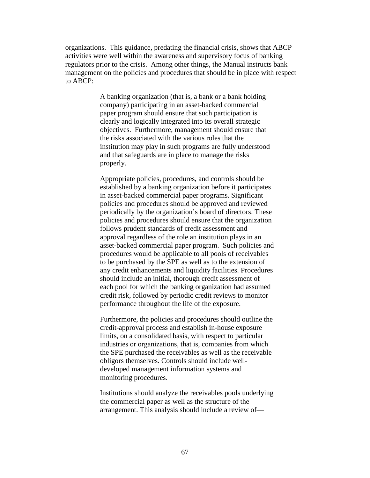organizations. This guidance, predating the financial crisis, shows that ABCP activities were well within the awareness and supervisory focus of banking regulators prior to the crisis. Among other things, the Manual instructs bank management on the policies and procedures that should be in place with respect to ABCP:

> A banking organization (that is, a bank or a bank holding company) participating in an asset-backed commercial paper program should ensure that such participation is clearly and logically integrated into its overall strategic objectives. Furthermore, management should ensure that the risks associated with the various roles that the institution may play in such programs are fully understood and that safeguards are in place to manage the risks properly.

Appropriate policies, procedures, and controls should be established by a banking organization before it participates in asset-backed commercial paper programs. Significant policies and procedures should be approved and reviewed periodically by the organization's board of directors. These policies and procedures should ensure that the organization follows prudent standards of credit assessment and approval regardless of the role an institution plays in an asset-backed commercial paper program. Such policies and procedures would be applicable to all pools of receivables to be purchased by the SPE as well as to the extension of any credit enhancements and liquidity facilities. Procedures should include an initial, thorough credit assessment of each pool for which the banking organization had assumed credit risk, followed by periodic credit reviews to monitor performance throughout the life of the exposure.

Furthermore, the policies and procedures should outline the credit-approval process and establish in-house exposure limits, on a consolidated basis, with respect to particular industries or organizations, that is, companies from which the SPE purchased the receivables as well as the receivable obligors themselves. Controls should include welldeveloped management information systems and monitoring procedures.

Institutions should analyze the receivables pools underlying the commercial paper as well as the structure of the arrangement. This analysis should include a review of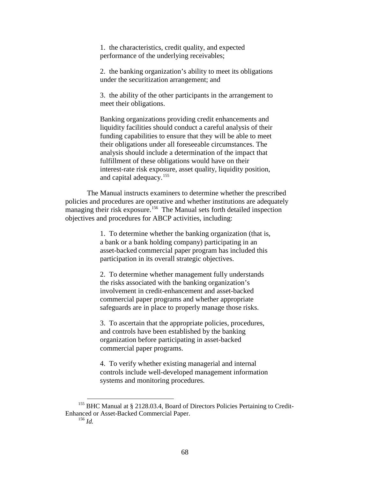1. the characteristics, credit quality, and expected performance of the underlying receivables;

2. the banking organization's ability to meet its obligations under the securitization arrangement; and

3. the ability of the other participants in the arrangement to meet their obligations.

Banking organizations providing credit enhancements and liquidity facilities should conduct a careful analysis of their funding capabilities to ensure that they will be able to meet their obligations under all foreseeable circumstances. The analysis should include a determination of the impact that fulfillment of these obligations would have on their interest-rate risk exposure, asset quality, liquidity position, and capital adequacy.<sup>[155](#page-69-0)</sup>

The Manual instructs examiners to determine whether the prescribed policies and procedures are operative and whether institutions are adequately managing their risk exposure.<sup>[156](#page-69-1)</sup> The Manual sets forth detailed inspection objectives and procedures for ABCP activities, including:

> 1. To determine whether the banking organization (that is, a bank or a bank holding company) participating in an asset-backed commercial paper program has included this participation in its overall strategic objectives.

2. To determine whether management fully understands the risks associated with the banking organization's involvement in credit-enhancement and asset-backed commercial paper programs and whether appropriate safeguards are in place to properly manage those risks.

3. To ascertain that the appropriate policies, procedures, and controls have been established by the banking organization before participating in asset-backed commercial paper programs.

4. To verify whether existing managerial and internal controls include well-developed management information systems and monitoring procedures.

<sup>156</sup> *Id.*

<span id="page-69-1"></span><span id="page-69-0"></span><sup>&</sup>lt;sup>155</sup> BHC Manual at § 2128,03.4, Board of Directors Policies Pertaining to Credit-Enhanced or Asset-Backed Commercial Paper.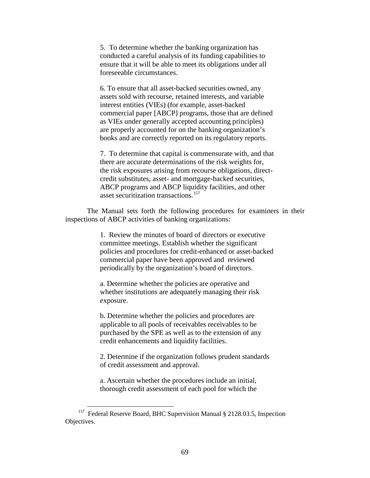5. To determine whether the banking organization has conducted a careful analysis of its funding capabilities to ensure that it will be able to meet its obligations under all foreseeable circumstances.

6. To ensure that all asset-backed securities owned, any assets sold with recourse, retained interests, and variable interest entities (VIEs) (for example, asset-backed commercial paper [ABCP] programs, those that are defined as VIEs under generally accepted accounting principles) are properly accounted for on the banking organization's books and are correctly reported on its regulatory reports.

7. To determine that capital is commensurate with, and that there are accurate determinations of the risk weights for, the risk exposures arising from recourse obligations, directcredit substitutes, asset- and mortgage-backed securities, ABCP programs and ABCP liquidity facilities, and other asset securitization transactions.<sup>[157](#page-70-0)</sup>

The Manual sets forth the following procedures for examiners in their inspections of ABCP activities of banking organizations:

> 1. Review the minutes of board of directors or executive committee meetings. Establish whether the significant policies and procedures for credit-enhanced or asset-backed commercial paper have been approved and reviewed periodically by the organization's board of directors.

a. Determine whether the policies are operative and whether institutions are adequately managing their risk exposure.

b. Determine whether the policies and procedures are applicable to all pools of receivables receivables to be purchased by the SPE as well as to the extension of any credit enhancements and liquidity facilities.

2. Determine if the organization follows prudent standards of credit assessment and approval.

a. Ascertain whether the procedures include an initial, thorough credit assessment of each pool for which the

<span id="page-70-0"></span><sup>&</sup>lt;sup>157</sup> Federal Reserve Board, BHC Supervision Manual § 2128.03.5, Inspection Objectives.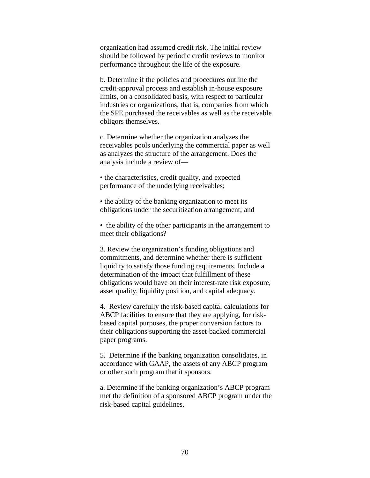organization had assumed credit risk. The initial review should be followed by periodic credit reviews to monitor performance throughout the life of the exposure.

b. Determine if the policies and procedures outline the credit-approval process and establish in-house exposure limits, on a consolidated basis, with respect to particular industries or organizations, that is, companies from which the SPE purchased the receivables as well as the receivable obligors themselves.

c. Determine whether the organization analyzes the receivables pools underlying the commercial paper as well as analyzes the structure of the arrangement. Does the analysis include a review of—

• the characteristics, credit quality, and expected performance of the underlying receivables;

• the ability of the banking organization to meet its obligations under the securitization arrangement; and

• the ability of the other participants in the arrangement to meet their obligations?

3. Review the organization's funding obligations and commitments, and determine whether there is sufficient liquidity to satisfy those funding requirements. Include a determination of the impact that fulfillment of these obligations would have on their interest-rate risk exposure, asset quality, liquidity position, and capital adequacy.

4. Review carefully the risk-based capital calculations for ABCP facilities to ensure that they are applying, for riskbased capital purposes, the proper conversion factors to their obligations supporting the asset-backed commercial paper programs.

5. Determine if the banking organization consolidates, in accordance with GAAP, the assets of any ABCP program or other such program that it sponsors.

a. Determine if the banking organization's ABCP program met the definition of a sponsored ABCP program under the risk-based capital guidelines.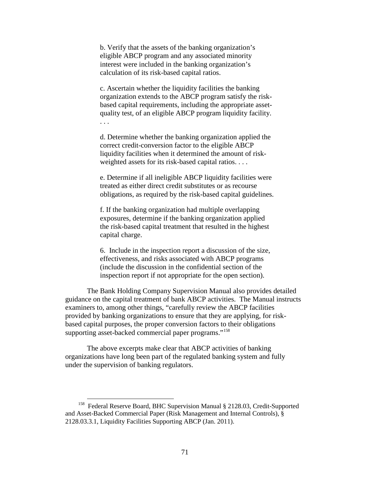b. Verify that the assets of the banking organization's eligible ABCP program and any associated minority interest were included in the banking organization's calculation of its risk-based capital ratios.

c. Ascertain whether the liquidity facilities the banking organization extends to the ABCP program satisfy the riskbased capital requirements, including the appropriate assetquality test, of an eligible ABCP program liquidity facility. . . .

d. Determine whether the banking organization applied the correct credit-conversion factor to the eligible ABCP liquidity facilities when it determined the amount of riskweighted assets for its risk-based capital ratios. . . .

e. Determine if all ineligible ABCP liquidity facilities were treated as either direct credit substitutes or as recourse obligations, as required by the risk-based capital guidelines.

f. If the banking organization had multiple overlapping exposures, determine if the banking organization applied the risk-based capital treatment that resulted in the highest capital charge.

6. Include in the inspection report a discussion of the size, effectiveness, and risks associated with ABCP programs (include the discussion in the confidential section of the inspection report if not appropriate for the open section).

The Bank Holding Company Supervision Manual also provides detailed guidance on the capital treatment of bank ABCP activities. The Manual instructs examiners to, among other things, "carefully review the ABCP facilities provided by banking organizations to ensure that they are applying, for riskbased capital purposes, the proper conversion factors to their obligations supporting asset-backed commercial paper programs."<sup>[158](#page-72-0)</sup>

The above excerpts make clear that ABCP activities of banking organizations have long been part of the regulated banking system and fully under the supervision of banking regulators.

<span id="page-72-0"></span> <sup>158</sup> Federal Reserve Board, BHC Supervision Manual § 2128.03, Credit-Supported and Asset-Backed Commercial Paper (Risk Management and Internal Controls), § 2128.03.3.1, Liquidity Facilities Supporting ABCP (Jan. 2011).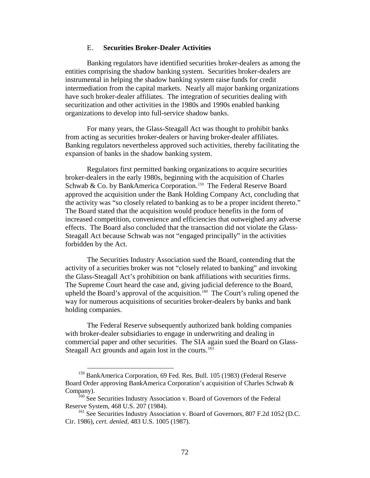## E. **Securities Broker-Dealer Activities**

Banking regulators have identified securities broker-dealers as among the entities comprising the shadow banking system. Securities broker-dealers are instrumental in helping the shadow banking system raise funds for credit intermediation from the capital markets. Nearly all major banking organizations have such broker-dealer affiliates. The integration of securities dealing with securitization and other activities in the 1980s and 1990s enabled banking organizations to develop into full-service shadow banks.

For many years, the Glass-Steagall Act was thought to prohibit banks from acting as securities broker-dealers or having broker-dealer affiliates. Banking regulators nevertheless approved such activities, thereby facilitating the expansion of banks in the shadow banking system.

Regulators first permitted banking organizations to acquire securities broker-dealers in the early 1980s, beginning with the acquisition of Charles Schwab & Co. by BankAmerica Corporation.<sup>[159](#page-73-0)</sup> The Federal Reserve Board approved the acquisition under the Bank Holding Company Act, concluding that the activity was "so closely related to banking as to be a proper incident thereto." The Board stated that the acquisition would produce benefits in the form of increased competition, convenience and efficiencies that outweighed any adverse effects. The Board also concluded that the transaction did not violate the Glass-Steagall Act because Schwab was not "engaged principally" in the activities forbidden by the Act.

The Securities Industry Association sued the Board, contending that the activity of a securities broker was not "closely related to banking" and invoking the Glass-Steagall Act's prohibition on bank affiliations with securities firms. The Supreme Court heard the case and, giving judicial deference to the Board, upheld the Board's approval of the acquisition. [160](#page-73-1) The Court's ruling opened the way for numerous acquisitions of securities broker-dealers by banks and bank holding companies.

The Federal Reserve subsequently authorized bank holding companies with broker-dealer subsidiaries to engage in underwriting and dealing in commercial paper and other securities. The SIA again sued the Board on Glass-Steagall Act grounds and again lost in the courts.<sup>[161](#page-73-2)</sup>

<span id="page-73-0"></span><sup>&</sup>lt;sup>159</sup> BankAmerica Corporation, 69 Fed. Res. Bull. 105 (1983) (Federal Reserve Board Order approving BankAmerica Corporation's acquisition of Charles Schwab & Company).

<span id="page-73-1"></span><sup>&</sup>lt;sup>160</sup> See Securities Industry Association v. Board of Governors of the Federal Reserve System, 468 U.S. 207 (1984).

<span id="page-73-2"></span><sup>&</sup>lt;sup>161</sup> See Securities Industry Association v. Board of Governors, 807 F.2d 1052 (D.C. Cir. 1986), *cert. denied,* 483 U.S. 1005 (1987).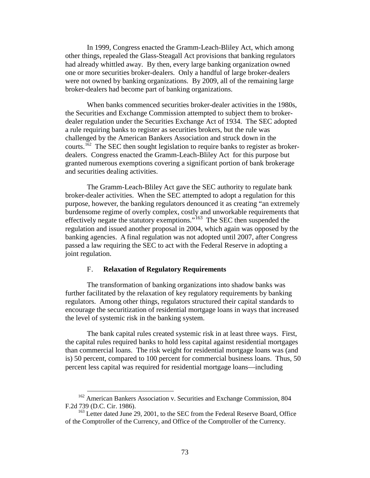In 1999, Congress enacted the Gramm-Leach-Bliley Act, which among other things, repealed the Glass-Steagall Act provisions that banking regulators had already whittled away. By then, every large banking organization owned one or more securities broker-dealers. Only a handful of large broker-dealers were not owned by banking organizations. By 2009, all of the remaining large broker-dealers had become part of banking organizations.

When banks commenced securities broker-dealer activities in the 1980s, the Securities and Exchange Commission attempted to subject them to brokerdealer regulation under the Securities Exchange Act of 1934. The SEC adopted a rule requiring banks to register as securities brokers, but the rule was challenged by the American Bankers Association and struck down in the courts.<sup>[162](#page-74-0)</sup> The SEC then sought legislation to require banks to register as brokerdealers. Congress enacted the Gramm-Leach-Bliley Act for this purpose but granted numerous exemptions covering a significant portion of bank brokerage and securities dealing activities.

The Gramm-Leach-Bliley Act gave the SEC authority to regulate bank broker-dealer activities. When the SEC attempted to adopt a regulation for this purpose, however, the banking regulators denounced it as creating "an extremely burdensome regime of overly complex, costly and unworkable requirements that effectively negate the statutory exemptions."<sup>[163](#page-74-1)</sup> The SEC then suspended the regulation and issued another proposal in 2004, which again was opposed by the banking agencies. A final regulation was not adopted until 2007, after Congress passed a law requiring the SEC to act with the Federal Reserve in adopting a joint regulation.

## F. **Relaxation of Regulatory Requirements**

The transformation of banking organizations into shadow banks was further facilitated by the relaxation of key regulatory requirements by banking regulators. Among other things, regulators structured their capital standards to encourage the securitization of residential mortgage loans in ways that increased the level of systemic risk in the banking system.

The bank capital rules created systemic risk in at least three ways. First, the capital rules required banks to hold less capital against residential mortgages than commercial loans. The risk weight for residential mortgage loans was (and is) 50 percent, compared to 100 percent for commercial business loans. Thus, 50 percent less capital was required for residential mortgage loans—including

<span id="page-74-0"></span><sup>&</sup>lt;sup>162</sup> American Bankers Association v. Securities and Exchange Commission, 804 F.2d 739 (D.C. Cir. 1986).

<span id="page-74-1"></span><sup>&</sup>lt;sup>163</sup> Letter dated June 29, 2001, to the SEC from the Federal Reserve Board, Office of the Comptroller of the Currency, and Office of the Comptroller of the Currency.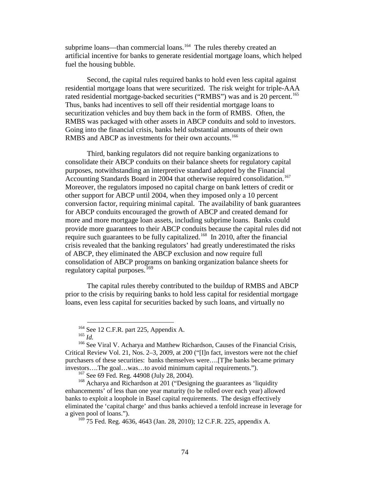subprime loans—than commercial loans.<sup>[164](#page-75-0)</sup> The rules thereby created an artificial incentive for banks to generate residential mortgage loans, which helped fuel the housing bubble.

Second, the capital rules required banks to hold even less capital against residential mortgage loans that were securitized. The risk weight for triple-AAA rated residential mortgage-backed securities ("RMBS") was and is 20 percent.<sup>165</sup> Thus, banks had incentives to sell off their residential mortgage loans to securitization vehicles and buy them back in the form of RMBS. Often, the RMBS was packaged with other assets in ABCP conduits and sold to investors. Going into the financial crisis, banks held substantial amounts of their own RMBS and ABCP as investments for their own accounts.<sup>[166](#page-75-2)</sup>

Third, banking regulators did not require banking organizations to consolidate their ABCP conduits on their balance sheets for regulatory capital purposes, notwithstanding an interpretive standard adopted by the Financial Accounting Standards Board in 2004 that otherwise required consolidation. [167](#page-75-3) Moreover, the regulators imposed no capital charge on bank letters of credit or other support for ABCP until 2004, when they imposed only a 10 percent conversion factor, requiring minimal capital. The availability of bank guarantees for ABCP conduits encouraged the growth of ABCP and created demand for more and more mortgage loan assets, including subprime loans. Banks could provide more guarantees to their ABCP conduits because the capital rules did not require such guarantees to be fully capitalized.<sup>168</sup> In 2010, after the financial crisis revealed that the banking regulators' had greatly underestimated the risks of ABCP, they eliminated the ABCP exclusion and now require full consolidation of ABCP programs on banking organization balance sheets for regulatory capital purposes.<sup>[169](#page-75-5)</sup>

The capital rules thereby contributed to the buildup of RMBS and ABCP prior to the crisis by requiring banks to hold less capital for residential mortgage loans, even less capital for securities backed by such loans, and virtually no

<sup>164</sup> See 12 C.F.R. part 225, Appendix A. 165 *Id.*

<span id="page-75-2"></span><span id="page-75-1"></span><span id="page-75-0"></span><sup>&</sup>lt;sup>166</sup> See Viral V. Acharya and Matthew Richardson, Causes of the Financial Crisis, Critical Review Vol. 21, Nos. 2–3, 2009, at 200 ("[I]n fact, investors were not the chief purchasers of these securities: banks themselves were….[T]he banks became primary investors….The goal…was…to avoid minimum capital requirements.").

 $167$  See 69 Fed. Reg. 44908 (July 28, 2004).

<span id="page-75-5"></span><span id="page-75-4"></span><span id="page-75-3"></span><sup>&</sup>lt;sup>168</sup> Acharya and Richardson at 201 ("Designing the guarantees as 'liquidity enhancements' of less than one year maturity (to be rolled over each year) allowed banks to exploit a loophole in Basel capital requirements. The design effectively eliminated the 'capital charge' and thus banks achieved a tenfold increase in leverage for a given pool of loans.").

<sup>&</sup>lt;sup>169</sup> 75 Fed. Reg. 4636, 4643 (Jan. 28, 2010); 12 C.F.R. 225, appendix A.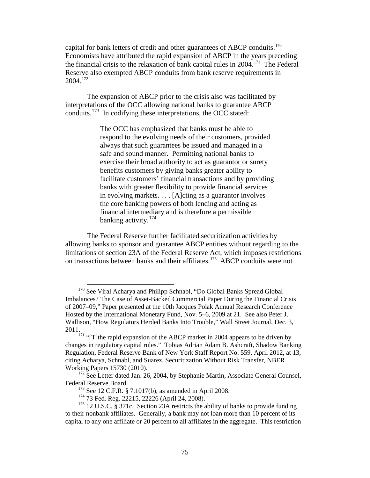capital for bank letters of credit and other guarantees of ABCP conduits.<sup>[170](#page-76-0)</sup> Economists have attributed the rapid expansion of ABCP in the years preceding the financial crisis to the relaxation of bank capital rules in 2004.[171](#page-76-1) The Federal Reserve also exempted ABCP conduits from bank reserve requirements in 2004.[172](#page-76-2)

The expansion of ABCP prior to the crisis also was facilitated by interpretations of the OCC allowing national banks to guarantee ABCP conduits.<sup>[173](#page-76-3)</sup> In codifying these interpretations, the OCC stated:

> The OCC has emphasized that banks must be able to respond to the evolving needs of their customers, provided always that such guarantees be issued and managed in a safe and sound manner. Permitting national banks to exercise their broad authority to act as guarantor or surety benefits customers by giving banks greater ability to facilitate customers' financial transactions and by providing banks with greater flexibility to provide financial services in evolving markets. . . . [A]cting as a guarantor involves the core banking powers of both lending and acting as financial intermediary and is therefore a permissible banking activity.<sup>[174](#page-76-4)</sup>

The Federal Reserve further facilitated securitization activities by allowing banks to sponsor and guarantee ABCP entities without regarding to the limitations of section 23A of the Federal Reserve Act, which imposes restrictions on transactions between banks and their affiliates.<sup>[175](#page-76-5)</sup> ABCP conduits were not

<span id="page-76-0"></span><sup>&</sup>lt;sup>170</sup> See Viral Acharya and Philipp Schnabl, "Do Global Banks Spread Global Imbalances? The Case of Asset-Backed Commercial Paper During the Financial Crisis of 2007–09," Paper presented at the 10th Jacques Polak Annual Research Conference Hosted by the International Monetary Fund, Nov. 5–6, 2009 at 21. See also Peter J. Wallison, "How Regulators Herded Banks Into Trouble," Wall Street Journal, Dec. 3, 2011.

<span id="page-76-1"></span> $171$  "[T]the rapid expansion of the ABCP market in 2004 appears to be driven by changes in regulatory capital rules." Tobias Adrian Adam B. Ashcraft, Shadow Banking Regulation, Federal Reserve Bank of New York Staff Report No. 559, April 2012, at 13, citing Acharya, Schnabl, and Suarez, Securitization Without Risk Transfer, NBER Working Papers 15730 (2010).<br><sup>172</sup> See Letter dated Jan. 26, 2004, by Stephanie Martin, Associate General Counsel,

<span id="page-76-2"></span>Federal Reserve Board.

 $173$  See 12 C.F.R. § 7.1017(b), as amended in April 2008.

<sup>&</sup>lt;sup>174</sup> 73 Fed. Reg. 22215, 22226 (April 24, 2008).

<span id="page-76-5"></span><span id="page-76-4"></span><span id="page-76-3"></span><sup>&</sup>lt;sup>175</sup> 12 U.S.C. § 371c. Section 23A restricts the ability of banks to provide funding to their nonbank affiliates. Generally, a bank may not loan more than 10 percent of its capital to any one affiliate or 20 percent to all affiliates in the aggregate. This restriction